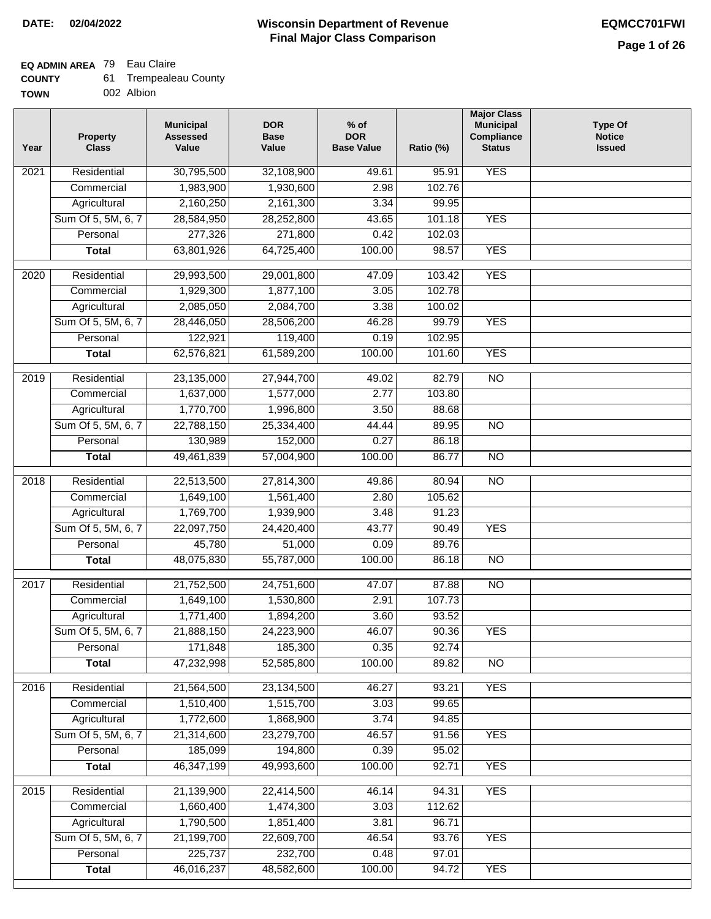## **EQ ADMIN AREA** 79 Eau Claire

| 61.<br><b>COUNTY</b> | <b>Trempealeau County</b> |
|----------------------|---------------------------|
|----------------------|---------------------------|

**TOWN** 002 Albion

| Year              | <b>Property</b><br><b>Class</b> | <b>Municipal</b><br><b>Assessed</b><br>Value | <b>DOR</b><br><b>Base</b><br>Value | % of<br><b>DOR</b><br><b>Base Value</b> | Ratio (%) | <b>Major Class</b><br><b>Municipal</b><br>Compliance<br><b>Status</b> | <b>Type Of</b><br><b>Notice</b><br><b>Issued</b> |
|-------------------|---------------------------------|----------------------------------------------|------------------------------------|-----------------------------------------|-----------|-----------------------------------------------------------------------|--------------------------------------------------|
| $\overline{202}1$ | Residential                     | 30,795,500                                   | 32,108,900                         | 49.61                                   | 95.91     | <b>YES</b>                                                            |                                                  |
|                   | Commercial                      | 1,983,900                                    | 1,930,600                          | 2.98                                    | 102.76    |                                                                       |                                                  |
|                   | Agricultural                    | 2,160,250                                    | 2,161,300                          | 3.34                                    | 99.95     |                                                                       |                                                  |
|                   | Sum Of 5, 5M, 6, 7              | 28,584,950                                   | 28,252,800                         | 43.65                                   | 101.18    | <b>YES</b>                                                            |                                                  |
|                   | Personal                        | 277,326                                      | 271,800                            | 0.42                                    | 102.03    |                                                                       |                                                  |
|                   | <b>Total</b>                    | 63,801,926                                   | 64,725,400                         | 100.00                                  | 98.57     | <b>YES</b>                                                            |                                                  |
| $\overline{2020}$ | Residential                     | 29,993,500                                   | 29,001,800                         | 47.09                                   | 103.42    | <b>YES</b>                                                            |                                                  |
|                   | Commercial                      | 1,929,300                                    | 1,877,100                          | 3.05                                    | 102.78    |                                                                       |                                                  |
|                   | Agricultural                    | 2,085,050                                    | 2,084,700                          | 3.38                                    | 100.02    |                                                                       |                                                  |
|                   | Sum Of 5, 5M, 6, 7              | 28,446,050                                   | 28,506,200                         | 46.28                                   | 99.79     | <b>YES</b>                                                            |                                                  |
|                   | Personal                        | 122,921                                      | 119,400                            | 0.19                                    | 102.95    |                                                                       |                                                  |
|                   | <b>Total</b>                    | 62,576,821                                   | 61,589,200                         | 100.00                                  | 101.60    | <b>YES</b>                                                            |                                                  |
| $\frac{2019}{ }$  | Residential                     | 23,135,000                                   | 27,944,700                         | 49.02                                   | 82.79     | $\overline{3}$                                                        |                                                  |
|                   | Commercial                      | 1,637,000                                    | 1,577,000                          | 2.77                                    | 103.80    |                                                                       |                                                  |
|                   | Agricultural                    | 1,770,700                                    | 1,996,800                          | 3.50                                    | 88.68     |                                                                       |                                                  |
|                   | Sum Of 5, 5M, 6, 7              | 22,788,150                                   | 25,334,400                         | 44.44                                   | 89.95     | $\overline{NO}$                                                       |                                                  |
|                   | Personal                        | 130,989                                      | 152,000                            | 0.27                                    | 86.18     |                                                                       |                                                  |
|                   | <b>Total</b>                    | 49,461,839                                   | 57,004,900                         | 100.00                                  | 86.77     | $\overline{NO}$                                                       |                                                  |
| 2018              | Residential                     | 22,513,500                                   | 27,814,300                         | 49.86                                   | 80.94     | $\overline{10}$                                                       |                                                  |
|                   | Commercial                      | 1,649,100                                    | 1,561,400                          | 2.80                                    | 105.62    |                                                                       |                                                  |
|                   | Agricultural                    | 1,769,700                                    | 1,939,900                          | 3.48                                    | 91.23     |                                                                       |                                                  |
|                   | Sum Of 5, 5M, 6, 7              | 22,097,750                                   | 24,420,400                         | 43.77                                   | 90.49     | <b>YES</b>                                                            |                                                  |
|                   | Personal                        | 45,780                                       | 51,000                             | 0.09                                    | 89.76     |                                                                       |                                                  |
|                   | <b>Total</b>                    | 48,075,830                                   | 55,787,000                         | 100.00                                  | 86.18     | <b>NO</b>                                                             |                                                  |
| $\overline{2017}$ | Residential                     | 21,752,500                                   | 24,751,600                         | 47.07                                   | 87.88     | <b>NO</b>                                                             |                                                  |
|                   | Commercial                      | 1,649,100                                    | 1,530,800                          | 2.91                                    | 107.73    |                                                                       |                                                  |
|                   | Agricultural                    | 1,771,400                                    | 1,894,200                          | 3.60                                    | 93.52     |                                                                       |                                                  |
|                   | Sum Of 5, 5M, 6, 7              | 21,888,150                                   | 24,223,900                         | 46.07                                   | 90.36     | <b>YES</b>                                                            |                                                  |
|                   | Personal                        | 171,848                                      | 185,300                            | 0.35                                    | 92.74     |                                                                       |                                                  |
|                   | <b>Total</b>                    | 47,232,998                                   | 52,585,800                         | 100.00                                  | 89.82     | <b>NO</b>                                                             |                                                  |
| 2016              | Residential                     | 21,564,500                                   | 23, 134, 500                       | 46.27                                   | 93.21     | <b>YES</b>                                                            |                                                  |
|                   | Commercial                      | 1,510,400                                    | 1,515,700                          | 3.03                                    | 99.65     |                                                                       |                                                  |
|                   | Agricultural                    | 1,772,600                                    | 1,868,900                          | 3.74                                    | 94.85     |                                                                       |                                                  |
|                   | Sum Of 5, 5M, 6, 7              | 21,314,600                                   | 23,279,700                         | 46.57                                   | 91.56     | <b>YES</b>                                                            |                                                  |
|                   | Personal                        | 185,099                                      | 194,800                            | 0.39                                    | 95.02     |                                                                       |                                                  |
|                   | <b>Total</b>                    | 46,347,199                                   | 49,993,600                         | 100.00                                  | 92.71     | <b>YES</b>                                                            |                                                  |
| 2015              | Residential                     | 21,139,900                                   | 22,414,500                         | 46.14                                   | 94.31     | <b>YES</b>                                                            |                                                  |
|                   | Commercial                      | 1,660,400                                    | 1,474,300                          | 3.03                                    | 112.62    |                                                                       |                                                  |
|                   | Agricultural                    | 1,790,500                                    | 1,851,400                          | 3.81                                    | 96.71     |                                                                       |                                                  |
|                   | Sum Of 5, 5M, 6, 7              | 21,199,700                                   | 22,609,700                         | 46.54                                   | 93.76     | <b>YES</b>                                                            |                                                  |
|                   | Personal                        | 225,737                                      | 232,700                            | 0.48                                    | 97.01     |                                                                       |                                                  |
|                   | <b>Total</b>                    | 46,016,237                                   | 48,582,600                         | 100.00                                  | 94.72     | <b>YES</b>                                                            |                                                  |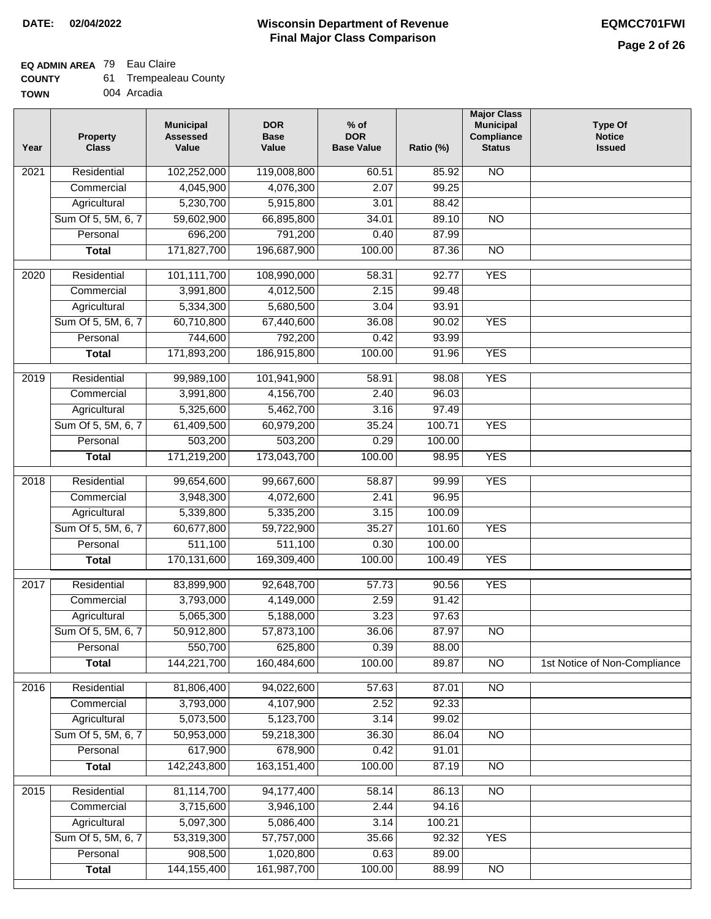## **EQ ADMIN AREA** 79 Eau Claire

| <b>COUNTY</b> | <b>Trempealeau County</b> |
|---------------|---------------------------|
|---------------|---------------------------|

**TOWN** 004 Arcadia

| Year              | <b>Property</b><br><b>Class</b> | <b>Municipal</b><br><b>Assessed</b><br>Value | <b>DOR</b><br><b>Base</b><br>Value | $%$ of<br><b>DOR</b><br><b>Base Value</b> | Ratio (%) | <b>Major Class</b><br><b>Municipal</b><br>Compliance<br><b>Status</b> | Type Of<br><b>Notice</b><br><b>Issued</b> |
|-------------------|---------------------------------|----------------------------------------------|------------------------------------|-------------------------------------------|-----------|-----------------------------------------------------------------------|-------------------------------------------|
| $\overline{202}1$ | Residential                     | 102,252,000                                  | 119,008,800                        | 60.51                                     | 85.92     | <b>NO</b>                                                             |                                           |
|                   | Commercial                      | 4,045,900                                    | 4,076,300                          | 2.07                                      | 99.25     |                                                                       |                                           |
|                   | Agricultural                    | 5,230,700                                    | 5,915,800                          | 3.01                                      | 88.42     |                                                                       |                                           |
|                   | Sum Of 5, 5M, 6, 7              | 59,602,900                                   | 66,895,800                         | 34.01                                     | 89.10     | $\overline{NO}$                                                       |                                           |
|                   | Personal                        | 696,200                                      | 791,200                            | 0.40                                      | 87.99     |                                                                       |                                           |
|                   | <b>Total</b>                    | 171,827,700                                  | 196,687,900                        | 100.00                                    | 87.36     | $\overline{NO}$                                                       |                                           |
| $\overline{2020}$ | Residential                     | 101,111,700                                  | 108,990,000                        | 58.31                                     | 92.77     | <b>YES</b>                                                            |                                           |
|                   | Commercial                      | 3,991,800                                    | 4,012,500                          | 2.15                                      | 99.48     |                                                                       |                                           |
|                   | Agricultural                    | 5,334,300                                    | 5,680,500                          | 3.04                                      | 93.91     |                                                                       |                                           |
|                   | Sum Of 5, 5M, 6, 7              | 60,710,800                                   | 67,440,600                         | 36.08                                     | 90.02     | <b>YES</b>                                                            |                                           |
|                   | Personal                        | 744,600                                      | 792,200                            | 0.42                                      | 93.99     |                                                                       |                                           |
|                   | <b>Total</b>                    | 171,893,200                                  | 186,915,800                        | 100.00                                    | 91.96     | <b>YES</b>                                                            |                                           |
|                   |                                 |                                              |                                    |                                           |           |                                                                       |                                           |
| 2019              | Residential                     | 99,989,100                                   | 101,941,900                        | 58.91                                     | 98.08     | <b>YES</b>                                                            |                                           |
|                   | Commercial                      | 3,991,800                                    | 4,156,700                          | 2.40                                      | 96.03     |                                                                       |                                           |
|                   | Agricultural                    | 5,325,600                                    | 5,462,700                          | 3.16                                      | 97.49     |                                                                       |                                           |
|                   | Sum Of 5, 5M, 6, 7              | 61,409,500                                   | 60,979,200                         | 35.24                                     | 100.71    | <b>YES</b>                                                            |                                           |
|                   | Personal                        | 503,200                                      | 503,200                            | 0.29                                      | 100.00    |                                                                       |                                           |
|                   | <b>Total</b>                    | 171,219,200                                  | 173,043,700                        | 100.00                                    | 98.95     | <b>YES</b>                                                            |                                           |
| 2018              | Residential                     | 99,654,600                                   | 99,667,600                         | 58.87                                     | 99.99     | <b>YES</b>                                                            |                                           |
|                   | Commercial                      | 3,948,300                                    | 4,072,600                          | 2.41                                      | 96.95     |                                                                       |                                           |
|                   | Agricultural                    | 5,339,800                                    | 5,335,200                          | 3.15                                      | 100.09    |                                                                       |                                           |
|                   | Sum Of 5, 5M, 6, 7              | 60,677,800                                   | 59,722,900                         | 35.27                                     | 101.60    | <b>YES</b>                                                            |                                           |
|                   | Personal                        | 511,100                                      | 511,100                            | 0.30                                      | 100.00    |                                                                       |                                           |
|                   | <b>Total</b>                    | 170,131,600                                  | 169,309,400                        | 100.00                                    | 100.49    | <b>YES</b>                                                            |                                           |
| 2017              | Residential                     | 83,899,900                                   | 92,648,700                         | 57.73                                     | 90.56     | <b>YES</b>                                                            |                                           |
|                   | Commercial                      | 3,793,000                                    | 4,149,000                          | 2.59                                      | 91.42     |                                                                       |                                           |
|                   | Agricultural                    | 5,065,300                                    | 5,188,000                          | 3.23                                      | 97.63     |                                                                       |                                           |
|                   | Sum Of 5, 5M, 6, 7              | 50,912,800                                   | 57,873,100                         | 36.06                                     | 87.97     | N <sub>O</sub>                                                        |                                           |
|                   | Personal                        | 550,700                                      | 625,800                            | 0.39                                      | 88.00     |                                                                       |                                           |
|                   | <b>Total</b>                    | 144,221,700                                  | 160,484,600                        | 100.00                                    | 89.87     | <b>NO</b>                                                             | 1st Notice of Non-Compliance              |
| 2016              | Residential                     | 81,806,400                                   | 94,022,600                         | 57.63                                     | 87.01     | N <sub>O</sub>                                                        |                                           |
|                   | Commercial                      | 3,793,000                                    | 4,107,900                          | 2.52                                      | 92.33     |                                                                       |                                           |
|                   | Agricultural                    | 5,073,500                                    | 5,123,700                          | 3.14                                      | 99.02     |                                                                       |                                           |
|                   | Sum Of 5, 5M, 6, 7              | 50,953,000                                   | 59,218,300                         | 36.30                                     | 86.04     | $\overline{NO}$                                                       |                                           |
|                   | Personal                        | 617,900                                      | 678,900                            | 0.42                                      | 91.01     |                                                                       |                                           |
|                   | <b>Total</b>                    | 142,243,800                                  | 163, 151, 400                      | 100.00                                    | 87.19     | $\overline{NO}$                                                       |                                           |
| 2015              | Residential                     | 81,114,700                                   | 94,177,400                         | 58.14                                     | 86.13     | $\overline{NO}$                                                       |                                           |
|                   | Commercial                      | 3,715,600                                    | 3,946,100                          | 2.44                                      | 94.16     |                                                                       |                                           |
|                   | Agricultural                    | 5,097,300                                    | 5,086,400                          | 3.14                                      | 100.21    |                                                                       |                                           |
|                   | Sum Of 5, 5M, 6, 7              | 53,319,300                                   | 57,757,000                         | 35.66                                     | 92.32     | <b>YES</b>                                                            |                                           |
|                   | Personal                        | 908,500                                      | 1,020,800                          | 0.63                                      | 89.00     |                                                                       |                                           |
|                   | <b>Total</b>                    | 144, 155, 400                                | 161,987,700                        | 100.00                                    | 88.99     | $\overline{NO}$                                                       |                                           |
|                   |                                 |                                              |                                    |                                           |           |                                                                       |                                           |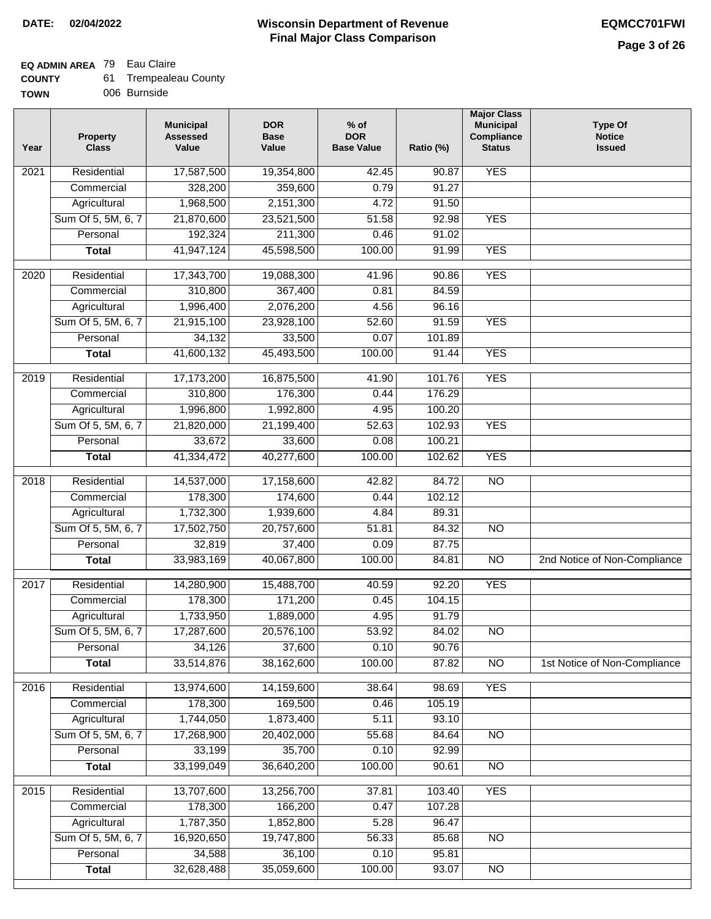## **EQ ADMIN AREA** 79 Eau Claire

| 61<br><b>COUNTY</b> | <b>Trempealeau County</b> |
|---------------------|---------------------------|
|---------------------|---------------------------|

**TOWN** 006 Burnside

| Year              | <b>Property</b><br><b>Class</b> | <b>Municipal</b><br><b>Assessed</b><br>Value | <b>DOR</b><br><b>Base</b><br>Value | $%$ of<br><b>DOR</b><br><b>Base Value</b> | Ratio (%) | <b>Major Class</b><br><b>Municipal</b><br>Compliance<br><b>Status</b> | <b>Type Of</b><br><b>Notice</b><br><b>Issued</b> |
|-------------------|---------------------------------|----------------------------------------------|------------------------------------|-------------------------------------------|-----------|-----------------------------------------------------------------------|--------------------------------------------------|
| $\overline{202}1$ | Residential                     | 17,587,500                                   | 19,354,800                         | 42.45                                     | 90.87     | <b>YES</b>                                                            |                                                  |
|                   | Commercial                      | 328,200                                      | 359,600                            | 0.79                                      | 91.27     |                                                                       |                                                  |
|                   | Agricultural                    | 1,968,500                                    | 2,151,300                          | 4.72                                      | 91.50     |                                                                       |                                                  |
|                   | Sum Of 5, 5M, 6, 7              | 21,870,600                                   | 23,521,500                         | 51.58                                     | 92.98     | <b>YES</b>                                                            |                                                  |
|                   | Personal                        | 192,324                                      | 211,300                            | 0.46                                      | 91.02     |                                                                       |                                                  |
|                   | <b>Total</b>                    | 41,947,124                                   | 45,598,500                         | 100.00                                    | 91.99     | <b>YES</b>                                                            |                                                  |
| $\overline{2020}$ | Residential                     | 17,343,700                                   | 19,088,300                         | 41.96                                     | 90.86     | <b>YES</b>                                                            |                                                  |
|                   | Commercial                      | 310,800                                      | 367,400                            | 0.81                                      | 84.59     |                                                                       |                                                  |
|                   | Agricultural                    | 1,996,400                                    | 2,076,200                          | 4.56                                      | 96.16     |                                                                       |                                                  |
|                   | Sum Of 5, 5M, 6, 7              | 21,915,100                                   | 23,928,100                         | 52.60                                     | 91.59     | <b>YES</b>                                                            |                                                  |
|                   | Personal                        | 34,132                                       | 33,500                             | 0.07                                      | 101.89    |                                                                       |                                                  |
|                   | <b>Total</b>                    | 41,600,132                                   | 45,493,500                         | 100.00                                    | 91.44     | <b>YES</b>                                                            |                                                  |
| 2019              | Residential                     | 17,173,200                                   | 16,875,500                         | 41.90                                     | 101.76    | <b>YES</b>                                                            |                                                  |
|                   | Commercial                      | 310,800                                      | 176,300                            | 0.44                                      | 176.29    |                                                                       |                                                  |
|                   | Agricultural                    | 1,996,800                                    | 1,992,800                          | 4.95                                      | 100.20    |                                                                       |                                                  |
|                   | Sum Of 5, 5M, 6, 7              | 21,820,000                                   | 21,199,400                         | 52.63                                     | 102.93    | <b>YES</b>                                                            |                                                  |
|                   | Personal                        | 33,672                                       | 33,600                             | 0.08                                      | 100.21    |                                                                       |                                                  |
|                   | <b>Total</b>                    | 41,334,472                                   | 40,277,600                         | 100.00                                    | 102.62    | <b>YES</b>                                                            |                                                  |
| 2018              | Residential                     | 14,537,000                                   | 17,158,600                         | 42.82                                     | 84.72     | $\overline{10}$                                                       |                                                  |
|                   | Commercial                      | 178,300                                      | 174,600                            | 0.44                                      | 102.12    |                                                                       |                                                  |
|                   | Agricultural                    | 1,732,300                                    | 1,939,600                          | 4.84                                      | 89.31     |                                                                       |                                                  |
|                   | Sum Of 5, 5M, 6, 7              | 17,502,750                                   | 20,757,600                         | 51.81                                     | 84.32     | $\overline{3}$                                                        |                                                  |
|                   | Personal                        | 32,819                                       | 37,400                             | 0.09                                      | 87.75     |                                                                       |                                                  |
|                   | <b>Total</b>                    | 33,983,169                                   | 40,067,800                         | 100.00                                    | 84.81     | $\overline{10}$                                                       | 2nd Notice of Non-Compliance                     |
| 2017              | Residential                     | 14,280,900                                   | 15,488,700                         | 40.59                                     | 92.20     | <b>YES</b>                                                            |                                                  |
|                   | Commercial                      | 178,300                                      | 171,200                            | 0.45                                      | 104.15    |                                                                       |                                                  |
|                   | Agricultural                    | 1,733,950                                    | 1,889,000                          | 4.95                                      | 91.79     |                                                                       |                                                  |
|                   | Sum Of 5, 5M, 6, 7              | 17,287,600                                   | 20,576,100                         | 53.92                                     | 84.02     | <b>NO</b>                                                             |                                                  |
|                   | Personal                        | 34,126                                       | 37,600                             | 0.10                                      | 90.76     |                                                                       |                                                  |
|                   | <b>Total</b>                    | 33,514,876                                   | 38,162,600                         | 100.00                                    | 87.82     | <b>NO</b>                                                             | 1st Notice of Non-Compliance                     |
| 2016              | Residential                     | 13,974,600                                   | 14,159,600                         | 38.64                                     | 98.69     | <b>YES</b>                                                            |                                                  |
|                   | Commercial                      | 178,300                                      | 169,500                            | 0.46                                      | 105.19    |                                                                       |                                                  |
|                   | Agricultural                    | 1,744,050                                    | 1,873,400                          | 5.11                                      | 93.10     |                                                                       |                                                  |
|                   | Sum Of 5, 5M, 6, 7              | 17,268,900                                   | 20,402,000                         | 55.68                                     | 84.64     | $\overline{NO}$                                                       |                                                  |
|                   | Personal                        | 33,199                                       | 35,700                             | 0.10                                      | 92.99     |                                                                       |                                                  |
|                   | <b>Total</b>                    | 33,199,049                                   | 36,640,200                         | 100.00                                    | 90.61     | $\overline{NO}$                                                       |                                                  |
| 2015              | Residential                     | 13,707,600                                   | 13,256,700                         | 37.81                                     | 103.40    | <b>YES</b>                                                            |                                                  |
|                   | Commercial                      | 178,300                                      | 166,200                            | 0.47                                      | 107.28    |                                                                       |                                                  |
|                   | Agricultural                    | 1,787,350                                    | 1,852,800                          | 5.28                                      | 96.47     |                                                                       |                                                  |
|                   | Sum Of 5, 5M, 6, 7              | 16,920,650                                   | 19,747,800                         | 56.33                                     | 85.68     | <b>NO</b>                                                             |                                                  |
|                   | Personal                        | 34,588                                       | 36,100                             | 0.10                                      | 95.81     |                                                                       |                                                  |
|                   | <b>Total</b>                    | 32,628,488                                   | 35,059,600                         | 100.00                                    | 93.07     | NO                                                                    |                                                  |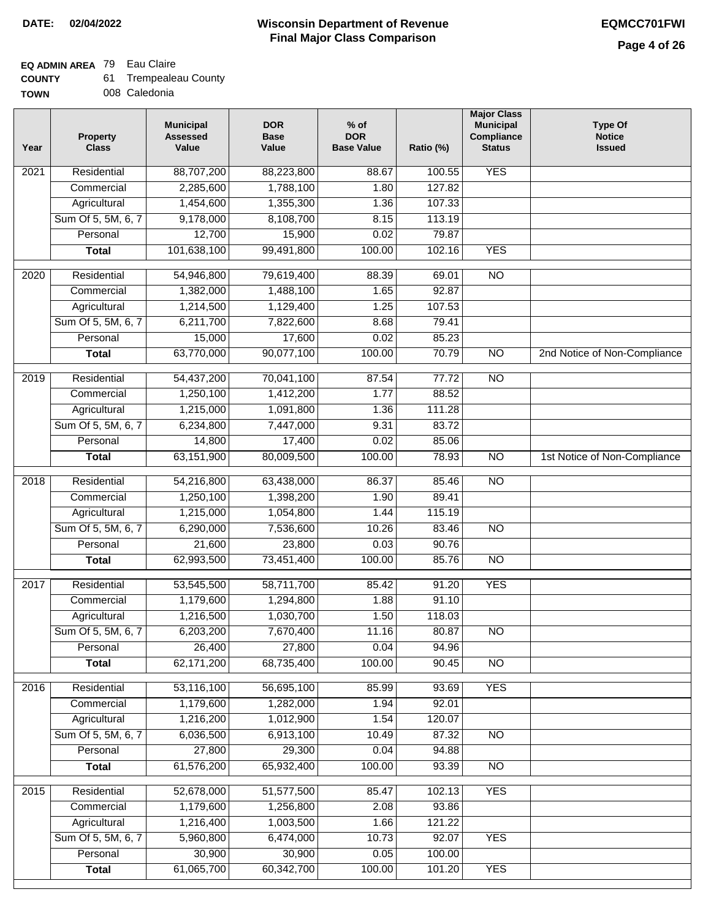**TOWN**

## **Wisconsin Department of Revenue DATE: 02/04/2022 EQMCC701FWI Final Major Class Comparison**

## **EQ ADMIN AREA** 79 Eau Claire

**Total**

61,576,200

 52,678,000 1,179,600 1,216,400 5,960,800 30,900 61,065,700

**Residential Commercial Agricultural** Sum Of 5, 5M, 6, 7 **Personal Total**

2015

| <b>COUNTY</b> |  | Trempealeau County |
|---------------|--|--------------------|
|---------------|--|--------------------|

008 Caledonia

| Year              | Property<br><b>Class</b> | <b>Municipal</b><br><b>Assessed</b><br>Value | <b>DOR</b><br><b>Base</b><br>Value | $%$ of<br><b>DOR</b><br><b>Base Value</b> | Ratio (%) | <b>Major Class</b><br><b>Municipal</b><br>Compliance<br><b>Status</b> | <b>Type Of</b><br><b>Notice</b><br><b>Issued</b> |
|-------------------|--------------------------|----------------------------------------------|------------------------------------|-------------------------------------------|-----------|-----------------------------------------------------------------------|--------------------------------------------------|
| $\overline{2021}$ | Residential              | 88,707,200                                   | 88,223,800                         | 88.67                                     | 100.55    | <b>YES</b>                                                            |                                                  |
|                   | Commercial               | 2,285,600                                    | 1,788,100                          | 1.80                                      | 127.82    |                                                                       |                                                  |
|                   | Agricultural             | 1,454,600                                    | 1,355,300                          | 1.36                                      | 107.33    |                                                                       |                                                  |
|                   | Sum Of 5, 5M, 6, 7       | 9,178,000                                    | 8,108,700                          | 8.15                                      | 113.19    |                                                                       |                                                  |
|                   | Personal                 | 12,700                                       | 15,900                             | 0.02                                      | 79.87     |                                                                       |                                                  |
|                   | <b>Total</b>             | 101,638,100                                  | 99,491,800                         | 100.00                                    | 102.16    | <b>YES</b>                                                            |                                                  |
| $\overline{2020}$ | Residential              | 54,946,800                                   | 79,619,400                         | 88.39                                     | 69.01     | $\overline{NO}$                                                       |                                                  |
|                   | Commercial               | 1,382,000                                    | 1,488,100                          | 1.65                                      | 92.87     |                                                                       |                                                  |
|                   | Agricultural             | 1,214,500                                    | 1,129,400                          | 1.25                                      | 107.53    |                                                                       |                                                  |
|                   | Sum Of 5, 5M, 6, 7       | 6,211,700                                    | 7,822,600                          | 8.68                                      | 79.41     |                                                                       |                                                  |
|                   | Personal                 | 15,000                                       | 17,600                             | 0.02                                      | 85.23     |                                                                       |                                                  |
|                   | <b>Total</b>             | 63,770,000                                   | 90,077,100                         | 100.00                                    | 70.79     | $\overline{NO}$                                                       | 2nd Notice of Non-Compliance                     |
| 2019              | Residential              | 54,437,200                                   | 70,041,100                         | 87.54                                     | 77.72     | $\overline{NO}$                                                       |                                                  |
|                   | Commercial               | 1,250,100                                    | 1,412,200                          | 1.77                                      | 88.52     |                                                                       |                                                  |
|                   | Agricultural             | 1,215,000                                    | 1,091,800                          | 1.36                                      | 111.28    |                                                                       |                                                  |
|                   | Sum Of 5, 5M, 6, 7       | 6,234,800                                    | 7,447,000                          | 9.31                                      | 83.72     |                                                                       |                                                  |
|                   | Personal                 | 14,800                                       | 17,400                             | 0.02                                      | 85.06     |                                                                       |                                                  |
|                   | <b>Total</b>             | 63,151,900                                   | 80,009,500                         | 100.00                                    | 78.93     | $\overline{NO}$                                                       | 1st Notice of Non-Compliance                     |
| 2018              | Residential              | 54,216,800                                   | 63,438,000                         | 86.37                                     | 85.46     | $\overline{NO}$                                                       |                                                  |
|                   | Commercial               | 1,250,100                                    | 1,398,200                          | 1.90                                      | 89.41     |                                                                       |                                                  |
|                   | Agricultural             | 1,215,000                                    | 1,054,800                          | 1.44                                      | 115.19    |                                                                       |                                                  |
|                   | Sum Of 5, 5M, 6, 7       | 6,290,000                                    | 7,536,600                          | 10.26                                     | 83.46     | <b>NO</b>                                                             |                                                  |
|                   | Personal                 | 21,600                                       | 23,800                             | 0.03                                      | 90.76     |                                                                       |                                                  |
|                   | <b>Total</b>             | 62,993,500                                   | 73,451,400                         | 100.00                                    | 85.76     | <b>NO</b>                                                             |                                                  |
| 2017              | Residential              | 53,545,500                                   | 58,711,700                         | 85.42                                     | 91.20     | <b>YES</b>                                                            |                                                  |
|                   | Commercial               | 1,179,600                                    | 1,294,800                          | 1.88                                      | 91.10     |                                                                       |                                                  |
|                   | Agricultural             | 1,216,500                                    | 1,030,700                          | 1.50                                      | 118.03    |                                                                       |                                                  |
|                   | Sum Of 5, 5M, 6, 7       | 6,203,200                                    | 7,670,400                          | 11.16                                     | 80.87     | $\overline{NO}$                                                       |                                                  |
|                   | Personal                 | 26,400                                       | 27,800                             | 0.04                                      | 94.96     |                                                                       |                                                  |
|                   | <b>Total</b>             | 62,171,200                                   | 68,735,400                         | 100.00                                    | 90.45     | $\overline{NO}$                                                       |                                                  |
| 2016              | Residential              | 53,116,100                                   | 56,695,100                         | 85.99                                     | 93.69     | <b>YES</b>                                                            |                                                  |
|                   | Commercial               | 1,179,600                                    | 1,282,000                          | 1.94                                      | 92.01     |                                                                       |                                                  |
|                   | Agricultural             | 1,216,200                                    | 1,012,900                          | 1.54                                      | 120.07    |                                                                       |                                                  |
|                   | Sum Of 5, 5M, 6, 7       | 6,036,500                                    | 6,913,100                          | 10.49                                     | 87.32     | $\overline{NO}$                                                       |                                                  |
|                   | Personal                 | 27,800                                       | 29,300                             | 0.04                                      | 94.88     |                                                                       |                                                  |
|                   |                          |                                              |                                    |                                           |           |                                                                       |                                                  |

65,932,400

100.00

93.39

NO

YES

YES

YES

 102.13 93.86 121.22 92.07 100.00 101.20

 85.47 2.08 1.66 10.73 0.05 100.00

 51,577,500 1,256,800 1,003,500 6,474,000 30,900 60,342,700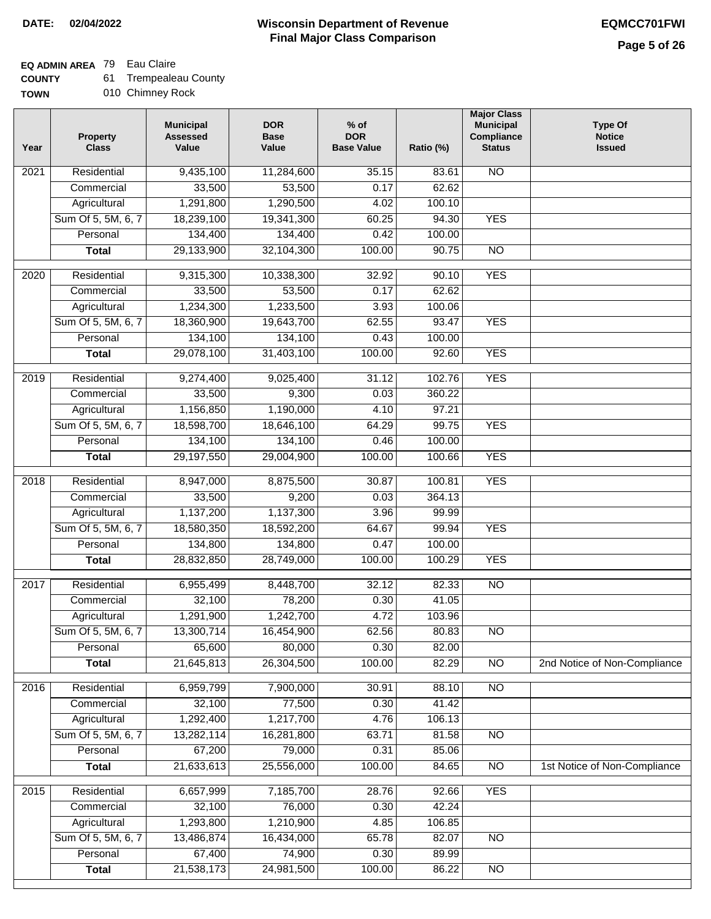### **EQ ADMIN AREA** 79 Eau Claire

**COUNTY** 61 Trempealeau County

**TOWN** 010 Chimney Rock

| Year | <b>Property</b><br><b>Class</b> | <b>Municipal</b><br><b>Assessed</b><br>Value | <b>DOR</b><br><b>Base</b><br>Value | $%$ of<br><b>DOR</b><br><b>Base Value</b> | Ratio (%)      | <b>Major Class</b><br><b>Municipal</b><br>Compliance<br><b>Status</b> | <b>Type Of</b><br><b>Notice</b><br><b>Issued</b> |
|------|---------------------------------|----------------------------------------------|------------------------------------|-------------------------------------------|----------------|-----------------------------------------------------------------------|--------------------------------------------------|
| 2021 | Residential                     | 9,435,100                                    | 11,284,600                         | 35.15                                     | 83.61          | <b>NO</b>                                                             |                                                  |
|      | Commercial                      | 33,500                                       | 53,500                             | 0.17                                      | 62.62          |                                                                       |                                                  |
|      | Agricultural                    | 1,291,800                                    | 1,290,500                          | 4.02                                      | 100.10         |                                                                       |                                                  |
|      | Sum Of 5, 5M, 6, 7              | 18,239,100                                   | 19,341,300                         | 60.25                                     | 94.30          | <b>YES</b>                                                            |                                                  |
|      | Personal                        | 134,400                                      | 134,400                            | 0.42                                      | 100.00         |                                                                       |                                                  |
|      | <b>Total</b>                    | 29,133,900                                   | 32,104,300                         | 100.00                                    | 90.75          | $\overline{NO}$                                                       |                                                  |
| 2020 | Residential                     | 9,315,300                                    | 10,338,300                         | 32.92                                     | 90.10          | <b>YES</b>                                                            |                                                  |
|      | Commercial                      | 33,500                                       | 53,500                             | 0.17                                      | 62.62          |                                                                       |                                                  |
|      | Agricultural                    | 1,234,300                                    | 1,233,500                          | 3.93                                      | 100.06         |                                                                       |                                                  |
|      | Sum Of 5, 5M, 6, 7              | 18,360,900                                   | 19,643,700                         | 62.55                                     | 93.47          | <b>YES</b>                                                            |                                                  |
|      | Personal                        | 134,100                                      | 134,100                            | 0.43                                      | 100.00         |                                                                       |                                                  |
|      | <b>Total</b>                    | 29,078,100                                   | 31,403,100                         | 100.00                                    | 92.60          | <b>YES</b>                                                            |                                                  |
|      |                                 |                                              |                                    |                                           |                |                                                                       |                                                  |
| 2019 | Residential                     | 9,274,400                                    | 9,025,400                          | 31.12                                     | 102.76         | <b>YES</b>                                                            |                                                  |
|      | Commercial                      | 33,500                                       | 9,300                              | 0.03                                      | 360.22         |                                                                       |                                                  |
|      | Agricultural                    | 1,156,850                                    | 1,190,000                          | 4.10                                      | 97.21          |                                                                       |                                                  |
|      | Sum Of 5, 5M, 6, 7              | 18,598,700                                   | 18,646,100                         | 64.29                                     | 99.75          | <b>YES</b>                                                            |                                                  |
|      | Personal                        | 134,100                                      | 134,100                            | 0.46                                      | 100.00         |                                                                       |                                                  |
|      | <b>Total</b>                    | 29,197,550                                   | 29,004,900                         | 100.00                                    | 100.66         | <b>YES</b>                                                            |                                                  |
| 2018 | Residential                     | 8,947,000                                    | 8,875,500                          | 30.87                                     | 100.81         | <b>YES</b>                                                            |                                                  |
|      | Commercial                      | 33,500                                       | 9,200                              | 0.03                                      | 364.13         |                                                                       |                                                  |
|      | Agricultural                    | 1,137,200                                    | 1,137,300                          | 3.96                                      | 99.99          |                                                                       |                                                  |
|      | Sum Of 5, 5M, 6, 7              | 18,580,350                                   | 18,592,200                         | 64.67                                     | 99.94          | <b>YES</b>                                                            |                                                  |
|      | Personal                        | 134,800                                      | 134,800                            | 0.47                                      | 100.00         |                                                                       |                                                  |
|      | <b>Total</b>                    | 28,832,850                                   | 28,749,000                         | 100.00                                    | 100.29         | <b>YES</b>                                                            |                                                  |
| 2017 | Residential                     | 6,955,499                                    | 8,448,700                          | 32.12                                     | 82.33          | <b>NO</b>                                                             |                                                  |
|      | Commercial                      | 32,100                                       | 78,200                             | 0.30                                      | 41.05          |                                                                       |                                                  |
|      | Agricultural                    | 1,291,900                                    | 1,242,700                          | 4.72                                      | 103.96         |                                                                       |                                                  |
|      | Sum Of 5, 5M, 6, 7              | 13,300,714                                   | 16,454,900                         | 62.56                                     | 80.83          | <b>NO</b>                                                             |                                                  |
|      | Personal                        | 65,600                                       | 80,000                             | 0.30                                      | 82.00          |                                                                       |                                                  |
|      | <b>Total</b>                    | 21,645,813                                   | 26,304,500                         | 100.00                                    | 82.29          | <b>NO</b>                                                             | 2nd Notice of Non-Compliance                     |
|      |                                 |                                              |                                    |                                           |                |                                                                       |                                                  |
| 2016 | Residential<br>Commercial       | 6,959,799<br>32,100                          | 7,900,000<br>77,500                | 30.91<br>0.30                             | 88.10<br>41.42 | $\overline{NO}$                                                       |                                                  |
|      | Agricultural                    | 1,292,400                                    | 1,217,700                          | 4.76                                      | 106.13         |                                                                       |                                                  |
|      | Sum Of 5, 5M, 6, 7              | 13,282,114                                   | 16,281,800                         | 63.71                                     | 81.58          | $\overline{NO}$                                                       |                                                  |
|      | Personal                        | 67,200                                       | 79,000                             | 0.31                                      | 85.06          |                                                                       |                                                  |
|      | <b>Total</b>                    | 21,633,613                                   | 25,556,000                         | 100.00                                    | 84.65          | $\overline{NO}$                                                       | 1st Notice of Non-Compliance                     |
|      |                                 |                                              |                                    |                                           |                |                                                                       |                                                  |
| 2015 | Residential                     | 6,657,999                                    | 7,185,700                          | 28.76                                     | 92.66          | <b>YES</b>                                                            |                                                  |
|      | Commercial                      | 32,100                                       | 76,000                             | 0.30                                      | 42.24          |                                                                       |                                                  |
|      | Agricultural                    | 1,293,800                                    | 1,210,900                          | 4.85                                      | 106.85         |                                                                       |                                                  |
|      | Sum Of 5, 5M, 6, 7              | 13,486,874                                   | 16,434,000                         | 65.78                                     | 82.07          | <b>NO</b>                                                             |                                                  |
|      | Personal                        | 67,400                                       | 74,900                             | 0.30                                      | 89.99          |                                                                       |                                                  |
|      | <b>Total</b>                    | 21,538,173                                   | 24,981,500                         | 100.00                                    | 86.22          | NO                                                                    |                                                  |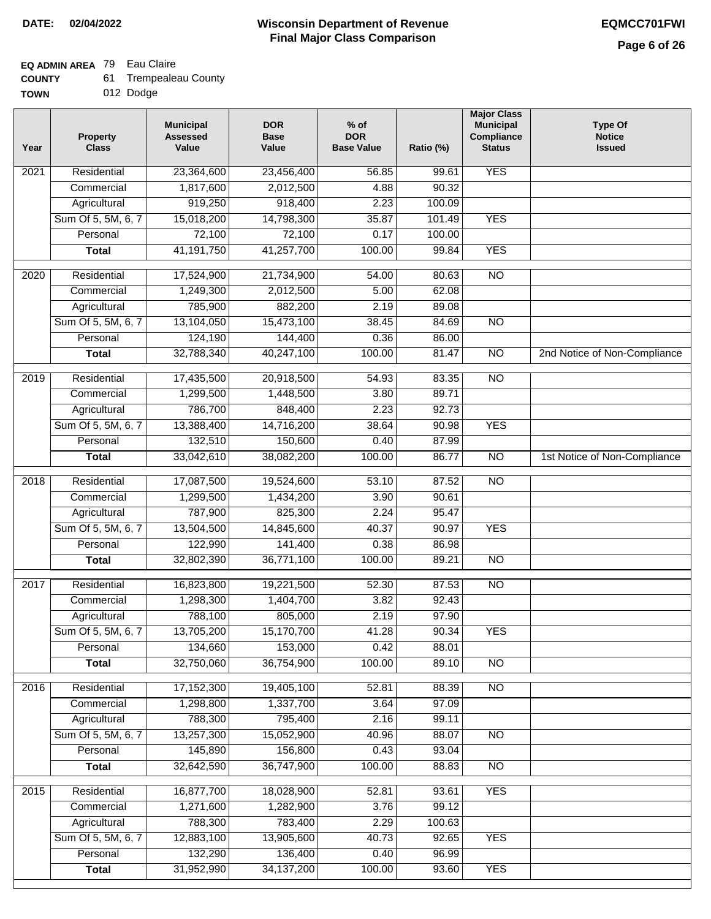## **EQ ADMIN AREA** 79 Eau Claire

| <b>COUNTY</b> | <b>Trempealeau County</b> |
|---------------|---------------------------|
|---------------|---------------------------|

**TOWN** 012 Dodge

| Year              | <b>Property</b><br><b>Class</b> | <b>Municipal</b><br><b>Assessed</b><br>Value | <b>DOR</b><br><b>Base</b><br>Value | $%$ of<br><b>DOR</b><br><b>Base Value</b> | Ratio (%) | <b>Major Class</b><br><b>Municipal</b><br>Compliance<br><b>Status</b> | <b>Type Of</b><br><b>Notice</b><br><b>Issued</b> |
|-------------------|---------------------------------|----------------------------------------------|------------------------------------|-------------------------------------------|-----------|-----------------------------------------------------------------------|--------------------------------------------------|
| $\overline{202}1$ | Residential                     | 23,364,600                                   | 23,456,400                         | 56.85                                     | 99.61     | <b>YES</b>                                                            |                                                  |
|                   | Commercial                      | 1,817,600                                    | 2,012,500                          | 4.88                                      | 90.32     |                                                                       |                                                  |
|                   | Agricultural                    | 919,250                                      | 918,400                            | 2.23                                      | 100.09    |                                                                       |                                                  |
|                   | Sum Of 5, 5M, 6, 7              | 15,018,200                                   | 14,798,300                         | 35.87                                     | 101.49    | <b>YES</b>                                                            |                                                  |
|                   | Personal                        | 72,100                                       | 72,100                             | 0.17                                      | 100.00    |                                                                       |                                                  |
|                   | <b>Total</b>                    | 41, 191, 750                                 | 41,257,700                         | 100.00                                    | 99.84     | <b>YES</b>                                                            |                                                  |
| $\overline{2020}$ | Residential                     | 17,524,900                                   | 21,734,900                         | 54.00                                     | 80.63     | $\overline{NO}$                                                       |                                                  |
|                   | Commercial                      | 1,249,300                                    | 2,012,500                          | 5.00                                      | 62.08     |                                                                       |                                                  |
|                   | Agricultural                    | 785,900                                      | 882,200                            | 2.19                                      | 89.08     |                                                                       |                                                  |
|                   | Sum Of 5, 5M, 6, 7              | 13,104,050                                   | 15,473,100                         | 38.45                                     | 84.69     | $\overline{NO}$                                                       |                                                  |
|                   | Personal                        | 124,190                                      | 144,400                            | 0.36                                      | 86.00     |                                                                       |                                                  |
|                   | <b>Total</b>                    | 32,788,340                                   | 40,247,100                         | 100.00                                    | 81.47     | $\overline{NO}$                                                       | 2nd Notice of Non-Compliance                     |
| 2019              | Residential                     | 17,435,500                                   | 20,918,500                         | 54.93                                     | 83.35     | $\overline{NO}$                                                       |                                                  |
|                   | Commercial                      | 1,299,500                                    | 1,448,500                          | 3.80                                      | 89.71     |                                                                       |                                                  |
|                   | Agricultural                    | 786,700                                      | 848,400                            | 2.23                                      | 92.73     |                                                                       |                                                  |
|                   | Sum Of 5, 5M, 6, 7              | 13,388,400                                   | 14,716,200                         | 38.64                                     | 90.98     | <b>YES</b>                                                            |                                                  |
|                   | Personal                        | 132,510                                      | 150,600                            | 0.40                                      | 87.99     |                                                                       |                                                  |
|                   | <b>Total</b>                    | 33,042,610                                   | 38,082,200                         | 100.00                                    | 86.77     | $\overline{NO}$                                                       | 1st Notice of Non-Compliance                     |
| 2018              | Residential                     | 17,087,500                                   | 19,524,600                         | 53.10                                     | 87.52     | $\overline{NO}$                                                       |                                                  |
|                   | Commercial                      | 1,299,500                                    | 1,434,200                          | 3.90                                      | 90.61     |                                                                       |                                                  |
|                   | Agricultural                    | 787,900                                      | 825,300                            | 2.24                                      | 95.47     |                                                                       |                                                  |
|                   | Sum Of 5, 5M, 6, 7              | 13,504,500                                   | 14,845,600                         | 40.37                                     | 90.97     | <b>YES</b>                                                            |                                                  |
|                   | Personal                        | 122,990                                      | 141,400                            | 0.38                                      | 86.98     |                                                                       |                                                  |
|                   | <b>Total</b>                    | 32,802,390                                   | 36,771,100                         | 100.00                                    | 89.21     | <b>NO</b>                                                             |                                                  |
| $\overline{2017}$ | Residential                     | 16,823,800                                   | 19,221,500                         | 52.30                                     | 87.53     | $\overline{NO}$                                                       |                                                  |
|                   | Commercial                      | 1,298,300                                    | 1,404,700                          | 3.82                                      | 92.43     |                                                                       |                                                  |
|                   | Agricultural                    | 788,100                                      | 805,000                            | 2.19                                      | 97.90     |                                                                       |                                                  |
|                   | Sum Of 5, 5M, 6, 7              | 13,705,200                                   | 15,170,700                         | 41.28                                     | 90.34     | <b>YES</b>                                                            |                                                  |
|                   | Personal                        | 134,660                                      | 153,000                            | 0.42                                      | 88.01     |                                                                       |                                                  |
|                   | <b>Total</b>                    | 32,750,060                                   | 36,754,900                         | 100.00                                    | 89.10     | <b>NO</b>                                                             |                                                  |
| 2016              | Residential                     | 17,152,300                                   | 19,405,100                         | 52.81                                     | 88.39     | $\overline{NO}$                                                       |                                                  |
|                   | Commercial                      | 1,298,800                                    | 1,337,700                          | 3.64                                      | 97.09     |                                                                       |                                                  |
|                   | Agricultural                    | 788,300                                      | 795,400                            | 2.16                                      | 99.11     |                                                                       |                                                  |
|                   | Sum Of 5, 5M, 6, 7              | 13,257,300                                   | 15,052,900                         | 40.96                                     | 88.07     | $\overline{NO}$                                                       |                                                  |
|                   | Personal                        | 145,890                                      | 156,800                            | 0.43                                      | 93.04     |                                                                       |                                                  |
|                   | <b>Total</b>                    | 32,642,590                                   | 36,747,900                         | 100.00                                    | 88.83     | N <sub>O</sub>                                                        |                                                  |
| 2015              | Residential                     | 16,877,700                                   | 18,028,900                         | 52.81                                     | 93.61     | <b>YES</b>                                                            |                                                  |
|                   | Commercial                      | 1,271,600                                    | 1,282,900                          | 3.76                                      | 99.12     |                                                                       |                                                  |
|                   | Agricultural                    | 788,300                                      | 783,400                            | 2.29                                      | 100.63    |                                                                       |                                                  |
|                   | Sum Of 5, 5M, 6, 7              | 12,883,100                                   | 13,905,600                         | 40.73                                     | 92.65     | <b>YES</b>                                                            |                                                  |
|                   | Personal                        | 132,290                                      | 136,400                            | 0.40                                      | 96.99     |                                                                       |                                                  |
|                   | <b>Total</b>                    | 31,952,990                                   | 34, 137, 200                       | 100.00                                    | 93.60     | <b>YES</b>                                                            |                                                  |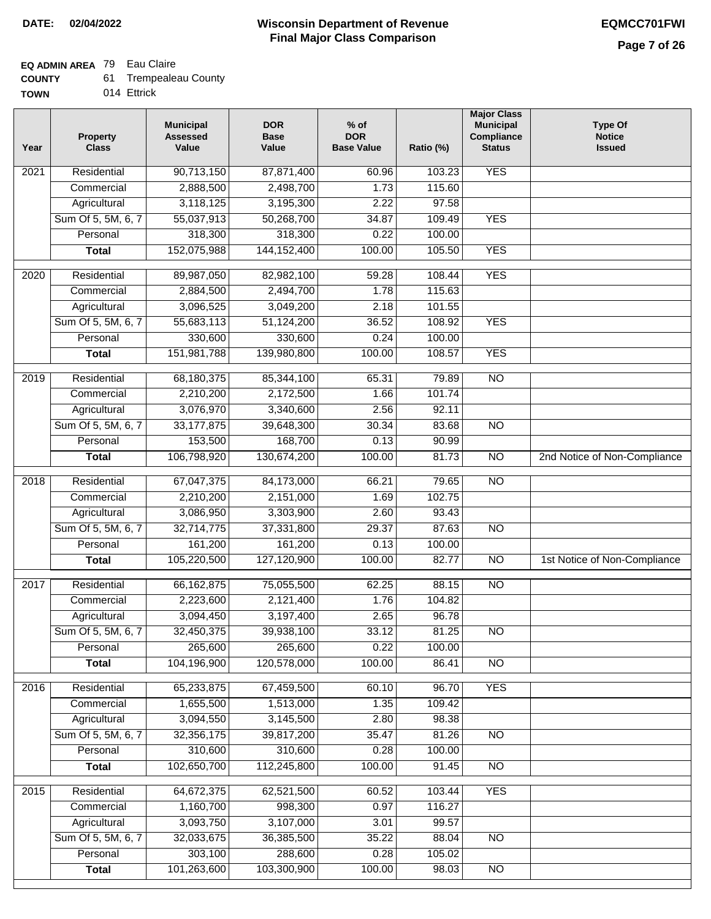## **EQ ADMIN AREA** 79 Eau Claire

| 61.<br><b>COUNTY</b> | Trempealeau County |
|----------------------|--------------------|
|----------------------|--------------------|

**TOWN** 014 Ettrick

| Year              | <b>Property</b><br><b>Class</b> | <b>Municipal</b><br><b>Assessed</b><br>Value | <b>DOR</b><br><b>Base</b><br>Value | % of<br><b>DOR</b><br><b>Base Value</b> | Ratio (%) | <b>Major Class</b><br><b>Municipal</b><br>Compliance<br><b>Status</b> | <b>Type Of</b><br><b>Notice</b><br><b>Issued</b> |
|-------------------|---------------------------------|----------------------------------------------|------------------------------------|-----------------------------------------|-----------|-----------------------------------------------------------------------|--------------------------------------------------|
| $\overline{202}1$ | Residential                     | 90,713,150                                   | 87,871,400                         | 60.96                                   | 103.23    | <b>YES</b>                                                            |                                                  |
|                   | Commercial                      | 2,888,500                                    | 2,498,700                          | 1.73                                    | 115.60    |                                                                       |                                                  |
|                   | Agricultural                    | 3,118,125                                    | 3,195,300                          | 2.22                                    | 97.58     |                                                                       |                                                  |
|                   | Sum Of 5, 5M, 6, 7              | 55,037,913                                   | 50,268,700                         | 34.87                                   | 109.49    | <b>YES</b>                                                            |                                                  |
|                   | Personal                        | 318,300                                      | 318,300                            | 0.22                                    | 100.00    |                                                                       |                                                  |
|                   | <b>Total</b>                    | 152,075,988                                  | 144, 152, 400                      | 100.00                                  | 105.50    | <b>YES</b>                                                            |                                                  |
| $\overline{2020}$ | Residential                     | 89,987,050                                   | 82,982,100                         | 59.28                                   | 108.44    | <b>YES</b>                                                            |                                                  |
|                   | Commercial                      | 2,884,500                                    | 2,494,700                          | 1.78                                    | 115.63    |                                                                       |                                                  |
|                   | Agricultural                    | 3,096,525                                    | 3,049,200                          | 2.18                                    | 101.55    |                                                                       |                                                  |
|                   | Sum Of 5, 5M, 6, 7              | 55,683,113                                   | 51,124,200                         | 36.52                                   | 108.92    | <b>YES</b>                                                            |                                                  |
|                   | Personal                        | 330,600                                      | 330,600                            | 0.24                                    | 100.00    |                                                                       |                                                  |
|                   | <b>Total</b>                    | 151,981,788                                  | 139,980,800                        | 100.00                                  | 108.57    | <b>YES</b>                                                            |                                                  |
| 2019              | Residential                     | 68,180,375                                   | 85,344,100                         | 65.31                                   | 79.89     | $\overline{NO}$                                                       |                                                  |
|                   | Commercial                      | 2,210,200                                    | 2,172,500                          | 1.66                                    | 101.74    |                                                                       |                                                  |
|                   | Agricultural                    | 3,076,970                                    | 3,340,600                          | 2.56                                    | 92.11     |                                                                       |                                                  |
|                   | Sum Of 5, 5M, 6, 7              | 33, 177, 875                                 | 39,648,300                         | 30.34                                   | 83.68     | $\overline{NO}$                                                       |                                                  |
|                   | Personal                        | 153,500                                      | 168,700                            | 0.13                                    | 90.99     |                                                                       |                                                  |
|                   | <b>Total</b>                    | 106,798,920                                  | 130,674,200                        | 100.00                                  | 81.73     | $\overline{NO}$                                                       | 2nd Notice of Non-Compliance                     |
| 2018              | Residential                     | 67,047,375                                   | 84,173,000                         | 66.21                                   | 79.65     | $\overline{NO}$                                                       |                                                  |
|                   | Commercial                      | 2,210,200                                    | 2,151,000                          | 1.69                                    | 102.75    |                                                                       |                                                  |
|                   | Agricultural                    | 3,086,950                                    | 3,303,900                          | 2.60                                    | 93.43     |                                                                       |                                                  |
|                   | Sum Of 5, 5M, 6, 7              | 32,714,775                                   | 37,331,800                         | 29.37                                   | 87.63     | $\overline{10}$                                                       |                                                  |
|                   | Personal                        | 161,200                                      | 161,200                            | 0.13                                    | 100.00    |                                                                       |                                                  |
|                   | <b>Total</b>                    | 105,220,500                                  | 127,120,900                        | 100.00                                  | 82.77     | $\overline{NO}$                                                       | 1st Notice of Non-Compliance                     |
| 2017              | Residential                     | 66, 162, 875                                 | 75,055,500                         | 62.25                                   | 88.15     | $\overline{NO}$                                                       |                                                  |
|                   | Commercial                      | 2,223,600                                    | 2,121,400                          | 1.76                                    | 104.82    |                                                                       |                                                  |
|                   | Agricultural                    | 3,094,450                                    | 3,197,400                          | 2.65                                    | 96.78     |                                                                       |                                                  |
|                   | Sum Of 5, 5M, 6, 7              | 32,450,375                                   | 39,938,100                         | 33.12                                   | 81.25     | <b>NO</b>                                                             |                                                  |
|                   | Personal                        | 265,600                                      | 265,600                            | 0.22                                    | 100.00    |                                                                       |                                                  |
|                   | <b>Total</b>                    | 104,196,900                                  | 120,578,000                        | 100.00                                  | 86.41     | <b>NO</b>                                                             |                                                  |
| 2016              | Residential                     | 65,233,875                                   | 67,459,500                         | 60.10                                   | 96.70     | <b>YES</b>                                                            |                                                  |
|                   | Commercial                      | 1,655,500                                    | 1,513,000                          | 1.35                                    | 109.42    |                                                                       |                                                  |
|                   | Agricultural                    | 3,094,550                                    | 3,145,500                          | 2.80                                    | 98.38     |                                                                       |                                                  |
|                   | Sum Of 5, 5M, 6, 7              | 32,356,175                                   | 39,817,200                         | 35.47                                   | 81.26     | $\overline{NO}$                                                       |                                                  |
|                   | Personal                        | 310,600                                      | 310,600                            | 0.28                                    | 100.00    |                                                                       |                                                  |
|                   | <b>Total</b>                    | 102,650,700                                  | 112,245,800                        | 100.00                                  | 91.45     | N <sub>O</sub>                                                        |                                                  |
|                   |                                 |                                              |                                    |                                         |           |                                                                       |                                                  |
| 2015              | Residential                     | 64,672,375                                   | 62,521,500                         | 60.52                                   | 103.44    | <b>YES</b>                                                            |                                                  |
|                   | Commercial                      | 1,160,700                                    | 998,300                            | 0.97                                    | 116.27    |                                                                       |                                                  |
|                   | Agricultural                    | 3,093,750                                    | 3,107,000                          | 3.01                                    | 99.57     |                                                                       |                                                  |
|                   | Sum Of 5, 5M, 6, 7              | 32,033,675                                   | 36,385,500                         | 35.22                                   | 88.04     | $\overline{NO}$                                                       |                                                  |
|                   | Personal                        | 303,100                                      | 288,600                            | 0.28                                    | 105.02    |                                                                       |                                                  |
|                   | <b>Total</b>                    | 101,263,600                                  | 103,300,900                        | 100.00                                  | 98.03     | N <sub>O</sub>                                                        |                                                  |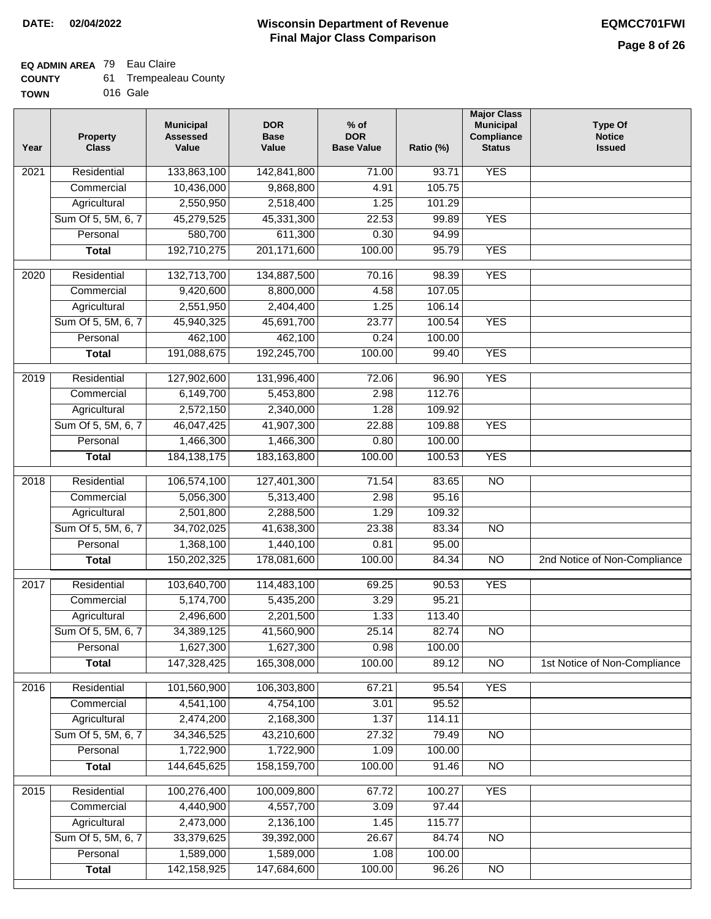## **EQ ADMIN AREA** 79 Eau Claire

| <b>COUNTY</b> | <b>Trempealeau County</b> |
|---------------|---------------------------|
|---------------|---------------------------|

**TOWN** 016 Gale

| Year              | Property<br><b>Class</b> | <b>Municipal</b><br><b>Assessed</b><br>Value | <b>DOR</b><br><b>Base</b><br>Value | $%$ of<br><b>DOR</b><br><b>Base Value</b> | Ratio (%) | <b>Major Class</b><br><b>Municipal</b><br>Compliance<br><b>Status</b> | <b>Type Of</b><br><b>Notice</b><br><b>Issued</b> |
|-------------------|--------------------------|----------------------------------------------|------------------------------------|-------------------------------------------|-----------|-----------------------------------------------------------------------|--------------------------------------------------|
| $\overline{202}1$ | Residential              | 133,863,100                                  | 142,841,800                        | 71.00                                     | 93.71     | <b>YES</b>                                                            |                                                  |
|                   | Commercial               | 10,436,000                                   | 9,868,800                          | 4.91                                      | 105.75    |                                                                       |                                                  |
|                   | Agricultural             | 2,550,950                                    | 2,518,400                          | 1.25                                      | 101.29    |                                                                       |                                                  |
|                   | Sum Of 5, 5M, 6, 7       | 45,279,525                                   | 45,331,300                         | 22.53                                     | 99.89     | <b>YES</b>                                                            |                                                  |
|                   | Personal                 | 580,700                                      | 611,300                            | 0.30                                      | 94.99     |                                                                       |                                                  |
|                   | <b>Total</b>             | 192,710,275                                  | 201, 171, 600                      | 100.00                                    | 95.79     | <b>YES</b>                                                            |                                                  |
| 2020              | Residential              | 132,713,700                                  | 134,887,500                        | 70.16                                     | 98.39     | <b>YES</b>                                                            |                                                  |
|                   | Commercial               | 9,420,600                                    | 8,800,000                          | 4.58                                      | 107.05    |                                                                       |                                                  |
|                   | Agricultural             | 2,551,950                                    | 2,404,400                          | 1.25                                      | 106.14    |                                                                       |                                                  |
|                   | Sum Of 5, 5M, 6, 7       | 45,940,325                                   | 45,691,700                         | 23.77                                     | 100.54    | <b>YES</b>                                                            |                                                  |
|                   | Personal                 | 462,100                                      | 462,100                            | 0.24                                      | 100.00    |                                                                       |                                                  |
|                   | <b>Total</b>             | 191,088,675                                  | 192,245,700                        | 100.00                                    | 99.40     | <b>YES</b>                                                            |                                                  |
| 2019              | Residential              | 127,902,600                                  | 131,996,400                        | 72.06                                     | 96.90     | <b>YES</b>                                                            |                                                  |
|                   | Commercial               | 6,149,700                                    | 5,453,800                          | 2.98                                      | 112.76    |                                                                       |                                                  |
|                   | Agricultural             | 2,572,150                                    | 2,340,000                          | 1.28                                      | 109.92    |                                                                       |                                                  |
|                   | Sum Of 5, 5M, 6, 7       | 46,047,425                                   | 41,907,300                         | 22.88                                     | 109.88    | <b>YES</b>                                                            |                                                  |
|                   | Personal                 | 1,466,300                                    | 1,466,300                          | 0.80                                      | 100.00    |                                                                       |                                                  |
|                   | <b>Total</b>             | 184, 138, 175                                | 183, 163, 800                      | 100.00                                    | 100.53    | <b>YES</b>                                                            |                                                  |
| 2018              | Residential              | 106,574,100                                  | 127,401,300                        | 71.54                                     | 83.65     | $\overline{NO}$                                                       |                                                  |
|                   | Commercial               | 5,056,300                                    | 5,313,400                          | 2.98                                      | 95.16     |                                                                       |                                                  |
|                   | Agricultural             | 2,501,800                                    | 2,288,500                          | 1.29                                      | 109.32    |                                                                       |                                                  |
|                   | Sum Of 5, 5M, 6, 7       | 34,702,025                                   | 41,638,300                         | 23.38                                     | 83.34     | $\overline{10}$                                                       |                                                  |
|                   | Personal                 | 1,368,100                                    | 1,440,100                          | 0.81                                      | 95.00     |                                                                       |                                                  |
|                   | <b>Total</b>             | 150,202,325                                  | 178,081,600                        | 100.00                                    | 84.34     | NO                                                                    | 2nd Notice of Non-Compliance                     |
| 2017              | Residential              | 103,640,700                                  | 114,483,100                        | 69.25                                     | 90.53     | <b>YES</b>                                                            |                                                  |
|                   | Commercial               | 5,174,700                                    | 5,435,200                          | 3.29                                      | 95.21     |                                                                       |                                                  |
|                   | Agricultural             | 2,496,600                                    | 2,201,500                          | 1.33                                      | 113.40    |                                                                       |                                                  |
|                   | Sum Of 5, 5M, 6, 7       | 34,389,125                                   | 41,560,900                         | 25.14                                     | 82.74     | N <sub>O</sub>                                                        |                                                  |
|                   | Personal                 | 1,627,300                                    | 1,627,300                          | 0.98                                      | 100.00    |                                                                       |                                                  |
|                   | <b>Total</b>             | 147,328,425                                  | 165,308,000                        | 100.00                                    | 89.12     | <b>NO</b>                                                             | 1st Notice of Non-Compliance                     |
| 2016              | Residential              | 101,560,900                                  | 106,303,800                        | 67.21                                     | 95.54     | <b>YES</b>                                                            |                                                  |
|                   | Commercial               | 4,541,100                                    | 4,754,100                          | 3.01                                      | 95.52     |                                                                       |                                                  |
|                   | Agricultural             | 2,474,200                                    | 2,168,300                          | 1.37                                      | 114.11    |                                                                       |                                                  |
|                   | Sum Of 5, 5M, 6, 7       | 34,346,525                                   | 43,210,600                         | 27.32                                     | 79.49     | $\overline{NO}$                                                       |                                                  |
|                   | Personal                 | 1,722,900                                    | 1,722,900                          | 1.09                                      | 100.00    |                                                                       |                                                  |
|                   | <b>Total</b>             | 144,645,625                                  | 158,159,700                        | 100.00                                    | 91.46     | $\overline{NO}$                                                       |                                                  |
| 2015              | Residential              | 100,276,400                                  | 100,009,800                        | 67.72                                     | 100.27    | <b>YES</b>                                                            |                                                  |
|                   | Commercial               | 4,440,900                                    | 4,557,700                          | 3.09                                      | 97.44     |                                                                       |                                                  |
|                   | Agricultural             | 2,473,000                                    | 2,136,100                          | 1.45                                      | 115.77    |                                                                       |                                                  |
|                   | Sum Of 5, 5M, 6, 7       | 33,379,625                                   | 39,392,000                         | 26.67                                     | 84.74     | <b>NO</b>                                                             |                                                  |
|                   | Personal                 | 1,589,000                                    | 1,589,000                          | 1.08                                      | 100.00    |                                                                       |                                                  |
|                   | <b>Total</b>             | 142, 158, 925                                | 147,684,600                        | 100.00                                    | 96.26     | N <sub>O</sub>                                                        |                                                  |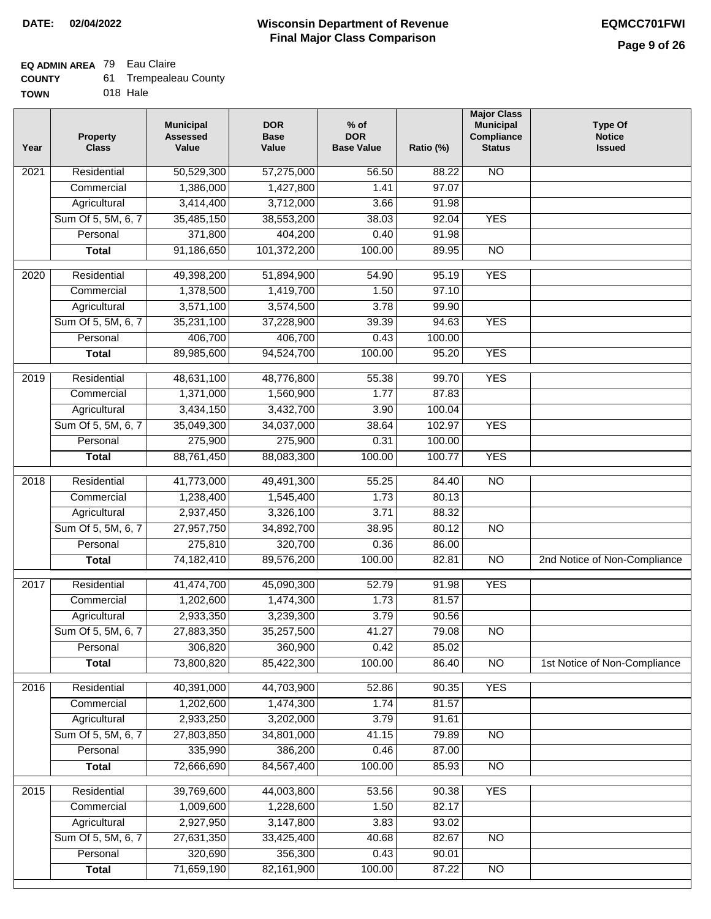## **EQ ADMIN AREA** 79 Eau Claire

| 61.<br><b>COUNTY</b> | <b>Trempealeau County</b> |  |
|----------------------|---------------------------|--|
|----------------------|---------------------------|--|

**TOWN** 018 Hale

| Year              | <b>Property</b><br><b>Class</b> | <b>Municipal</b><br><b>Assessed</b><br>Value | <b>DOR</b><br><b>Base</b><br>Value | $%$ of<br><b>DOR</b><br><b>Base Value</b> | Ratio (%) | <b>Major Class</b><br><b>Municipal</b><br>Compliance<br><b>Status</b> | <b>Type Of</b><br><b>Notice</b><br><b>Issued</b> |
|-------------------|---------------------------------|----------------------------------------------|------------------------------------|-------------------------------------------|-----------|-----------------------------------------------------------------------|--------------------------------------------------|
| 2021              | Residential                     | 50,529,300                                   | 57,275,000                         | 56.50                                     | 88.22     | N <sub>O</sub>                                                        |                                                  |
|                   | Commercial                      | 1,386,000                                    | 1,427,800                          | 1.41                                      | 97.07     |                                                                       |                                                  |
|                   | Agricultural                    | 3,414,400                                    | 3,712,000                          | 3.66                                      | 91.98     |                                                                       |                                                  |
|                   | Sum Of 5, 5M, 6, 7              | 35,485,150                                   | 38,553,200                         | 38.03                                     | 92.04     | <b>YES</b>                                                            |                                                  |
|                   | Personal                        | 371,800                                      | 404,200                            | 0.40                                      | 91.98     |                                                                       |                                                  |
|                   | <b>Total</b>                    | 91,186,650                                   | 101,372,200                        | 100.00                                    | 89.95     | $\overline{NO}$                                                       |                                                  |
| 2020              | Residential                     | 49,398,200                                   | 51,894,900                         | 54.90                                     | 95.19     | <b>YES</b>                                                            |                                                  |
|                   | Commercial                      | 1,378,500                                    | 1,419,700                          | 1.50                                      | 97.10     |                                                                       |                                                  |
|                   | Agricultural                    | 3,571,100                                    | 3,574,500                          | 3.78                                      | 99.90     |                                                                       |                                                  |
|                   | Sum Of 5, 5M, 6, 7              | 35,231,100                                   | 37,228,900                         | 39.39                                     | 94.63     | <b>YES</b>                                                            |                                                  |
|                   | Personal                        | 406,700                                      | 406,700                            | 0.43                                      | 100.00    |                                                                       |                                                  |
|                   | <b>Total</b>                    | 89,985,600                                   | 94,524,700                         | 100.00                                    | 95.20     | <b>YES</b>                                                            |                                                  |
|                   |                                 |                                              |                                    |                                           |           |                                                                       |                                                  |
| 2019              | Residential                     | 48,631,100                                   | 48,776,800                         | 55.38                                     | 99.70     | <b>YES</b>                                                            |                                                  |
|                   | Commercial                      | 1,371,000                                    | 1,560,900                          | 1.77                                      | 87.83     |                                                                       |                                                  |
|                   | Agricultural                    | 3,434,150                                    | 3,432,700                          | 3.90                                      | 100.04    |                                                                       |                                                  |
|                   | Sum Of 5, 5M, 6, 7              | 35,049,300                                   | 34,037,000                         | 38.64                                     | 102.97    | <b>YES</b>                                                            |                                                  |
|                   | Personal                        | 275,900                                      | 275,900                            | 0.31                                      | 100.00    |                                                                       |                                                  |
|                   | <b>Total</b>                    | 88,761,450                                   | 88,083,300                         | 100.00                                    | 100.77    | <b>YES</b>                                                            |                                                  |
| 2018              | Residential                     | 41,773,000                                   | 49,491,300                         | 55.25                                     | 84.40     | $\overline{NO}$                                                       |                                                  |
|                   | Commercial                      | 1,238,400                                    | 1,545,400                          | 1.73                                      | 80.13     |                                                                       |                                                  |
|                   | Agricultural                    | 2,937,450                                    | 3,326,100                          | 3.71                                      | 88.32     |                                                                       |                                                  |
|                   | Sum Of 5, 5M, 6, 7              | 27,957,750                                   | 34,892,700                         | 38.95                                     | 80.12     | <b>NO</b>                                                             |                                                  |
|                   | Personal                        | 275,810                                      | 320,700                            | 0.36                                      | 86.00     |                                                                       |                                                  |
|                   | <b>Total</b>                    | 74,182,410                                   | 89,576,200                         | 100.00                                    | 82.81     | <b>NO</b>                                                             | 2nd Notice of Non-Compliance                     |
| 2017              | Residential                     | 41,474,700                                   | 45,090,300                         | 52.79                                     | 91.98     | <b>YES</b>                                                            |                                                  |
|                   | Commercial                      | 1,202,600                                    | 1,474,300                          | 1.73                                      | 81.57     |                                                                       |                                                  |
|                   | Agricultural                    | 2,933,350                                    | 3,239,300                          | 3.79                                      | 90.56     |                                                                       |                                                  |
|                   | Sum Of 5, 5M, 6, 7              | 27,883,350                                   | 35,257,500                         | 41.27                                     | 79.08     | NO                                                                    |                                                  |
|                   | Personal                        | 306,820                                      | 360,900                            | 0.42                                      | 85.02     |                                                                       |                                                  |
|                   | <b>Total</b>                    | 73,800,820                                   | 85,422,300                         | 100.00                                    | 86.40     | $\overline{NO}$                                                       | 1st Notice of Non-Compliance                     |
| 2016              | Residential                     | 40,391,000                                   | 44,703,900                         | 52.86                                     | 90.35     | <b>YES</b>                                                            |                                                  |
|                   | Commercial                      | 1,202,600                                    | 1,474,300                          | 1.74                                      | 81.57     |                                                                       |                                                  |
|                   | Agricultural                    | 2,933,250                                    | 3,202,000                          | 3.79                                      | 91.61     |                                                                       |                                                  |
|                   | Sum Of 5, 5M, 6, 7              | 27,803,850                                   | 34,801,000                         | 41.15                                     | 79.89     | $\overline{NO}$                                                       |                                                  |
|                   | Personal                        | 335,990                                      | 386,200                            | 0.46                                      | 87.00     |                                                                       |                                                  |
|                   | <b>Total</b>                    | 72,666,690                                   | 84,567,400                         | 100.00                                    | 85.93     | $\overline{NO}$                                                       |                                                  |
| $\overline{2015}$ | Residential                     | 39,769,600                                   | 44,003,800                         | 53.56                                     | 90.38     | <b>YES</b>                                                            |                                                  |
|                   | Commercial                      | 1,009,600                                    | 1,228,600                          | 1.50                                      | 82.17     |                                                                       |                                                  |
|                   | Agricultural                    | 2,927,950                                    | 3,147,800                          | 3.83                                      | 93.02     |                                                                       |                                                  |
|                   | Sum Of 5, 5M, 6, 7              | 27,631,350                                   | 33,425,400                         | 40.68                                     | 82.67     | N <sub>O</sub>                                                        |                                                  |
|                   | Personal                        | 320,690                                      | 356,300                            | 0.43                                      | 90.01     |                                                                       |                                                  |
|                   |                                 | 71,659,190                                   | 82,161,900                         | 100.00                                    | 87.22     | $\overline{NO}$                                                       |                                                  |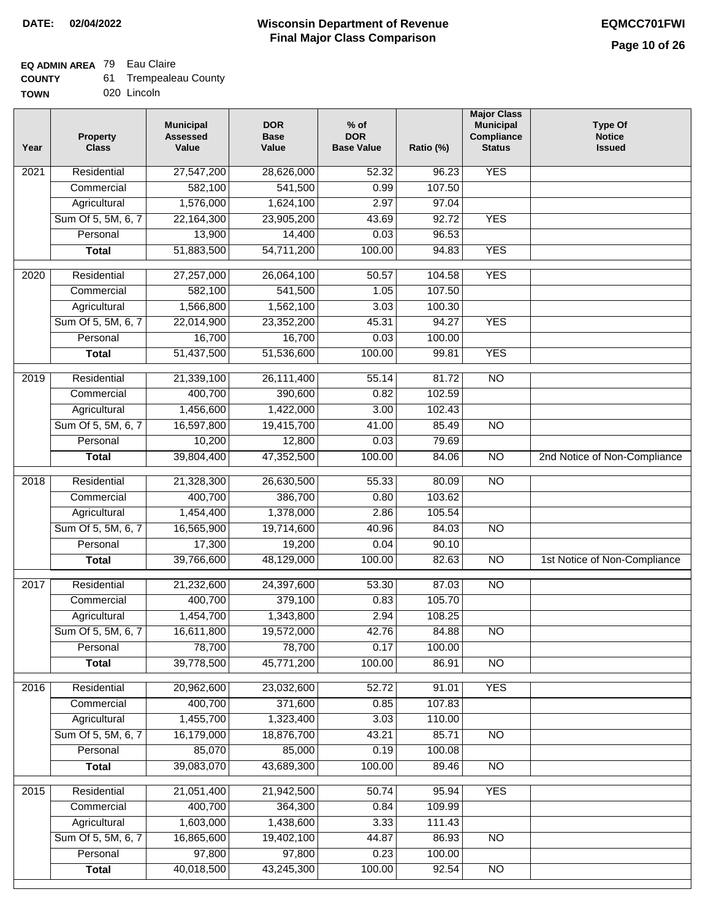## **EQ ADMIN AREA** 79 Eau Claire

| 61.<br><b>COUNTY</b> | <b>Trempealeau County</b> |
|----------------------|---------------------------|
|----------------------|---------------------------|

**TOWN** 020 Lincoln

| Year              | <b>Property</b><br><b>Class</b> | <b>Municipal</b><br><b>Assessed</b><br>Value | <b>DOR</b><br><b>Base</b><br>Value | $%$ of<br><b>DOR</b><br><b>Base Value</b> | Ratio (%)       | <b>Major Class</b><br><b>Municipal</b><br>Compliance<br><b>Status</b> | <b>Type Of</b><br><b>Notice</b><br><b>Issued</b> |
|-------------------|---------------------------------|----------------------------------------------|------------------------------------|-------------------------------------------|-----------------|-----------------------------------------------------------------------|--------------------------------------------------|
| $\overline{202}1$ | Residential                     | 27,547,200                                   | 28,626,000                         | 52.32                                     | 96.23           | <b>YES</b>                                                            |                                                  |
|                   | Commercial                      | 582,100                                      | 541,500                            | 0.99                                      | 107.50          |                                                                       |                                                  |
|                   | Agricultural                    | 1,576,000                                    | 1,624,100                          | 2.97                                      | 97.04           |                                                                       |                                                  |
|                   | Sum Of 5, 5M, 6, 7              | 22,164,300                                   | 23,905,200                         | 43.69                                     | 92.72           | <b>YES</b>                                                            |                                                  |
|                   | Personal                        | 13,900                                       | 14,400                             | 0.03                                      | 96.53           |                                                                       |                                                  |
|                   | <b>Total</b>                    | 51,883,500                                   | 54,711,200                         | 100.00                                    | 94.83           | <b>YES</b>                                                            |                                                  |
| $\overline{2020}$ | Residential                     | 27,257,000                                   | 26,064,100                         | 50.57                                     | 104.58          | <b>YES</b>                                                            |                                                  |
|                   | Commercial                      | 582,100                                      | 541,500                            | 1.05                                      | 107.50          |                                                                       |                                                  |
|                   | Agricultural                    | 1,566,800                                    | 1,562,100                          | 3.03                                      | 100.30          |                                                                       |                                                  |
|                   | Sum Of 5, 5M, 6, 7              | 22,014,900                                   | 23,352,200                         | 45.31                                     | 94.27           | <b>YES</b>                                                            |                                                  |
|                   | Personal                        | 16,700                                       | 16,700                             | 0.03                                      | 100.00          |                                                                       |                                                  |
|                   | <b>Total</b>                    | 51,437,500                                   | 51,536,600                         | 100.00                                    | 99.81           | <b>YES</b>                                                            |                                                  |
| 2019              | Residential                     | 21,339,100                                   | 26,111,400                         | 55.14                                     | 81.72           | $\overline{10}$                                                       |                                                  |
|                   | Commercial                      | 400,700                                      | 390,600                            | 0.82                                      | 102.59          |                                                                       |                                                  |
|                   | Agricultural                    | 1,456,600                                    | 1,422,000                          | 3.00                                      | 102.43          |                                                                       |                                                  |
|                   | Sum Of 5, 5M, 6, 7              | 16,597,800                                   | 19,415,700                         | 41.00                                     | 85.49           | $\overline{NO}$                                                       |                                                  |
|                   | Personal                        | 10,200                                       | 12,800                             | 0.03                                      | 79.69           |                                                                       |                                                  |
|                   | <b>Total</b>                    | 39,804,400                                   | 47,352,500                         | 100.00                                    | 84.06           | $\overline{NO}$                                                       | 2nd Notice of Non-Compliance                     |
| 2018              | Residential                     | 21,328,300                                   | 26,630,500                         | 55.33                                     | 80.09           | $\overline{10}$                                                       |                                                  |
|                   | Commercial                      | 400,700                                      | 386,700                            | 0.80                                      | 103.62          |                                                                       |                                                  |
|                   | Agricultural                    | 1,454,400                                    | 1,378,000                          | 2.86                                      | 105.54          |                                                                       |                                                  |
|                   | Sum Of 5, 5M, 6, 7              | 16,565,900                                   | 19,714,600                         | 40.96                                     | 84.03           | $\overline{3}$                                                        |                                                  |
|                   | Personal                        | 17,300                                       | 19,200                             | 0.04                                      | 90.10           |                                                                       |                                                  |
|                   | <b>Total</b>                    | 39,766,600                                   | 48,129,000                         | 100.00                                    | 82.63           | $\overline{10}$                                                       | 1st Notice of Non-Compliance                     |
| 2017              | Residential                     | 21,232,600                                   | 24,397,600                         | 53.30                                     | 87.03           | <b>NO</b>                                                             |                                                  |
|                   | Commercial                      | 400,700                                      | 379,100                            | 0.83                                      | 105.70          |                                                                       |                                                  |
|                   | Agricultural                    | 1,454,700                                    | 1,343,800                          | 2.94                                      | 108.25          |                                                                       |                                                  |
|                   | Sum Of 5, 5M, 6, 7              | 16,611,800                                   | 19,572,000                         | 42.76                                     | 84.88           | <b>NO</b>                                                             |                                                  |
|                   | Personal                        | 78,700                                       | 78,700                             | 0.17                                      | 100.00          |                                                                       |                                                  |
|                   | <b>Total</b>                    | 39,778,500                                   | 45,771,200                         | 100.00                                    | 86.91           | <b>NO</b>                                                             |                                                  |
| 2016              | Residential                     | 20,962,600                                   |                                    |                                           |                 | <b>YES</b>                                                            |                                                  |
|                   | Commercial                      | 400,700                                      | 23,032,600<br>371,600              | 52.72<br>0.85                             | 91.01<br>107.83 |                                                                       |                                                  |
|                   | Agricultural                    | 1,455,700                                    | 1,323,400                          | 3.03                                      | 110.00          |                                                                       |                                                  |
|                   | Sum Of 5, 5M, 6, 7              | 16,179,000                                   | 18,876,700                         | 43.21                                     | 85.71           | $\overline{NO}$                                                       |                                                  |
|                   | Personal                        | 85,070                                       | 85,000                             | 0.19                                      | 100.08          |                                                                       |                                                  |
|                   | <b>Total</b>                    | 39,083,070                                   | 43,689,300                         | 100.00                                    | 89.46           | $\overline{NO}$                                                       |                                                  |
|                   |                                 |                                              |                                    |                                           |                 |                                                                       |                                                  |
| 2015              | Residential                     | 21,051,400                                   | 21,942,500                         | 50.74                                     | 95.94           | <b>YES</b>                                                            |                                                  |
|                   | Commercial                      | 400,700                                      | 364,300                            | 0.84                                      | 109.99          |                                                                       |                                                  |
|                   | Agricultural                    | 1,603,000                                    | 1,438,600                          | 3.33                                      | 111.43          |                                                                       |                                                  |
|                   | Sum Of 5, 5M, 6, 7              | 16,865,600                                   | 19,402,100                         | 44.87                                     | 86.93           | <b>NO</b>                                                             |                                                  |
|                   | Personal                        | 97,800                                       | 97,800                             | 0.23                                      | 100.00          |                                                                       |                                                  |
|                   | <b>Total</b>                    | 40,018,500                                   | 43,245,300                         | 100.00                                    | 92.54           | <b>NO</b>                                                             |                                                  |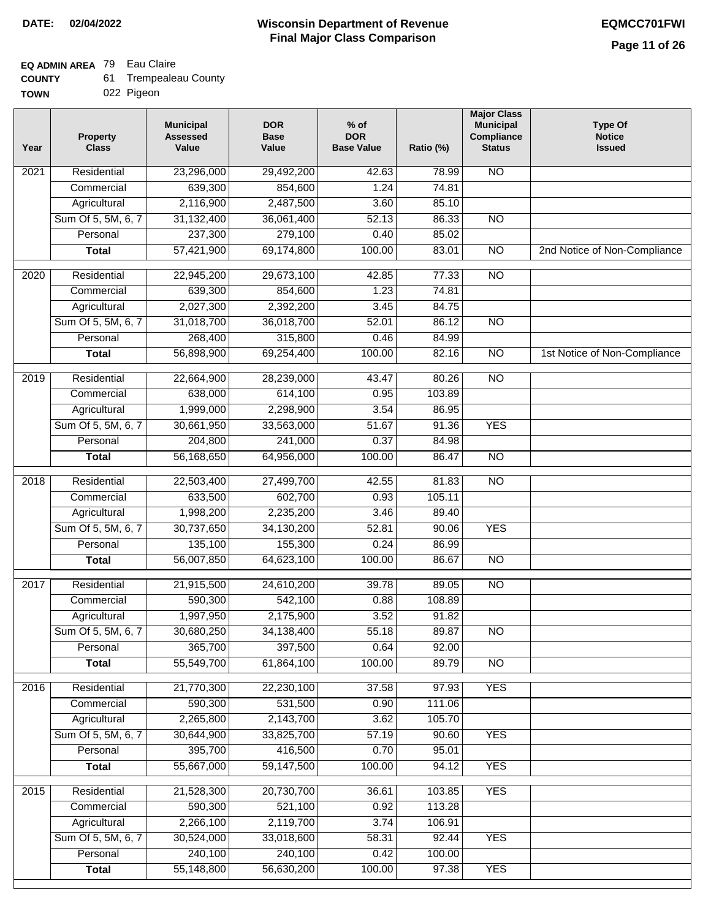## **EQ ADMIN AREA** 79 Eau Claire

| <b>COUNTY</b> | <b>Trempealeau County</b> |
|---------------|---------------------------|
|---------------|---------------------------|

**TOWN** 022 Pigeon

| Year              | <b>Property</b><br><b>Class</b> | <b>Municipal</b><br><b>Assessed</b><br>Value | <b>DOR</b><br><b>Base</b><br>Value | % of<br><b>DOR</b><br><b>Base Value</b> | Ratio (%) | <b>Major Class</b><br><b>Municipal</b><br>Compliance<br><b>Status</b> | <b>Type Of</b><br><b>Notice</b><br><b>Issued</b> |
|-------------------|---------------------------------|----------------------------------------------|------------------------------------|-----------------------------------------|-----------|-----------------------------------------------------------------------|--------------------------------------------------|
| $\overline{202}1$ | Residential                     | 23,296,000                                   | 29,492,200                         | 42.63                                   | 78.99     | N <sub>O</sub>                                                        |                                                  |
|                   | Commercial                      | 639,300                                      | 854,600                            | 1.24                                    | 74.81     |                                                                       |                                                  |
|                   | Agricultural                    | 2,116,900                                    | 2,487,500                          | 3.60                                    | 85.10     |                                                                       |                                                  |
|                   | Sum Of 5, 5M, 6, 7              | 31,132,400                                   | 36,061,400                         | 52.13                                   | 86.33     | $\overline{NO}$                                                       |                                                  |
|                   | Personal                        | 237,300                                      | 279,100                            | 0.40                                    | 85.02     |                                                                       |                                                  |
|                   | <b>Total</b>                    | 57,421,900                                   | 69,174,800                         | 100.00                                  | 83.01     | $\overline{NO}$                                                       | 2nd Notice of Non-Compliance                     |
| $\overline{2020}$ | Residential                     | 22,945,200                                   | 29,673,100                         | 42.85                                   | 77.33     | $\overline{NO}$                                                       |                                                  |
|                   | Commercial                      | 639,300                                      | 854,600                            | 1.23                                    | 74.81     |                                                                       |                                                  |
|                   | Agricultural                    | 2,027,300                                    | 2,392,200                          | 3.45                                    | 84.75     |                                                                       |                                                  |
|                   | Sum Of 5, 5M, 6, 7              | 31,018,700                                   | 36,018,700                         | 52.01                                   | 86.12     | $\overline{NO}$                                                       |                                                  |
|                   | Personal                        | 268,400                                      | 315,800                            | 0.46                                    | 84.99     |                                                                       |                                                  |
|                   | <b>Total</b>                    | 56,898,900                                   | 69,254,400                         | 100.00                                  | 82.16     | N <sub>O</sub>                                                        | 1st Notice of Non-Compliance                     |
| 2019              | Residential                     | 22,664,900                                   | 28,239,000                         | 43.47                                   | 80.26     | $\overline{3}$                                                        |                                                  |
|                   | Commercial                      | 638,000                                      | 614,100                            | 0.95                                    | 103.89    |                                                                       |                                                  |
|                   | Agricultural                    | 1,999,000                                    | 2,298,900                          | 3.54                                    | 86.95     |                                                                       |                                                  |
|                   | Sum Of 5, 5M, 6, 7              | 30,661,950                                   | 33,563,000                         | 51.67                                   | 91.36     | <b>YES</b>                                                            |                                                  |
|                   | Personal                        | 204,800                                      | 241,000                            | 0.37                                    | 84.98     |                                                                       |                                                  |
|                   | <b>Total</b>                    | 56,168,650                                   | 64,956,000                         | 100.00                                  | 86.47     | $\overline{NO}$                                                       |                                                  |
| 2018              | Residential                     | 22,503,400                                   | 27,499,700                         | 42.55                                   | 81.83     | $\overline{10}$                                                       |                                                  |
|                   | Commercial                      | 633,500                                      | 602,700                            | 0.93                                    | 105.11    |                                                                       |                                                  |
|                   | Agricultural                    | 1,998,200                                    | 2,235,200                          | 3.46                                    | 89.40     |                                                                       |                                                  |
|                   | Sum Of 5, 5M, 6, 7              | 30,737,650                                   | 34,130,200                         | 52.81                                   | 90.06     | <b>YES</b>                                                            |                                                  |
|                   | Personal                        | 135,100                                      | 155,300                            | 0.24                                    | 86.99     |                                                                       |                                                  |
|                   | <b>Total</b>                    | 56,007,850                                   | 64,623,100                         | 100.00                                  | 86.67     | <b>NO</b>                                                             |                                                  |
| $\overline{2017}$ | Residential                     | 21,915,500                                   | 24,610,200                         | 39.78                                   | 89.05     | <b>NO</b>                                                             |                                                  |
|                   | Commercial                      | 590,300                                      | 542,100                            | 0.88                                    | 108.89    |                                                                       |                                                  |
|                   | Agricultural                    | 1,997,950                                    | 2,175,900                          | 3.52                                    | 91.82     |                                                                       |                                                  |
|                   | Sum Of 5, 5M, 6, 7              | 30,680,250                                   | 34,138,400                         | 55.18                                   | 89.87     | N <sub>O</sub>                                                        |                                                  |
|                   | Personal                        | 365,700                                      | 397,500                            | 0.64                                    | 92.00     |                                                                       |                                                  |
|                   | <b>Total</b>                    | 55,549,700                                   | 61,864,100                         | 100.00                                  | 89.79     | <b>NO</b>                                                             |                                                  |
| 2016              | Residential                     | 21,770,300                                   | 22,230,100                         | 37.58                                   | 97.93     | <b>YES</b>                                                            |                                                  |
|                   | Commercial                      | 590,300                                      | 531,500                            | 0.90                                    | 111.06    |                                                                       |                                                  |
|                   | Agricultural                    | 2,265,800                                    | 2,143,700                          | 3.62                                    | 105.70    |                                                                       |                                                  |
|                   | Sum Of 5, 5M, 6, 7              | 30,644,900                                   | 33,825,700                         | 57.19                                   | 90.60     | <b>YES</b>                                                            |                                                  |
|                   | Personal                        | 395,700                                      | 416,500                            | 0.70                                    | 95.01     |                                                                       |                                                  |
|                   | <b>Total</b>                    | 55,667,000                                   | 59,147,500                         | 100.00                                  | 94.12     | <b>YES</b>                                                            |                                                  |
| 2015              | Residential                     | 21,528,300                                   | 20,730,700                         | 36.61                                   | 103.85    | <b>YES</b>                                                            |                                                  |
|                   | Commercial                      | 590,300                                      | 521,100                            | 0.92                                    | 113.28    |                                                                       |                                                  |
|                   | Agricultural                    | 2,266,100                                    | 2,119,700                          | 3.74                                    | 106.91    |                                                                       |                                                  |
|                   | Sum Of 5, 5M, 6, 7              | 30,524,000                                   | 33,018,600                         | 58.31                                   | 92.44     | <b>YES</b>                                                            |                                                  |
|                   | Personal                        | 240,100                                      | 240,100                            | 0.42                                    | 100.00    |                                                                       |                                                  |
|                   | <b>Total</b>                    | 55,148,800                                   | 56,630,200                         | 100.00                                  | 97.38     | <b>YES</b>                                                            |                                                  |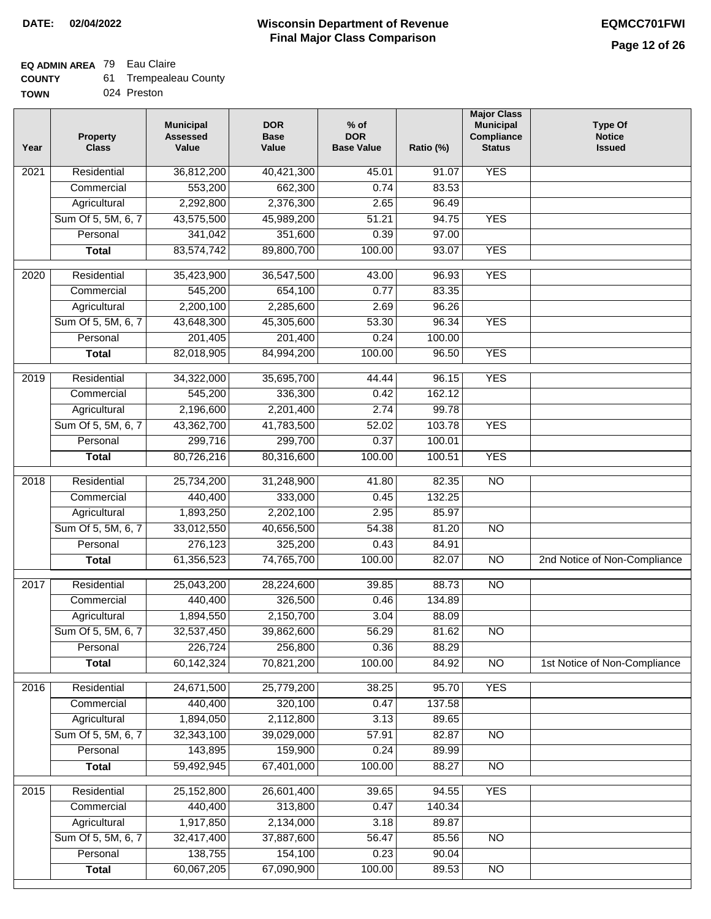## **EQ ADMIN AREA** 79 Eau Claire

| <b>COUNTY</b> | Trempealeau County |
|---------------|--------------------|
|---------------|--------------------|

**TOWN** 024 Preston

| Year              | <b>Property</b><br><b>Class</b> | <b>Municipal</b><br><b>Assessed</b><br>Value | <b>DOR</b><br><b>Base</b><br>Value | $%$ of<br><b>DOR</b><br><b>Base Value</b> | Ratio (%) | <b>Major Class</b><br><b>Municipal</b><br>Compliance<br><b>Status</b> | <b>Type Of</b><br><b>Notice</b><br><b>Issued</b> |
|-------------------|---------------------------------|----------------------------------------------|------------------------------------|-------------------------------------------|-----------|-----------------------------------------------------------------------|--------------------------------------------------|
| $\overline{202}1$ | Residential                     | 36,812,200                                   | 40,421,300                         | 45.01                                     | 91.07     | <b>YES</b>                                                            |                                                  |
|                   | Commercial                      | 553,200                                      | 662,300                            | 0.74                                      | 83.53     |                                                                       |                                                  |
|                   | Agricultural                    | 2,292,800                                    | 2,376,300                          | 2.65                                      | 96.49     |                                                                       |                                                  |
|                   | Sum Of 5, 5M, 6, 7              | 43,575,500                                   | 45,989,200                         | 51.21                                     | 94.75     | <b>YES</b>                                                            |                                                  |
|                   | Personal                        | 341,042                                      | 351,600                            | 0.39                                      | 97.00     |                                                                       |                                                  |
|                   | <b>Total</b>                    | 83,574,742                                   | 89,800,700                         | 100.00                                    | 93.07     | <b>YES</b>                                                            |                                                  |
| $\overline{2020}$ | Residential                     | 35,423,900                                   | 36,547,500                         | 43.00                                     | 96.93     | <b>YES</b>                                                            |                                                  |
|                   | Commercial                      | 545,200                                      | 654,100                            | 0.77                                      | 83.35     |                                                                       |                                                  |
|                   | Agricultural                    | 2,200,100                                    | 2,285,600                          | 2.69                                      | 96.26     |                                                                       |                                                  |
|                   | Sum Of 5, 5M, 6, 7              | 43,648,300                                   | 45,305,600                         | 53.30                                     | 96.34     | <b>YES</b>                                                            |                                                  |
|                   | Personal                        | 201,405                                      | 201,400                            | 0.24                                      | 100.00    |                                                                       |                                                  |
|                   | <b>Total</b>                    | 82,018,905                                   | 84,994,200                         | 100.00                                    | 96.50     | <b>YES</b>                                                            |                                                  |
| 2019              | Residential                     | 34,322,000                                   | 35,695,700                         | 44.44                                     | 96.15     | <b>YES</b>                                                            |                                                  |
|                   | Commercial                      | 545,200                                      | 336,300                            | 0.42                                      | 162.12    |                                                                       |                                                  |
|                   | Agricultural                    | 2,196,600                                    | 2,201,400                          | 2.74                                      | 99.78     |                                                                       |                                                  |
|                   | Sum Of 5, 5M, 6, 7              | 43,362,700                                   | 41,783,500                         | 52.02                                     | 103.78    | <b>YES</b>                                                            |                                                  |
|                   | Personal                        | 299,716                                      | 299,700                            | 0.37                                      | 100.01    |                                                                       |                                                  |
|                   | <b>Total</b>                    | 80,726,216                                   | 80,316,600                         | 100.00                                    | 100.51    | <b>YES</b>                                                            |                                                  |
| 2018              | Residential                     | 25,734,200                                   | 31,248,900                         | 41.80                                     | 82.35     | $\overline{10}$                                                       |                                                  |
|                   | Commercial                      | 440,400                                      | 333,000                            | 0.45                                      | 132.25    |                                                                       |                                                  |
|                   | Agricultural                    | 1,893,250                                    | 2,202,100                          | 2.95                                      | 85.97     |                                                                       |                                                  |
|                   | Sum Of 5, 5M, 6, 7              | 33,012,550                                   | 40,656,500                         | 54.38                                     | 81.20     | $\overline{3}$                                                        |                                                  |
|                   | Personal                        | 276,123                                      | 325,200                            | 0.43                                      | 84.91     |                                                                       |                                                  |
|                   | <b>Total</b>                    | 61,356,523                                   | 74,765,700                         | 100.00                                    | 82.07     | $\overline{10}$                                                       | 2nd Notice of Non-Compliance                     |
| 2017              | Residential                     | 25,043,200                                   | 28,224,600                         | 39.85                                     | 88.73     | <b>NO</b>                                                             |                                                  |
|                   | Commercial                      | 440,400                                      | 326,500                            | 0.46                                      | 134.89    |                                                                       |                                                  |
|                   | Agricultural                    | 1,894,550                                    | 2,150,700                          | 3.04                                      | 88.09     |                                                                       |                                                  |
|                   | Sum Of 5, 5M, 6, 7              | 32,537,450                                   | 39,862,600                         | 56.29                                     | 81.62     | <b>NO</b>                                                             |                                                  |
|                   | Personal                        | 226,724                                      | 256,800                            | 0.36                                      | 88.29     |                                                                       |                                                  |
|                   | <b>Total</b>                    | 60,142,324                                   | 70,821,200                         | 100.00                                    | 84.92     | <b>NO</b>                                                             | 1st Notice of Non-Compliance                     |
| 2016              | Residential                     | 24,671,500                                   | 25,779,200                         | 38.25                                     | 95.70     | <b>YES</b>                                                            |                                                  |
|                   | Commercial                      | 440,400                                      | 320,100                            | 0.47                                      | 137.58    |                                                                       |                                                  |
|                   | Agricultural                    | 1,894,050                                    | 2,112,800                          | 3.13                                      | 89.65     |                                                                       |                                                  |
|                   | Sum Of 5, 5M, 6, 7              | 32,343,100                                   | 39,029,000                         | 57.91                                     | 82.87     | $\overline{NO}$                                                       |                                                  |
|                   | Personal                        | 143,895                                      | 159,900                            | 0.24                                      | 89.99     |                                                                       |                                                  |
|                   | <b>Total</b>                    | 59,492,945                                   | 67,401,000                         | 100.00                                    | 88.27     | $\overline{NO}$                                                       |                                                  |
| 2015              | Residential                     | 25,152,800                                   | 26,601,400                         | 39.65                                     | 94.55     | <b>YES</b>                                                            |                                                  |
|                   | Commercial                      | 440,400                                      | 313,800                            | 0.47                                      | 140.34    |                                                                       |                                                  |
|                   | Agricultural                    | 1,917,850                                    | 2,134,000                          | 3.18                                      | 89.87     |                                                                       |                                                  |
|                   | Sum Of 5, 5M, 6, 7              | 32,417,400                                   | 37,887,600                         | 56.47                                     | 85.56     | <b>NO</b>                                                             |                                                  |
|                   | Personal                        | 138,755                                      | 154,100                            | 0.23                                      | 90.04     |                                                                       |                                                  |
|                   | <b>Total</b>                    | 60,067,205                                   | 67,090,900                         | 100.00                                    | 89.53     | NO                                                                    |                                                  |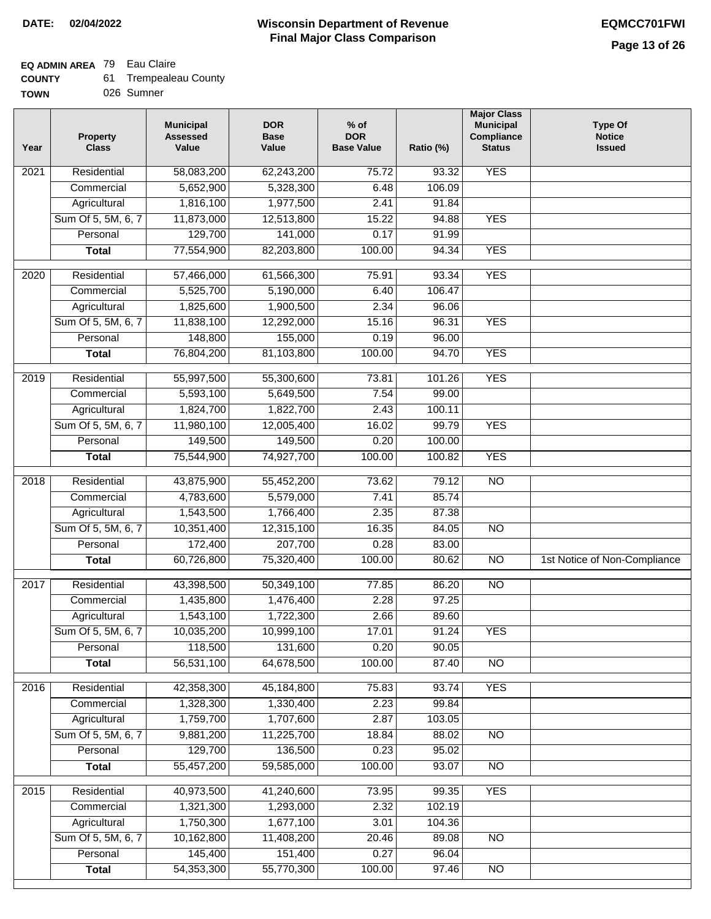## **EQ ADMIN AREA** 79 Eau Claire

| 61.<br><b>COUNTY</b> | Trempealeau County |
|----------------------|--------------------|
|----------------------|--------------------|

**TOWN** 026 Sumner

| Year | <b>Property</b><br><b>Class</b> | <b>Municipal</b><br><b>Assessed</b><br>Value | <b>DOR</b><br><b>Base</b><br>Value | $%$ of<br><b>DOR</b><br><b>Base Value</b> | Ratio (%)      | <b>Major Class</b><br><b>Municipal</b><br>Compliance<br><b>Status</b> | <b>Type Of</b><br><b>Notice</b><br><b>Issued</b> |
|------|---------------------------------|----------------------------------------------|------------------------------------|-------------------------------------------|----------------|-----------------------------------------------------------------------|--------------------------------------------------|
| 2021 | Residential                     | 58,083,200                                   | 62,243,200                         | 75.72                                     | 93.32          | <b>YES</b>                                                            |                                                  |
|      | Commercial                      | 5,652,900                                    | 5,328,300                          | 6.48                                      | 106.09         |                                                                       |                                                  |
|      | Agricultural                    | 1,816,100                                    | 1,977,500                          | 2.41                                      | 91.84          |                                                                       |                                                  |
|      | Sum Of 5, 5M, 6, 7              | 11,873,000                                   | 12,513,800                         | 15.22                                     | 94.88          | <b>YES</b>                                                            |                                                  |
|      | Personal                        | 129,700                                      | 141,000                            | 0.17                                      | 91.99          |                                                                       |                                                  |
|      | <b>Total</b>                    | 77,554,900                                   | 82,203,800                         | 100.00                                    | 94.34          | <b>YES</b>                                                            |                                                  |
| 2020 | Residential                     | 57,466,000                                   | 61,566,300                         | 75.91                                     | 93.34          | <b>YES</b>                                                            |                                                  |
|      | Commercial                      | 5,525,700                                    | 5,190,000                          | 6.40                                      | 106.47         |                                                                       |                                                  |
|      | Agricultural                    | 1,825,600                                    | 1,900,500                          | 2.34                                      | 96.06          |                                                                       |                                                  |
|      | Sum Of 5, 5M, 6, 7              | 11,838,100                                   | 12,292,000                         | 15.16                                     | 96.31          | <b>YES</b>                                                            |                                                  |
|      | Personal                        | 148,800                                      | 155,000                            | 0.19                                      | 96.00          |                                                                       |                                                  |
|      | <b>Total</b>                    | 76,804,200                                   | 81,103,800                         | 100.00                                    | 94.70          | <b>YES</b>                                                            |                                                  |
| 2019 | Residential                     | 55,997,500                                   | 55,300,600                         | 73.81                                     | 101.26         | <b>YES</b>                                                            |                                                  |
|      | Commercial                      | 5,593,100                                    | 5,649,500                          | 7.54                                      | 99.00          |                                                                       |                                                  |
|      | Agricultural                    | 1,824,700                                    | 1,822,700                          | 2.43                                      | 100.11         |                                                                       |                                                  |
|      | Sum Of 5, 5M, 6, 7              | 11,980,100                                   | 12,005,400                         | 16.02                                     | 99.79          | <b>YES</b>                                                            |                                                  |
|      | Personal                        | 149,500                                      | 149,500                            | 0.20                                      | 100.00         |                                                                       |                                                  |
|      | <b>Total</b>                    | 75,544,900                                   | 74,927,700                         | 100.00                                    | 100.82         | <b>YES</b>                                                            |                                                  |
|      |                                 |                                              |                                    |                                           |                |                                                                       |                                                  |
| 2018 | Residential<br>Commercial       | 43,875,900<br>4,783,600                      | 55,452,200<br>5,579,000            | 73.62<br>7.41                             | 79.12<br>85.74 | $\overline{10}$                                                       |                                                  |
|      | Agricultural                    | 1,543,500                                    | 1,766,400                          | 2.35                                      | 87.38          |                                                                       |                                                  |
|      | Sum Of 5, 5M, 6, 7              | 10,351,400                                   | 12,315,100                         | 16.35                                     | 84.05          | $\overline{3}$                                                        |                                                  |
|      | Personal                        | 172,400                                      | 207,700                            | 0.28                                      | 83.00          |                                                                       |                                                  |
|      | <b>Total</b>                    | 60,726,800                                   | 75,320,400                         | 100.00                                    | 80.62          | <b>NO</b>                                                             | 1st Notice of Non-Compliance                     |
|      |                                 |                                              |                                    |                                           |                |                                                                       |                                                  |
| 2017 | Residential                     | 43,398,500                                   | 50,349,100                         | 77.85                                     | 86.20          | $\overline{NO}$                                                       |                                                  |
|      | Commercial                      | 1,435,800                                    | 1,476,400                          | 2.28                                      | 97.25          |                                                                       |                                                  |
|      | Agricultural                    | 1,543,100                                    | 1,722,300                          | 2.66                                      | 89.60          |                                                                       |                                                  |
|      | Sum Of 5, 5M, 6, 7              | 10,035,200                                   | 10,999,100                         | 17.01                                     | 91.24          | <b>YES</b>                                                            |                                                  |
|      | Personal                        | 118,500                                      | 131,600                            | 0.20                                      | 90.05          |                                                                       |                                                  |
|      | <b>Total</b>                    | 56,531,100                                   | 64,678,500                         | 100.00                                    | 87.40          | <b>NO</b>                                                             |                                                  |
| 2016 | Residential                     | 42,358,300                                   | 45,184,800                         | 75.83                                     | 93.74          | <b>YES</b>                                                            |                                                  |
|      | Commercial                      | 1,328,300                                    | 1,330,400                          | 2.23                                      | 99.84          |                                                                       |                                                  |
|      | Agricultural                    | 1,759,700                                    | 1,707,600                          | 2.87                                      | 103.05         |                                                                       |                                                  |
|      | Sum Of 5, 5M, 6, 7              | 9,881,200                                    | 11,225,700                         | 18.84                                     | 88.02          | N <sub>O</sub>                                                        |                                                  |
|      | Personal                        | 129,700                                      | 136,500                            | 0.23                                      | 95.02          |                                                                       |                                                  |
|      | <b>Total</b>                    | 55,457,200                                   | 59,585,000                         | 100.00                                    | 93.07          | $\overline{NO}$                                                       |                                                  |
| 2015 | Residential                     | 40,973,500                                   | 41,240,600                         | 73.95                                     | 99.35          | <b>YES</b>                                                            |                                                  |
|      | Commercial                      | 1,321,300                                    | 1,293,000                          | 2.32                                      | 102.19         |                                                                       |                                                  |
|      | Agricultural                    | 1,750,300                                    | 1,677,100                          | 3.01                                      | 104.36         |                                                                       |                                                  |
|      | Sum Of 5, 5M, 6, 7              | 10,162,800                                   | 11,408,200                         | 20.46                                     | 89.08          | <b>NO</b>                                                             |                                                  |
|      | Personal                        | 145,400                                      | 151,400                            | 0.27                                      | 96.04          |                                                                       |                                                  |
|      | <b>Total</b>                    | 54,353,300                                   | 55,770,300                         | 100.00                                    | 97.46          | N <sub>O</sub>                                                        |                                                  |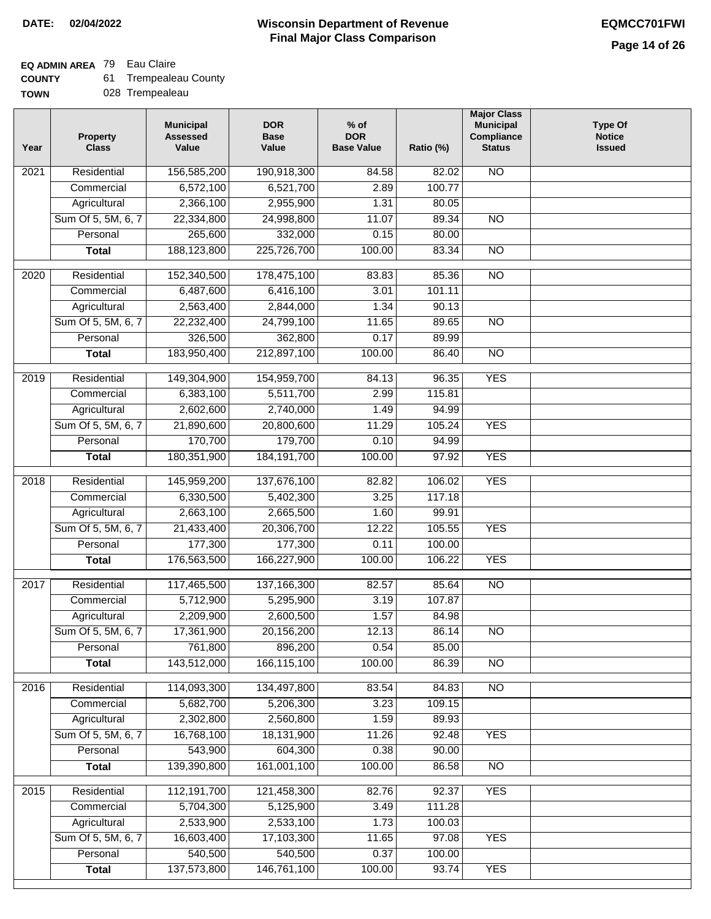**TOWN**

#### **Wisconsin Department of Revenue Final Major Class Comparison DATE: 02/04/2022 EQMCC701FWI**

## **EQ ADMIN AREA** 79 Eau Claire

| <b>COUNTY</b> |  | <b>Trempealeau County</b> |  |
|---------------|--|---------------------------|--|
|---------------|--|---------------------------|--|

028 Trempealeau

| Year             | <b>Property</b><br><b>Class</b>    | <b>Municipal</b><br><b>Assessed</b><br>Value | <b>DOR</b><br><b>Base</b><br>Value | $%$ of<br><b>DOR</b><br><b>Base Value</b> | Ratio (%) | <b>Major Class</b><br><b>Municipal</b><br>Compliance<br><b>Status</b> | <b>Type Of</b><br><b>Notice</b><br><b>Issued</b> |
|------------------|------------------------------------|----------------------------------------------|------------------------------------|-------------------------------------------|-----------|-----------------------------------------------------------------------|--------------------------------------------------|
| 2021             | Residential                        | 156,585,200                                  | 190,918,300                        | 84.58                                     | 82.02     | <b>NO</b>                                                             |                                                  |
|                  | Commercial                         | 6,572,100                                    | 6,521,700                          | 2.89                                      | 100.77    |                                                                       |                                                  |
|                  | Agricultural                       | 2,366,100                                    | 2,955,900                          | 1.31                                      | 80.05     |                                                                       |                                                  |
|                  | Sum Of 5, 5M, 6, 7                 | 22,334,800                                   | 24,998,800                         | 11.07                                     | 89.34     | $\overline{NO}$                                                       |                                                  |
|                  | Personal                           | 265,600                                      | 332,000                            | 0.15                                      | 80.00     |                                                                       |                                                  |
|                  | <b>Total</b>                       | 188,123,800                                  | 225,726,700                        | 100.00                                    | 83.34     | $\overline{NO}$                                                       |                                                  |
| 2020             | Residential                        | 152,340,500                                  | 178,475,100                        | 83.83                                     | 85.36     | $\overline{NO}$                                                       |                                                  |
|                  | Commercial                         | 6,487,600                                    | 6,416,100                          | 3.01                                      | 101.11    |                                                                       |                                                  |
|                  | Agricultural                       | 2,563,400                                    | 2,844,000                          | 1.34                                      | 90.13     |                                                                       |                                                  |
|                  | Sum Of 5, 5M, 6, 7                 | 22,232,400                                   | 24,799,100                         | 11.65                                     | 89.65     | <b>NO</b>                                                             |                                                  |
|                  | Personal                           | 326,500                                      | 362,800                            | 0.17                                      | 89.99     |                                                                       |                                                  |
|                  | <b>Total</b>                       | 183,950,400                                  | 212,897,100                        | 100.00                                    | 86.40     | <b>NO</b>                                                             |                                                  |
|                  |                                    |                                              |                                    |                                           |           |                                                                       |                                                  |
| $\frac{1}{2019}$ | Residential                        | 149,304,900                                  | 154,959,700                        | 84.13                                     | 96.35     | <b>YES</b>                                                            |                                                  |
|                  | Commercial                         | 6,383,100                                    | 5,511,700                          | 2.99                                      | 115.81    |                                                                       |                                                  |
|                  | Agricultural                       | 2,602,600                                    | 2,740,000                          | 1.49                                      | 94.99     |                                                                       |                                                  |
|                  | Sum Of 5, 5M, 6, 7                 | 21,890,600                                   | 20,800,600                         | 11.29                                     | 105.24    | <b>YES</b>                                                            |                                                  |
|                  | Personal                           | 170,700                                      | 179,700                            | 0.10                                      | 94.99     |                                                                       |                                                  |
|                  | <b>Total</b>                       | 180,351,900                                  | 184, 191, 700                      | 100.00                                    | 97.92     | <b>YES</b>                                                            |                                                  |
| 2018             | Residential                        | 145,959,200                                  | 137,676,100                        | 82.82                                     | 106.02    | <b>YES</b>                                                            |                                                  |
|                  | Commercial                         | 6,330,500                                    | 5,402,300                          | 3.25                                      | 117.18    |                                                                       |                                                  |
|                  | Agricultural                       | 2,663,100                                    | 2,665,500                          | 1.60                                      | 99.91     |                                                                       |                                                  |
|                  | Sum Of 5, 5M, 6, 7                 | 21,433,400                                   | 20,306,700                         | 12.22                                     | 105.55    | <b>YES</b>                                                            |                                                  |
|                  | Personal                           | 177,300                                      | 177,300                            | 0.11                                      | 100.00    |                                                                       |                                                  |
|                  | <b>Total</b>                       | 176,563,500                                  | 166,227,900                        | 100.00                                    | 106.22    | <b>YES</b>                                                            |                                                  |
| 2017             | Residential                        | 117,465,500                                  | 137, 166, 300                      | 82.57                                     | 85.64     | N <sub>O</sub>                                                        |                                                  |
|                  | Commercial                         | 5,712,900                                    | 5,295,900                          | 3.19                                      | 107.87    |                                                                       |                                                  |
|                  | Agricultural                       | 2,209,900                                    | 2,600,500                          | 1.57                                      | 84.98     |                                                                       |                                                  |
|                  | Sum Of 5, 5M, 6, 7                 | 17,361,900                                   | 20,156,200                         | 12.13                                     | 86.14     | <b>NO</b>                                                             |                                                  |
|                  | Personal                           | 761,800                                      | 896,200                            | 0.54                                      | 85.00     |                                                                       |                                                  |
|                  | <b>Total</b>                       | 143,512,000                                  | 166,115,100                        | 100.00                                    | 86.39     | $\overline{3}$                                                        |                                                  |
| 2016             | Residential                        | 114,093,300                                  | 134,497,800                        | 83.54                                     | 84.83     | N <sub>O</sub>                                                        |                                                  |
|                  | Commercial                         | 5,682,700                                    | 5,206,300                          | 3.23                                      | 109.15    |                                                                       |                                                  |
|                  | Agricultural                       | 2,302,800                                    | 2,560,800                          | 1.59                                      | 89.93     |                                                                       |                                                  |
|                  | Sum Of 5, 5M, 6, 7                 | 16,768,100                                   | 18,131,900                         | 11.26                                     | 92.48     | <b>YES</b>                                                            |                                                  |
|                  | Personal                           | 543,900                                      | 604,300                            | 0.38                                      | 90.00     |                                                                       |                                                  |
|                  | <b>Total</b>                       | 139,390,800                                  | 161,001,100                        | 100.00                                    | 86.58     | $\overline{NO}$                                                       |                                                  |
| 2015             | Residential                        | 112,191,700                                  | 121,458,300                        | 82.76                                     | 92.37     | <b>YES</b>                                                            |                                                  |
|                  | Commercial                         | 5,704,300                                    | 5,125,900                          | 3.49                                      | 111.28    |                                                                       |                                                  |
|                  |                                    | 2,533,900                                    | 2,533,100                          | 1.73                                      | 100.03    |                                                                       |                                                  |
|                  | Agricultural<br>Sum Of 5, 5M, 6, 7 | 16,603,400                                   | 17,103,300                         |                                           | 97.08     | <b>YES</b>                                                            |                                                  |
|                  | Personal                           | 540,500                                      | 540,500                            | 11.65<br>0.37                             | 100.00    |                                                                       |                                                  |
|                  | <b>Total</b>                       | 137,573,800                                  | 146,761,100                        | 100.00                                    | 93.74     | <b>YES</b>                                                            |                                                  |
|                  |                                    |                                              |                                    |                                           |           |                                                                       |                                                  |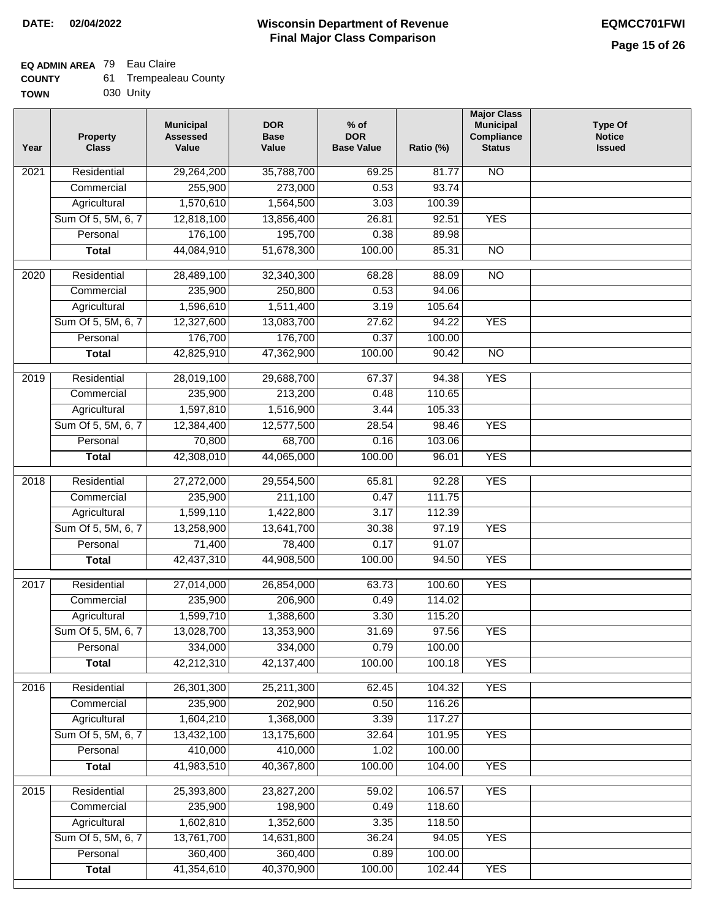#### **Wisconsin Department of Revenue Final Major Class Comparison DATE: 02/04/2022 EQMCC701FWI**

┑

# **EQ ADMIN AREA** 79 Eau Claire

| <b>COUNTY</b> | 61. | Trempealeau County |
|---------------|-----|--------------------|
| <b>TOWN</b>   |     | 030 Unity          |

| Year | <b>Property</b><br><b>Class</b> | <b>Municipal</b><br><b>Assessed</b><br>Value | <b>DOR</b><br><b>Base</b><br>Value | $%$ of<br><b>DOR</b><br><b>Base Value</b> | Ratio (%)        | <b>Major Class</b><br><b>Municipal</b><br>Compliance<br><b>Status</b> | <b>Type Of</b><br><b>Notice</b><br><b>Issued</b> |
|------|---------------------------------|----------------------------------------------|------------------------------------|-------------------------------------------|------------------|-----------------------------------------------------------------------|--------------------------------------------------|
| 2021 | Residential                     | 29,264,200                                   | 35,788,700                         | 69.25                                     | 81.77            | $\overline{NO}$                                                       |                                                  |
|      | Commercial                      | 255,900                                      | 273,000                            | 0.53                                      | 93.74            |                                                                       |                                                  |
|      | Agricultural                    | 1,570,610                                    | 1,564,500                          | 3.03                                      | 100.39           |                                                                       |                                                  |
|      | Sum Of 5, 5M, 6, 7              | 12,818,100                                   | 13,856,400                         | 26.81                                     | 92.51            | <b>YES</b>                                                            |                                                  |
|      | Personal                        | 176,100                                      | 195,700                            | 0.38                                      | 89.98            |                                                                       |                                                  |
|      | <b>Total</b>                    | 44,084,910                                   | 51,678,300                         | 100.00                                    | 85.31            | $\overline{NO}$                                                       |                                                  |
| 2020 | Residential                     | 28,489,100                                   | 32,340,300                         | 68.28                                     | 88.09            | $\overline{NO}$                                                       |                                                  |
|      | Commercial                      | 235,900                                      | 250,800                            | 0.53                                      | 94.06            |                                                                       |                                                  |
|      | Agricultural                    | 1,596,610                                    | 1,511,400                          | 3.19                                      | 105.64           |                                                                       |                                                  |
|      | Sum Of 5, 5M, 6, 7              | 12,327,600                                   | 13,083,700                         | 27.62                                     | 94.22            | <b>YES</b>                                                            |                                                  |
|      | Personal                        | 176,700                                      | 176,700                            | 0.37                                      | 100.00           |                                                                       |                                                  |
|      | <b>Total</b>                    | 42,825,910                                   | 47,362,900                         | 100.00                                    | 90.42            | $\overline{NO}$                                                       |                                                  |
|      |                                 |                                              |                                    |                                           |                  |                                                                       |                                                  |
| 2019 | Residential                     | 28,019,100                                   | 29,688,700                         | 67.37                                     | 94.38            | <b>YES</b>                                                            |                                                  |
|      | Commercial                      | 235,900                                      | 213,200                            | 0.48                                      | 110.65           |                                                                       |                                                  |
|      | Agricultural                    | 1,597,810                                    | 1,516,900                          | 3.44                                      | 105.33           |                                                                       |                                                  |
|      | Sum Of 5, 5M, 6, 7              | 12,384,400                                   | 12,577,500                         | 28.54                                     | 98.46            | <b>YES</b>                                                            |                                                  |
|      | Personal                        | 70,800                                       | 68,700                             | 0.16                                      | 103.06           |                                                                       |                                                  |
|      | <b>Total</b>                    | 42,308,010                                   | 44,065,000                         | 100.00                                    | 96.01            | <b>YES</b>                                                            |                                                  |
| 2018 | Residential                     | 27,272,000                                   | 29,554,500                         | 65.81                                     | 92.28            | <b>YES</b>                                                            |                                                  |
|      | Commercial                      | 235,900                                      | 211,100                            | 0.47                                      | 111.75           |                                                                       |                                                  |
|      | Agricultural                    | 1,599,110                                    | 1,422,800                          | 3.17                                      | 112.39           |                                                                       |                                                  |
|      | Sum Of 5, 5M, 6, 7              | 13,258,900                                   | 13,641,700                         | 30.38                                     | 97.19            | <b>YES</b>                                                            |                                                  |
|      | Personal                        | 71,400                                       | 78,400                             | 0.17                                      | 91.07            |                                                                       |                                                  |
|      | <b>Total</b>                    | 42,437,310                                   | 44,908,500                         | 100.00                                    | 94.50            | <b>YES</b>                                                            |                                                  |
| 2017 | Residential                     | 27,014,000                                   | 26,854,000                         | 63.73                                     | 100.60           | <b>YES</b>                                                            |                                                  |
|      | Commercial                      | 235,900                                      | 206,900                            | 0.49                                      | 114.02           |                                                                       |                                                  |
|      | Agricultural                    | 1,599,710                                    | 1,388,600                          | 3.30                                      | 115.20           |                                                                       |                                                  |
|      | Sum Of 5, 5M, 6, 7              | 13,028,700                                   | 13,353,900                         | 31.69                                     | 97.56            | <b>YES</b>                                                            |                                                  |
|      | Personal                        | 334,000                                      | 334,000                            | 0.79                                      | 100.00           |                                                                       |                                                  |
|      | <b>Total</b>                    | 42,212,310                                   | 42,137,400                         | 100.00                                    | 100.18           | <b>YES</b>                                                            |                                                  |
|      | Residential                     |                                              |                                    |                                           |                  |                                                                       |                                                  |
| 2016 |                                 | 26,301,300<br>235,900                        | 25,211,300<br>202,900              | 62.45<br>0.50                             | 104.32<br>116.26 | <b>YES</b>                                                            |                                                  |
|      | Commercial<br>Agricultural      | 1,604,210                                    | 1,368,000                          | 3.39                                      | 117.27           |                                                                       |                                                  |
|      | Sum Of 5, 5M, 6, 7              | 13,432,100                                   | 13,175,600                         | 32.64                                     | 101.95           | <b>YES</b>                                                            |                                                  |
|      | Personal                        | 410,000                                      | 410,000                            | 1.02                                      | 100.00           |                                                                       |                                                  |
|      | <b>Total</b>                    | 41,983,510                                   | 40,367,800                         | 100.00                                    | 104.00           | <b>YES</b>                                                            |                                                  |
|      |                                 |                                              |                                    |                                           |                  |                                                                       |                                                  |
| 2015 | Residential                     | 25,393,800                                   | 23,827,200                         | 59.02                                     | 106.57           | <b>YES</b>                                                            |                                                  |
|      | Commercial                      | 235,900                                      | 198,900                            | 0.49                                      | 118.60           |                                                                       |                                                  |
|      | Agricultural                    | 1,602,810                                    | 1,352,600                          | 3.35                                      | 118.50           |                                                                       |                                                  |
|      | Sum Of 5, 5M, 6, 7              | 13,761,700                                   | 14,631,800                         | 36.24                                     | 94.05            | <b>YES</b>                                                            |                                                  |
|      | Personal                        | 360,400                                      | 360,400                            | 0.89                                      | 100.00           |                                                                       |                                                  |
|      | <b>Total</b>                    | 41,354,610                                   | 40,370,900                         | 100.00                                    | 102.44           | <b>YES</b>                                                            |                                                  |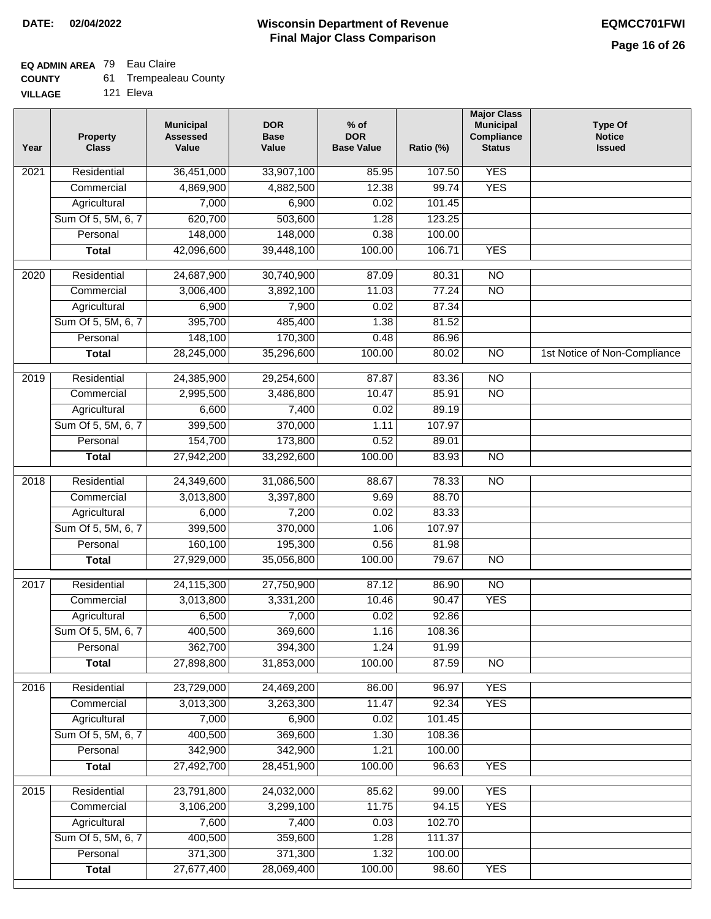# **EQ ADMIN AREA** 79 Eau Claire

| 61.<br><b>COUNTY</b> | <b>Trempealeau County</b> |  |
|----------------------|---------------------------|--|
|----------------------|---------------------------|--|

**VILLAGE** 121 Eleva

| <b>YES</b><br>Residential<br>36,451,000<br>33,907,100<br>107.50<br>2021<br>85.95<br><b>YES</b><br>4,869,900<br>12.38<br>99.74<br>Commercial<br>4,882,500<br>6,900<br>Agricultural<br>7,000<br>0.02<br>101.45<br>Sum Of 5, 5M, 6, 7<br>620,700<br>503,600<br>1.28<br>123.25<br>148,000<br>Personal<br>148,000<br>0.38<br>100.00<br>42,096,600<br>100.00<br>106.71<br><b>YES</b><br>39,448,100<br><b>Total</b><br>$\overline{NO}$<br>Residential<br>24,687,900<br>30,740,900<br>87.09<br>80.31<br>2020<br>$\overline{NO}$<br>Commercial<br>3,006,400<br>3,892,100<br>11.03<br>77.24<br>0.02<br>87.34<br>Agricultural<br>6,900<br>7,900<br>395,700<br>485,400<br>Sum Of 5, 5M, 6, 7<br>1.38<br>81.52<br>Personal<br>148,100<br>170,300<br>0.48<br>86.96<br>28,245,000<br>35,296,600<br>100.00<br>80.02<br>$\overline{NO}$<br>1st Notice of Non-Compliance<br><b>Total</b><br>$\overline{NO}$<br>Residential<br>24,385,900<br>29,254,600<br>87.87<br>2019<br>83.36<br>$\overline{NO}$<br>Commercial<br>2,995,500<br>3,486,800<br>10.47<br>85.91<br>Agricultural<br>6,600<br>7,400<br>0.02<br>89.19<br>Sum Of 5, 5M, 6, 7<br>399,500<br>370,000<br>107.97<br>1.11<br>154,700<br>Personal<br>173,800<br>0.52<br>89.01 |  |
|-----------------------------------------------------------------------------------------------------------------------------------------------------------------------------------------------------------------------------------------------------------------------------------------------------------------------------------------------------------------------------------------------------------------------------------------------------------------------------------------------------------------------------------------------------------------------------------------------------------------------------------------------------------------------------------------------------------------------------------------------------------------------------------------------------------------------------------------------------------------------------------------------------------------------------------------------------------------------------------------------------------------------------------------------------------------------------------------------------------------------------------------------------------------------------------------------------------------|--|
|                                                                                                                                                                                                                                                                                                                                                                                                                                                                                                                                                                                                                                                                                                                                                                                                                                                                                                                                                                                                                                                                                                                                                                                                                 |  |
|                                                                                                                                                                                                                                                                                                                                                                                                                                                                                                                                                                                                                                                                                                                                                                                                                                                                                                                                                                                                                                                                                                                                                                                                                 |  |
|                                                                                                                                                                                                                                                                                                                                                                                                                                                                                                                                                                                                                                                                                                                                                                                                                                                                                                                                                                                                                                                                                                                                                                                                                 |  |
|                                                                                                                                                                                                                                                                                                                                                                                                                                                                                                                                                                                                                                                                                                                                                                                                                                                                                                                                                                                                                                                                                                                                                                                                                 |  |
|                                                                                                                                                                                                                                                                                                                                                                                                                                                                                                                                                                                                                                                                                                                                                                                                                                                                                                                                                                                                                                                                                                                                                                                                                 |  |
|                                                                                                                                                                                                                                                                                                                                                                                                                                                                                                                                                                                                                                                                                                                                                                                                                                                                                                                                                                                                                                                                                                                                                                                                                 |  |
|                                                                                                                                                                                                                                                                                                                                                                                                                                                                                                                                                                                                                                                                                                                                                                                                                                                                                                                                                                                                                                                                                                                                                                                                                 |  |
|                                                                                                                                                                                                                                                                                                                                                                                                                                                                                                                                                                                                                                                                                                                                                                                                                                                                                                                                                                                                                                                                                                                                                                                                                 |  |
|                                                                                                                                                                                                                                                                                                                                                                                                                                                                                                                                                                                                                                                                                                                                                                                                                                                                                                                                                                                                                                                                                                                                                                                                                 |  |
|                                                                                                                                                                                                                                                                                                                                                                                                                                                                                                                                                                                                                                                                                                                                                                                                                                                                                                                                                                                                                                                                                                                                                                                                                 |  |
|                                                                                                                                                                                                                                                                                                                                                                                                                                                                                                                                                                                                                                                                                                                                                                                                                                                                                                                                                                                                                                                                                                                                                                                                                 |  |
|                                                                                                                                                                                                                                                                                                                                                                                                                                                                                                                                                                                                                                                                                                                                                                                                                                                                                                                                                                                                                                                                                                                                                                                                                 |  |
|                                                                                                                                                                                                                                                                                                                                                                                                                                                                                                                                                                                                                                                                                                                                                                                                                                                                                                                                                                                                                                                                                                                                                                                                                 |  |
|                                                                                                                                                                                                                                                                                                                                                                                                                                                                                                                                                                                                                                                                                                                                                                                                                                                                                                                                                                                                                                                                                                                                                                                                                 |  |
|                                                                                                                                                                                                                                                                                                                                                                                                                                                                                                                                                                                                                                                                                                                                                                                                                                                                                                                                                                                                                                                                                                                                                                                                                 |  |
|                                                                                                                                                                                                                                                                                                                                                                                                                                                                                                                                                                                                                                                                                                                                                                                                                                                                                                                                                                                                                                                                                                                                                                                                                 |  |
|                                                                                                                                                                                                                                                                                                                                                                                                                                                                                                                                                                                                                                                                                                                                                                                                                                                                                                                                                                                                                                                                                                                                                                                                                 |  |
|                                                                                                                                                                                                                                                                                                                                                                                                                                                                                                                                                                                                                                                                                                                                                                                                                                                                                                                                                                                                                                                                                                                                                                                                                 |  |
| 100.00<br>$\overline{NO}$<br><b>Total</b><br>27,942,200<br>33,292,600<br>83.93                                                                                                                                                                                                                                                                                                                                                                                                                                                                                                                                                                                                                                                                                                                                                                                                                                                                                                                                                                                                                                                                                                                                  |  |
| 31,086,500<br>$\overline{NO}$<br>2018<br>Residential<br>24,349,600<br>88.67<br>78.33                                                                                                                                                                                                                                                                                                                                                                                                                                                                                                                                                                                                                                                                                                                                                                                                                                                                                                                                                                                                                                                                                                                            |  |
| 3,013,800<br>3,397,800<br>9.69<br>88.70<br>Commercial                                                                                                                                                                                                                                                                                                                                                                                                                                                                                                                                                                                                                                                                                                                                                                                                                                                                                                                                                                                                                                                                                                                                                           |  |
| 6,000<br>7,200<br>0.02<br>83.33<br>Agricultural                                                                                                                                                                                                                                                                                                                                                                                                                                                                                                                                                                                                                                                                                                                                                                                                                                                                                                                                                                                                                                                                                                                                                                 |  |
| Sum Of 5, 5M, 6, 7<br>399,500<br>370,000<br>107.97<br>1.06                                                                                                                                                                                                                                                                                                                                                                                                                                                                                                                                                                                                                                                                                                                                                                                                                                                                                                                                                                                                                                                                                                                                                      |  |
| 160,100<br>195,300<br>0.56<br>Personal<br>81.98                                                                                                                                                                                                                                                                                                                                                                                                                                                                                                                                                                                                                                                                                                                                                                                                                                                                                                                                                                                                                                                                                                                                                                 |  |
| 27,929,000<br>35,056,800<br>100.00<br>79.67<br><b>NO</b><br><b>Total</b>                                                                                                                                                                                                                                                                                                                                                                                                                                                                                                                                                                                                                                                                                                                                                                                                                                                                                                                                                                                                                                                                                                                                        |  |
| N <sub>O</sub><br>2017<br>Residential<br>24,115,300<br>27,750,900<br>87.12<br>86.90                                                                                                                                                                                                                                                                                                                                                                                                                                                                                                                                                                                                                                                                                                                                                                                                                                                                                                                                                                                                                                                                                                                             |  |
| 3,013,800<br>3,331,200<br><b>YES</b><br>10.46<br>90.47<br>Commercial                                                                                                                                                                                                                                                                                                                                                                                                                                                                                                                                                                                                                                                                                                                                                                                                                                                                                                                                                                                                                                                                                                                                            |  |
| 0.02<br>6,500<br>7,000<br>92.86<br>Agricultural                                                                                                                                                                                                                                                                                                                                                                                                                                                                                                                                                                                                                                                                                                                                                                                                                                                                                                                                                                                                                                                                                                                                                                 |  |
| Sum Of 5, 5M, 6, 7<br>400,500<br>369,600<br>1.16<br>108.36                                                                                                                                                                                                                                                                                                                                                                                                                                                                                                                                                                                                                                                                                                                                                                                                                                                                                                                                                                                                                                                                                                                                                      |  |
| 362,700<br>394,300<br>1.24<br>91.99<br>Personal                                                                                                                                                                                                                                                                                                                                                                                                                                                                                                                                                                                                                                                                                                                                                                                                                                                                                                                                                                                                                                                                                                                                                                 |  |
| 27,898,800<br>31,853,000<br>100.00<br>87.59<br>$\overline{N}$<br><b>Total</b>                                                                                                                                                                                                                                                                                                                                                                                                                                                                                                                                                                                                                                                                                                                                                                                                                                                                                                                                                                                                                                                                                                                                   |  |
| Residential<br>23,729,000<br>86.00<br>96.97<br><b>YES</b><br>2016<br>24,469,200                                                                                                                                                                                                                                                                                                                                                                                                                                                                                                                                                                                                                                                                                                                                                                                                                                                                                                                                                                                                                                                                                                                                 |  |
| <b>YES</b><br>3,013,300<br>11.47<br>92.34<br>Commercial<br>3,263,300                                                                                                                                                                                                                                                                                                                                                                                                                                                                                                                                                                                                                                                                                                                                                                                                                                                                                                                                                                                                                                                                                                                                            |  |
| 7,000<br>6,900<br>101.45<br>Agricultural<br>0.02                                                                                                                                                                                                                                                                                                                                                                                                                                                                                                                                                                                                                                                                                                                                                                                                                                                                                                                                                                                                                                                                                                                                                                |  |
| 400,500<br>369,600<br>Sum Of 5, 5M, 6, 7<br>1.30<br>108.36                                                                                                                                                                                                                                                                                                                                                                                                                                                                                                                                                                                                                                                                                                                                                                                                                                                                                                                                                                                                                                                                                                                                                      |  |
| Personal<br>342,900<br>342,900<br>1.21<br>100.00                                                                                                                                                                                                                                                                                                                                                                                                                                                                                                                                                                                                                                                                                                                                                                                                                                                                                                                                                                                                                                                                                                                                                                |  |
| 27,492,700<br>100.00<br><b>YES</b><br>28,451,900<br>96.63<br><b>Total</b>                                                                                                                                                                                                                                                                                                                                                                                                                                                                                                                                                                                                                                                                                                                                                                                                                                                                                                                                                                                                                                                                                                                                       |  |
| 23,791,800<br><b>YES</b><br>2015<br>Residential<br>24,032,000<br>85.62<br>99.00                                                                                                                                                                                                                                                                                                                                                                                                                                                                                                                                                                                                                                                                                                                                                                                                                                                                                                                                                                                                                                                                                                                                 |  |
| Commercial<br>3,106,200<br>3,299,100<br>11.75<br>94.15<br><b>YES</b>                                                                                                                                                                                                                                                                                                                                                                                                                                                                                                                                                                                                                                                                                                                                                                                                                                                                                                                                                                                                                                                                                                                                            |  |
| Agricultural<br>7,600<br>7,400<br>0.03<br>102.70                                                                                                                                                                                                                                                                                                                                                                                                                                                                                                                                                                                                                                                                                                                                                                                                                                                                                                                                                                                                                                                                                                                                                                |  |
| Sum Of 5, 5M, 6, 7<br>400,500<br>359,600<br>1.28<br>111.37                                                                                                                                                                                                                                                                                                                                                                                                                                                                                                                                                                                                                                                                                                                                                                                                                                                                                                                                                                                                                                                                                                                                                      |  |
| Personal<br>371,300<br>371,300<br>1.32<br>100.00                                                                                                                                                                                                                                                                                                                                                                                                                                                                                                                                                                                                                                                                                                                                                                                                                                                                                                                                                                                                                                                                                                                                                                |  |
| 27,677,400<br>28,069,400<br><b>YES</b><br><b>Total</b><br>100.00<br>98.60                                                                                                                                                                                                                                                                                                                                                                                                                                                                                                                                                                                                                                                                                                                                                                                                                                                                                                                                                                                                                                                                                                                                       |  |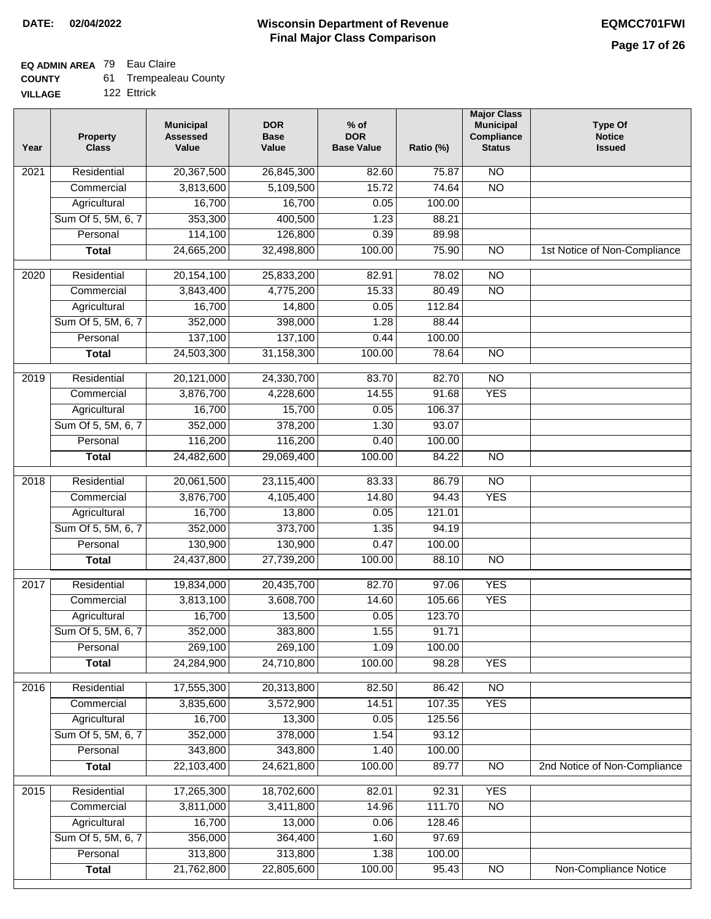## **EQ ADMIN AREA** 79 Eau Claire

| <b>COUNTY</b> |  | <b>Trempealeau County</b> |  |
|---------------|--|---------------------------|--|
|---------------|--|---------------------------|--|

**VILLAGE** 122 Ettrick

| Year              | <b>Property</b><br><b>Class</b> | <b>Municipal</b><br><b>Assessed</b><br>Value | <b>DOR</b><br><b>Base</b><br>Value | $%$ of<br><b>DOR</b><br><b>Base Value</b> | Ratio (%) | <b>Major Class</b><br><b>Municipal</b><br>Compliance<br><b>Status</b> | <b>Type Of</b><br><b>Notice</b><br><b>Issued</b> |
|-------------------|---------------------------------|----------------------------------------------|------------------------------------|-------------------------------------------|-----------|-----------------------------------------------------------------------|--------------------------------------------------|
| $\overline{202}1$ | Residential                     | 20,367,500                                   | 26,845,300                         | 82.60                                     | 75.87     | N <sub>O</sub>                                                        |                                                  |
|                   | Commercial                      | 3,813,600                                    | 5,109,500                          | 15.72                                     | 74.64     | $\overline{NO}$                                                       |                                                  |
|                   | Agricultural                    | 16,700                                       | 16,700                             | 0.05                                      | 100.00    |                                                                       |                                                  |
|                   | Sum Of 5, 5M, 6, 7              | 353,300                                      | 400,500                            | 1.23                                      | 88.21     |                                                                       |                                                  |
|                   | Personal                        | 114,100                                      | 126,800                            | 0.39                                      | 89.98     |                                                                       |                                                  |
|                   | <b>Total</b>                    | 24,665,200                                   | 32,498,800                         | 100.00                                    | 75.90     | $\overline{NO}$                                                       | 1st Notice of Non-Compliance                     |
| $\overline{2020}$ | Residential                     | 20,154,100                                   | 25,833,200                         | 82.91                                     | 78.02     | $\overline{10}$                                                       |                                                  |
|                   | Commercial                      | 3,843,400                                    | 4,775,200                          | 15.33                                     | 80.49     | $\overline{NO}$                                                       |                                                  |
|                   | Agricultural                    | 16,700                                       | 14,800                             | 0.05                                      | 112.84    |                                                                       |                                                  |
|                   | Sum Of 5, 5M, 6, 7              | 352,000                                      | 398,000                            | 1.28                                      | 88.44     |                                                                       |                                                  |
|                   | Personal                        | 137,100                                      | 137,100                            | 0.44                                      | 100.00    |                                                                       |                                                  |
|                   | <b>Total</b>                    | 24,503,300                                   | 31,158,300                         | 100.00                                    | 78.64     | $\overline{NO}$                                                       |                                                  |
| 2019              | Residential                     | 20,121,000                                   | 24,330,700                         | 83.70                                     | 82.70     | $\overline{10}$                                                       |                                                  |
|                   | Commercial                      | 3,876,700                                    | 4,228,600                          | 14.55                                     | 91.68     | <b>YES</b>                                                            |                                                  |
|                   | Agricultural                    | 16,700                                       | 15,700                             | 0.05                                      | 106.37    |                                                                       |                                                  |
|                   | Sum Of 5, 5M, 6, 7              | 352,000                                      | 378,200                            | 1.30                                      | 93.07     |                                                                       |                                                  |
|                   | Personal                        | 116,200                                      | 116,200                            | 0.40                                      | 100.00    |                                                                       |                                                  |
|                   | <b>Total</b>                    | 24,482,600                                   | 29,069,400                         | 100.00                                    | 84.22     | $\overline{NO}$                                                       |                                                  |
| 2018              | Residential                     | 20,061,500                                   | 23,115,400                         | 83.33                                     | 86.79     | $\overline{10}$                                                       |                                                  |
|                   | Commercial                      | 3,876,700                                    | 4,105,400                          | 14.80                                     | 94.43     | <b>YES</b>                                                            |                                                  |
|                   | Agricultural                    | 16,700                                       | 13,800                             | 0.05                                      | 121.01    |                                                                       |                                                  |
|                   | Sum Of 5, 5M, 6, 7              | 352,000                                      | 373,700                            | 1.35                                      | 94.19     |                                                                       |                                                  |
|                   | Personal                        | 130,900                                      | 130,900                            | 0.47                                      | 100.00    |                                                                       |                                                  |
|                   | <b>Total</b>                    | 24,437,800                                   | 27,739,200                         | 100.00                                    | 88.10     | $\overline{10}$                                                       |                                                  |
| 2017              | Residential                     | 19,834,000                                   | 20,435,700                         | 82.70                                     | 97.06     | <b>YES</b>                                                            |                                                  |
|                   | Commercial                      | 3,813,100                                    | 3,608,700                          | 14.60                                     | 105.66    | <b>YES</b>                                                            |                                                  |
|                   | Agricultural                    | 16,700                                       | 13,500                             | 0.05                                      | 123.70    |                                                                       |                                                  |
|                   | Sum Of 5, 5M, 6, 7              | 352,000                                      | 383,800                            | 1.55                                      | 91.71     |                                                                       |                                                  |
|                   | Personal                        | 269,100                                      | 269,100                            | 1.09                                      | 100.00    |                                                                       |                                                  |
|                   | <b>Total</b>                    | 24,284,900                                   | 24,710,800                         | 100.00                                    | 98.28     | <b>YES</b>                                                            |                                                  |
| 2016              | Residential                     | 17,555,300                                   | 20,313,800                         | 82.50                                     | 86.42     | $\overline{NO}$                                                       |                                                  |
|                   | Commercial                      | 3,835,600                                    | 3,572,900                          | 14.51                                     | 107.35    | <b>YES</b>                                                            |                                                  |
|                   | Agricultural                    | 16,700                                       | 13,300                             | 0.05                                      | 125.56    |                                                                       |                                                  |
|                   | Sum Of 5, 5M, 6, 7              | 352,000                                      | 378,000                            | 1.54                                      | 93.12     |                                                                       |                                                  |
|                   | Personal                        | 343,800                                      | 343,800                            | 1.40                                      | 100.00    |                                                                       |                                                  |
|                   | <b>Total</b>                    | 22,103,400                                   | 24,621,800                         | 100.00                                    | 89.77     | <b>NO</b>                                                             | 2nd Notice of Non-Compliance                     |
| 2015              | Residential                     | 17,265,300                                   | 18,702,600                         | 82.01                                     | 92.31     | <b>YES</b>                                                            |                                                  |
|                   | Commercial                      | 3,811,000                                    | 3,411,800                          | 14.96                                     | 111.70    | $\overline{NO}$                                                       |                                                  |
|                   | Agricultural                    | 16,700                                       | 13,000                             | 0.06                                      | 128.46    |                                                                       |                                                  |
|                   | Sum Of 5, 5M, 6, 7              | 356,000                                      | 364,400                            | 1.60                                      | 97.69     |                                                                       |                                                  |
|                   | Personal                        | 313,800                                      | 313,800                            | 1.38                                      | 100.00    |                                                                       |                                                  |
|                   | <b>Total</b>                    | 21,762,800                                   | 22,805,600                         | 100.00                                    | 95.43     | NO                                                                    | <b>Non-Compliance Notice</b>                     |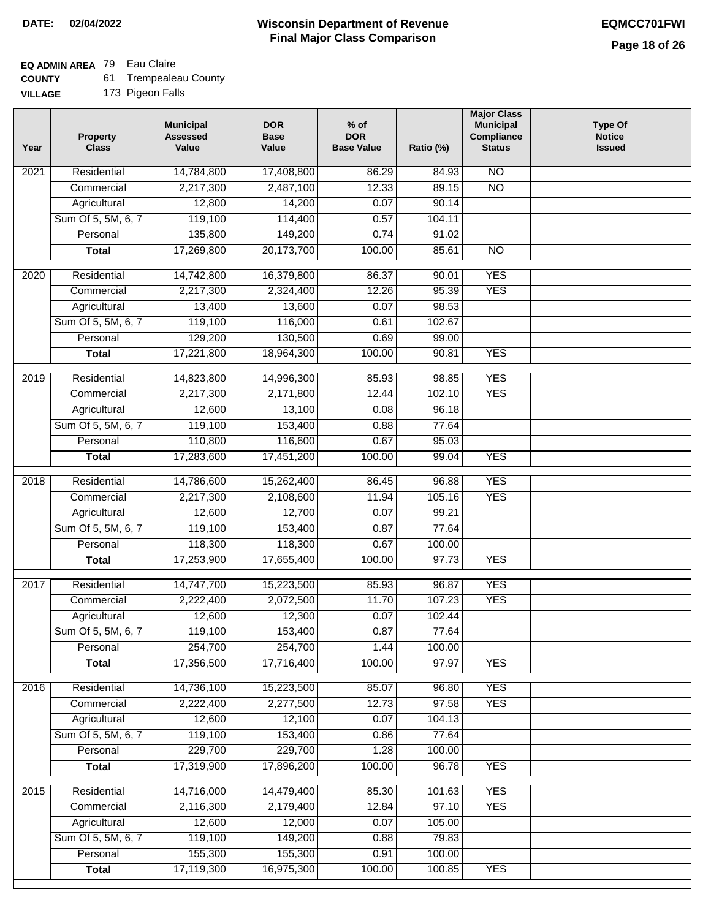٦

## **EQ ADMIN AREA** 79 Eau Claire

| <b>COUNTY</b> |  | <b>Trempealeau County</b> |  |
|---------------|--|---------------------------|--|
|---------------|--|---------------------------|--|

| <b>VILLAGE</b> |  | 173 Pigeon Falls |
|----------------|--|------------------|
|----------------|--|------------------|

| 14,784,800<br>$\overline{NO}$<br>2021<br>Residential<br>17,408,800<br>86.29<br>84.93<br>2,217,300<br>2,487,100<br>12.33<br>$\overline{NO}$<br>Commercial<br>89.15<br>Agricultural<br>12,800<br>14,200<br>0.07<br>90.14<br>Sum Of 5, 5M, 6, 7<br>119,100<br>114,400<br>0.57<br>104.11<br>135,800<br>149,200<br>0.74<br>Personal<br>91.02<br>17,269,800<br>20,173,700<br>100.00<br>85.61<br>$\overline{NO}$<br><b>Total</b><br><b>YES</b><br>Residential<br>14,742,800<br>16,379,800<br>86.37<br>90.01<br>2020<br><b>YES</b><br>2,217,300<br>2,324,400<br>12.26<br>95.39<br>Commercial<br>98.53<br>13,400<br>13,600<br>0.07<br>Agricultural<br>Sum Of 5, 5M, 6, 7<br>119,100<br>116,000<br>0.61<br>102.67<br>129,200<br>130,500<br>Personal<br>0.69<br>99.00<br><b>YES</b><br>17,221,800<br>18,964,300<br>100.00<br>90.81<br><b>Total</b><br><b>YES</b><br>Residential<br>14,823,800<br>14,996,300<br>85.93<br>98.85<br>2019<br>2,217,300<br><b>YES</b><br>Commercial<br>2,171,800<br>12.44<br>102.10<br>13,100<br>96.18<br>Agricultural<br>12,600<br>0.08<br>119,100<br>153,400<br>Sum Of 5, 5M, 6, 7<br>0.88<br>77.64<br>Personal<br>110,800<br>116,600<br>0.67<br>95.03<br>17,283,600<br>17,451,200<br>100.00<br>99.04<br><b>YES</b><br><b>Total</b><br><b>YES</b><br>2018<br>Residential<br>14,786,600<br>96.88<br>15,262,400<br>86.45<br>2,217,300<br><b>YES</b><br>Commercial<br>2,108,600<br>11.94<br>105.16<br>12,700<br>0.07<br>Agricultural<br>12,600<br>99.21<br>119,100<br>Sum Of 5, 5M, 6, 7<br>153,400<br>0.87<br>77.64<br>118,300<br>Personal<br>118,300<br>0.67<br>100.00<br><b>YES</b><br>17,253,900<br>17,655,400<br>100.00<br>97.73<br><b>Total</b><br><b>YES</b><br>2017<br>Residential<br>14,747,700<br>15,223,500<br>85.93<br>96.87<br>11.70<br><b>YES</b><br>2,222,400<br>2,072,500<br>107.23<br>Commercial<br>Agricultural<br>12,600<br>12,300<br>0.07<br>102.44<br>Sum Of 5, 5M, 6, 7<br>119,100<br>0.87<br>153,400<br>77.64<br>254,700<br>254,700<br>1.44<br>100.00<br>Personal<br>17,356,500<br>17,716,400<br><b>YES</b><br>100.00<br>97.97<br><b>Total</b> |  |
|--------------------------------------------------------------------------------------------------------------------------------------------------------------------------------------------------------------------------------------------------------------------------------------------------------------------------------------------------------------------------------------------------------------------------------------------------------------------------------------------------------------------------------------------------------------------------------------------------------------------------------------------------------------------------------------------------------------------------------------------------------------------------------------------------------------------------------------------------------------------------------------------------------------------------------------------------------------------------------------------------------------------------------------------------------------------------------------------------------------------------------------------------------------------------------------------------------------------------------------------------------------------------------------------------------------------------------------------------------------------------------------------------------------------------------------------------------------------------------------------------------------------------------------------------------------------------------------------------------------------------------------------------------------------------------------------------------------------------------------------------------------------------------------------------------------------------------------------------------------------------------------------------------------------------------------------------------------------------------------------------------------------------------------------------------------------------------------|--|
|                                                                                                                                                                                                                                                                                                                                                                                                                                                                                                                                                                                                                                                                                                                                                                                                                                                                                                                                                                                                                                                                                                                                                                                                                                                                                                                                                                                                                                                                                                                                                                                                                                                                                                                                                                                                                                                                                                                                                                                                                                                                                      |  |
|                                                                                                                                                                                                                                                                                                                                                                                                                                                                                                                                                                                                                                                                                                                                                                                                                                                                                                                                                                                                                                                                                                                                                                                                                                                                                                                                                                                                                                                                                                                                                                                                                                                                                                                                                                                                                                                                                                                                                                                                                                                                                      |  |
|                                                                                                                                                                                                                                                                                                                                                                                                                                                                                                                                                                                                                                                                                                                                                                                                                                                                                                                                                                                                                                                                                                                                                                                                                                                                                                                                                                                                                                                                                                                                                                                                                                                                                                                                                                                                                                                                                                                                                                                                                                                                                      |  |
|                                                                                                                                                                                                                                                                                                                                                                                                                                                                                                                                                                                                                                                                                                                                                                                                                                                                                                                                                                                                                                                                                                                                                                                                                                                                                                                                                                                                                                                                                                                                                                                                                                                                                                                                                                                                                                                                                                                                                                                                                                                                                      |  |
|                                                                                                                                                                                                                                                                                                                                                                                                                                                                                                                                                                                                                                                                                                                                                                                                                                                                                                                                                                                                                                                                                                                                                                                                                                                                                                                                                                                                                                                                                                                                                                                                                                                                                                                                                                                                                                                                                                                                                                                                                                                                                      |  |
|                                                                                                                                                                                                                                                                                                                                                                                                                                                                                                                                                                                                                                                                                                                                                                                                                                                                                                                                                                                                                                                                                                                                                                                                                                                                                                                                                                                                                                                                                                                                                                                                                                                                                                                                                                                                                                                                                                                                                                                                                                                                                      |  |
|                                                                                                                                                                                                                                                                                                                                                                                                                                                                                                                                                                                                                                                                                                                                                                                                                                                                                                                                                                                                                                                                                                                                                                                                                                                                                                                                                                                                                                                                                                                                                                                                                                                                                                                                                                                                                                                                                                                                                                                                                                                                                      |  |
|                                                                                                                                                                                                                                                                                                                                                                                                                                                                                                                                                                                                                                                                                                                                                                                                                                                                                                                                                                                                                                                                                                                                                                                                                                                                                                                                                                                                                                                                                                                                                                                                                                                                                                                                                                                                                                                                                                                                                                                                                                                                                      |  |
|                                                                                                                                                                                                                                                                                                                                                                                                                                                                                                                                                                                                                                                                                                                                                                                                                                                                                                                                                                                                                                                                                                                                                                                                                                                                                                                                                                                                                                                                                                                                                                                                                                                                                                                                                                                                                                                                                                                                                                                                                                                                                      |  |
|                                                                                                                                                                                                                                                                                                                                                                                                                                                                                                                                                                                                                                                                                                                                                                                                                                                                                                                                                                                                                                                                                                                                                                                                                                                                                                                                                                                                                                                                                                                                                                                                                                                                                                                                                                                                                                                                                                                                                                                                                                                                                      |  |
|                                                                                                                                                                                                                                                                                                                                                                                                                                                                                                                                                                                                                                                                                                                                                                                                                                                                                                                                                                                                                                                                                                                                                                                                                                                                                                                                                                                                                                                                                                                                                                                                                                                                                                                                                                                                                                                                                                                                                                                                                                                                                      |  |
|                                                                                                                                                                                                                                                                                                                                                                                                                                                                                                                                                                                                                                                                                                                                                                                                                                                                                                                                                                                                                                                                                                                                                                                                                                                                                                                                                                                                                                                                                                                                                                                                                                                                                                                                                                                                                                                                                                                                                                                                                                                                                      |  |
|                                                                                                                                                                                                                                                                                                                                                                                                                                                                                                                                                                                                                                                                                                                                                                                                                                                                                                                                                                                                                                                                                                                                                                                                                                                                                                                                                                                                                                                                                                                                                                                                                                                                                                                                                                                                                                                                                                                                                                                                                                                                                      |  |
|                                                                                                                                                                                                                                                                                                                                                                                                                                                                                                                                                                                                                                                                                                                                                                                                                                                                                                                                                                                                                                                                                                                                                                                                                                                                                                                                                                                                                                                                                                                                                                                                                                                                                                                                                                                                                                                                                                                                                                                                                                                                                      |  |
|                                                                                                                                                                                                                                                                                                                                                                                                                                                                                                                                                                                                                                                                                                                                                                                                                                                                                                                                                                                                                                                                                                                                                                                                                                                                                                                                                                                                                                                                                                                                                                                                                                                                                                                                                                                                                                                                                                                                                                                                                                                                                      |  |
|                                                                                                                                                                                                                                                                                                                                                                                                                                                                                                                                                                                                                                                                                                                                                                                                                                                                                                                                                                                                                                                                                                                                                                                                                                                                                                                                                                                                                                                                                                                                                                                                                                                                                                                                                                                                                                                                                                                                                                                                                                                                                      |  |
|                                                                                                                                                                                                                                                                                                                                                                                                                                                                                                                                                                                                                                                                                                                                                                                                                                                                                                                                                                                                                                                                                                                                                                                                                                                                                                                                                                                                                                                                                                                                                                                                                                                                                                                                                                                                                                                                                                                                                                                                                                                                                      |  |
|                                                                                                                                                                                                                                                                                                                                                                                                                                                                                                                                                                                                                                                                                                                                                                                                                                                                                                                                                                                                                                                                                                                                                                                                                                                                                                                                                                                                                                                                                                                                                                                                                                                                                                                                                                                                                                                                                                                                                                                                                                                                                      |  |
|                                                                                                                                                                                                                                                                                                                                                                                                                                                                                                                                                                                                                                                                                                                                                                                                                                                                                                                                                                                                                                                                                                                                                                                                                                                                                                                                                                                                                                                                                                                                                                                                                                                                                                                                                                                                                                                                                                                                                                                                                                                                                      |  |
|                                                                                                                                                                                                                                                                                                                                                                                                                                                                                                                                                                                                                                                                                                                                                                                                                                                                                                                                                                                                                                                                                                                                                                                                                                                                                                                                                                                                                                                                                                                                                                                                                                                                                                                                                                                                                                                                                                                                                                                                                                                                                      |  |
|                                                                                                                                                                                                                                                                                                                                                                                                                                                                                                                                                                                                                                                                                                                                                                                                                                                                                                                                                                                                                                                                                                                                                                                                                                                                                                                                                                                                                                                                                                                                                                                                                                                                                                                                                                                                                                                                                                                                                                                                                                                                                      |  |
|                                                                                                                                                                                                                                                                                                                                                                                                                                                                                                                                                                                                                                                                                                                                                                                                                                                                                                                                                                                                                                                                                                                                                                                                                                                                                                                                                                                                                                                                                                                                                                                                                                                                                                                                                                                                                                                                                                                                                                                                                                                                                      |  |
|                                                                                                                                                                                                                                                                                                                                                                                                                                                                                                                                                                                                                                                                                                                                                                                                                                                                                                                                                                                                                                                                                                                                                                                                                                                                                                                                                                                                                                                                                                                                                                                                                                                                                                                                                                                                                                                                                                                                                                                                                                                                                      |  |
|                                                                                                                                                                                                                                                                                                                                                                                                                                                                                                                                                                                                                                                                                                                                                                                                                                                                                                                                                                                                                                                                                                                                                                                                                                                                                                                                                                                                                                                                                                                                                                                                                                                                                                                                                                                                                                                                                                                                                                                                                                                                                      |  |
|                                                                                                                                                                                                                                                                                                                                                                                                                                                                                                                                                                                                                                                                                                                                                                                                                                                                                                                                                                                                                                                                                                                                                                                                                                                                                                                                                                                                                                                                                                                                                                                                                                                                                                                                                                                                                                                                                                                                                                                                                                                                                      |  |
|                                                                                                                                                                                                                                                                                                                                                                                                                                                                                                                                                                                                                                                                                                                                                                                                                                                                                                                                                                                                                                                                                                                                                                                                                                                                                                                                                                                                                                                                                                                                                                                                                                                                                                                                                                                                                                                                                                                                                                                                                                                                                      |  |
|                                                                                                                                                                                                                                                                                                                                                                                                                                                                                                                                                                                                                                                                                                                                                                                                                                                                                                                                                                                                                                                                                                                                                                                                                                                                                                                                                                                                                                                                                                                                                                                                                                                                                                                                                                                                                                                                                                                                                                                                                                                                                      |  |
|                                                                                                                                                                                                                                                                                                                                                                                                                                                                                                                                                                                                                                                                                                                                                                                                                                                                                                                                                                                                                                                                                                                                                                                                                                                                                                                                                                                                                                                                                                                                                                                                                                                                                                                                                                                                                                                                                                                                                                                                                                                                                      |  |
|                                                                                                                                                                                                                                                                                                                                                                                                                                                                                                                                                                                                                                                                                                                                                                                                                                                                                                                                                                                                                                                                                                                                                                                                                                                                                                                                                                                                                                                                                                                                                                                                                                                                                                                                                                                                                                                                                                                                                                                                                                                                                      |  |
|                                                                                                                                                                                                                                                                                                                                                                                                                                                                                                                                                                                                                                                                                                                                                                                                                                                                                                                                                                                                                                                                                                                                                                                                                                                                                                                                                                                                                                                                                                                                                                                                                                                                                                                                                                                                                                                                                                                                                                                                                                                                                      |  |
|                                                                                                                                                                                                                                                                                                                                                                                                                                                                                                                                                                                                                                                                                                                                                                                                                                                                                                                                                                                                                                                                                                                                                                                                                                                                                                                                                                                                                                                                                                                                                                                                                                                                                                                                                                                                                                                                                                                                                                                                                                                                                      |  |
|                                                                                                                                                                                                                                                                                                                                                                                                                                                                                                                                                                                                                                                                                                                                                                                                                                                                                                                                                                                                                                                                                                                                                                                                                                                                                                                                                                                                                                                                                                                                                                                                                                                                                                                                                                                                                                                                                                                                                                                                                                                                                      |  |
| <b>YES</b><br>Residential<br>14,736,100<br>15,223,500<br>85.07<br>96.80<br>2016                                                                                                                                                                                                                                                                                                                                                                                                                                                                                                                                                                                                                                                                                                                                                                                                                                                                                                                                                                                                                                                                                                                                                                                                                                                                                                                                                                                                                                                                                                                                                                                                                                                                                                                                                                                                                                                                                                                                                                                                      |  |
| 2,222,400<br>12.73<br>2,277,500<br>97.58<br><b>YES</b><br>Commercial                                                                                                                                                                                                                                                                                                                                                                                                                                                                                                                                                                                                                                                                                                                                                                                                                                                                                                                                                                                                                                                                                                                                                                                                                                                                                                                                                                                                                                                                                                                                                                                                                                                                                                                                                                                                                                                                                                                                                                                                                 |  |
| 12,600<br>12,100<br>Agricultural<br>0.07<br>104.13                                                                                                                                                                                                                                                                                                                                                                                                                                                                                                                                                                                                                                                                                                                                                                                                                                                                                                                                                                                                                                                                                                                                                                                                                                                                                                                                                                                                                                                                                                                                                                                                                                                                                                                                                                                                                                                                                                                                                                                                                                   |  |
| Sum Of 5, 5M, 6, 7<br>119,100<br>153,400<br>0.86<br>77.64                                                                                                                                                                                                                                                                                                                                                                                                                                                                                                                                                                                                                                                                                                                                                                                                                                                                                                                                                                                                                                                                                                                                                                                                                                                                                                                                                                                                                                                                                                                                                                                                                                                                                                                                                                                                                                                                                                                                                                                                                            |  |
| 229,700<br>229,700<br>Personal<br>1.28<br>100.00                                                                                                                                                                                                                                                                                                                                                                                                                                                                                                                                                                                                                                                                                                                                                                                                                                                                                                                                                                                                                                                                                                                                                                                                                                                                                                                                                                                                                                                                                                                                                                                                                                                                                                                                                                                                                                                                                                                                                                                                                                     |  |
| 17,319,900<br>17,896,200<br>100.00<br>96.78<br><b>YES</b><br><b>Total</b>                                                                                                                                                                                                                                                                                                                                                                                                                                                                                                                                                                                                                                                                                                                                                                                                                                                                                                                                                                                                                                                                                                                                                                                                                                                                                                                                                                                                                                                                                                                                                                                                                                                                                                                                                                                                                                                                                                                                                                                                            |  |
| 14,716,000<br>14,479,400<br><b>YES</b><br>2015<br>Residential<br>85.30<br>101.63                                                                                                                                                                                                                                                                                                                                                                                                                                                                                                                                                                                                                                                                                                                                                                                                                                                                                                                                                                                                                                                                                                                                                                                                                                                                                                                                                                                                                                                                                                                                                                                                                                                                                                                                                                                                                                                                                                                                                                                                     |  |
| 2,116,300<br>2,179,400<br>97.10<br><b>YES</b><br>Commercial<br>12.84                                                                                                                                                                                                                                                                                                                                                                                                                                                                                                                                                                                                                                                                                                                                                                                                                                                                                                                                                                                                                                                                                                                                                                                                                                                                                                                                                                                                                                                                                                                                                                                                                                                                                                                                                                                                                                                                                                                                                                                                                 |  |
| 12,600<br>12,000<br>Agricultural<br>0.07<br>105.00                                                                                                                                                                                                                                                                                                                                                                                                                                                                                                                                                                                                                                                                                                                                                                                                                                                                                                                                                                                                                                                                                                                                                                                                                                                                                                                                                                                                                                                                                                                                                                                                                                                                                                                                                                                                                                                                                                                                                                                                                                   |  |
| Sum Of 5, 5M, 6, 7<br>119,100<br>149,200<br>79.83<br>0.88                                                                                                                                                                                                                                                                                                                                                                                                                                                                                                                                                                                                                                                                                                                                                                                                                                                                                                                                                                                                                                                                                                                                                                                                                                                                                                                                                                                                                                                                                                                                                                                                                                                                                                                                                                                                                                                                                                                                                                                                                            |  |
| 155,300<br>Personal<br>155,300<br>0.91<br>100.00                                                                                                                                                                                                                                                                                                                                                                                                                                                                                                                                                                                                                                                                                                                                                                                                                                                                                                                                                                                                                                                                                                                                                                                                                                                                                                                                                                                                                                                                                                                                                                                                                                                                                                                                                                                                                                                                                                                                                                                                                                     |  |
| 17,119,300<br>16,975,300<br><b>YES</b><br>100.00<br>100.85<br><b>Total</b>                                                                                                                                                                                                                                                                                                                                                                                                                                                                                                                                                                                                                                                                                                                                                                                                                                                                                                                                                                                                                                                                                                                                                                                                                                                                                                                                                                                                                                                                                                                                                                                                                                                                                                                                                                                                                                                                                                                                                                                                           |  |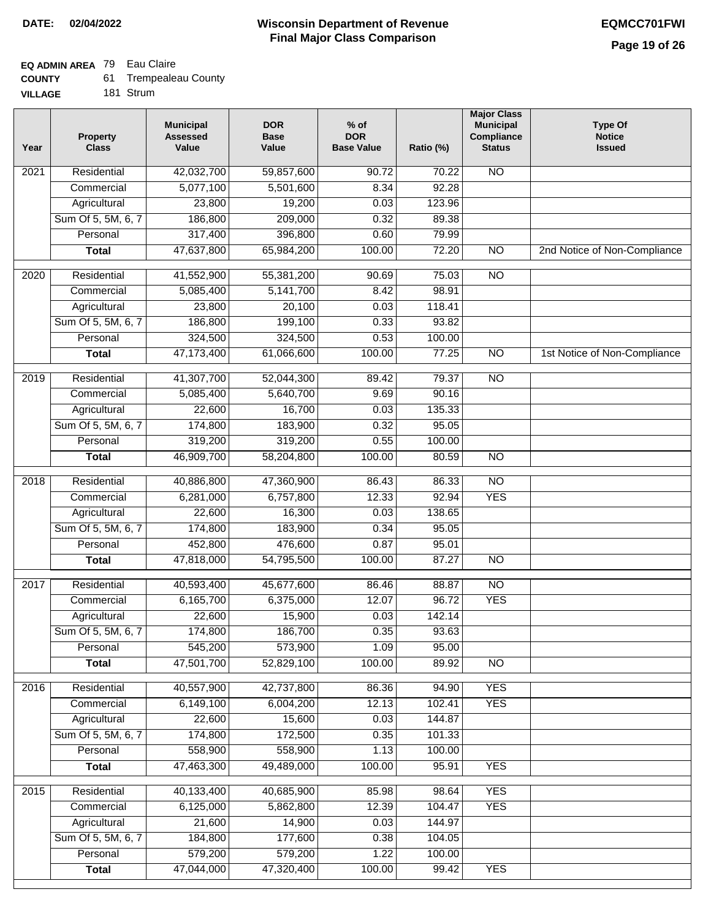# **EQ ADMIN AREA** 79 Eau Claire

| <b>COUNTY</b> | <b>Trempealeau County</b> |
|---------------|---------------------------|
|---------------|---------------------------|

**VILLAGE** 181 Strum

| Year | <b>Property</b><br><b>Class</b> | <b>Municipal</b><br><b>Assessed</b><br>Value | <b>DOR</b><br><b>Base</b><br>Value | $%$ of<br><b>DOR</b><br><b>Base Value</b> | Ratio (%) | <b>Major Class</b><br><b>Municipal</b><br>Compliance<br><b>Status</b> | <b>Type Of</b><br><b>Notice</b><br><b>Issued</b> |
|------|---------------------------------|----------------------------------------------|------------------------------------|-------------------------------------------|-----------|-----------------------------------------------------------------------|--------------------------------------------------|
| 2021 | Residential                     | 42,032,700                                   | 59,857,600                         | 90.72                                     | 70.22     | $\overline{NO}$                                                       |                                                  |
|      | Commercial                      | 5,077,100                                    | 5,501,600                          | 8.34                                      | 92.28     |                                                                       |                                                  |
|      | Agricultural                    | 23,800                                       | 19,200                             | 0.03                                      | 123.96    |                                                                       |                                                  |
|      | Sum Of 5, 5M, 6, 7              | 186,800                                      | 209,000                            | 0.32                                      | 89.38     |                                                                       |                                                  |
|      | Personal                        | 317,400                                      | 396,800                            | 0.60                                      | 79.99     |                                                                       |                                                  |
|      | <b>Total</b>                    | 47,637,800                                   | 65,984,200                         | 100.00                                    | 72.20     | $\overline{NO}$                                                       | 2nd Notice of Non-Compliance                     |
| 2020 | Residential                     | 41,552,900                                   | 55,381,200                         | 90.69                                     | 75.03     | $\overline{NO}$                                                       |                                                  |
|      | Commercial                      | 5,085,400                                    | 5,141,700                          | 8.42                                      | 98.91     |                                                                       |                                                  |
|      | Agricultural                    | 23,800                                       | 20,100                             | 0.03                                      | 118.41    |                                                                       |                                                  |
|      | Sum Of 5, 5M, 6, 7              | 186,800                                      | 199,100                            | 0.33                                      | 93.82     |                                                                       |                                                  |
|      | Personal                        | 324,500                                      | 324,500                            | 0.53                                      | 100.00    |                                                                       |                                                  |
|      | <b>Total</b>                    | 47,173,400                                   | 61,066,600                         | 100.00                                    | 77.25     | $\overline{NO}$                                                       | 1st Notice of Non-Compliance                     |
| 2019 | Residential                     | 41,307,700                                   | 52,044,300                         | 89.42                                     | 79.37     | $\overline{NO}$                                                       |                                                  |
|      | Commercial                      | 5,085,400                                    | 5,640,700                          | 9.69                                      | 90.16     |                                                                       |                                                  |
|      | Agricultural                    | 22,600                                       | 16,700                             | 0.03                                      | 135.33    |                                                                       |                                                  |
|      | Sum Of 5, 5M, 6, 7              | 174,800                                      | 183,900                            | 0.32                                      | 95.05     |                                                                       |                                                  |
|      | Personal                        | 319,200                                      | 319,200                            | 0.55                                      | 100.00    |                                                                       |                                                  |
|      | <b>Total</b>                    | 46,909,700                                   | 58,204,800                         | 100.00                                    | 80.59     | $\overline{NO}$                                                       |                                                  |
| 2018 | Residential                     | 40,886,800                                   | 47,360,900                         | 86.43                                     | 86.33     | $\overline{NO}$                                                       |                                                  |
|      | Commercial                      | 6,281,000                                    | 6,757,800                          | 12.33                                     | 92.94     | <b>YES</b>                                                            |                                                  |
|      | Agricultural                    | 22,600                                       | 16,300                             | 0.03                                      | 138.65    |                                                                       |                                                  |
|      | Sum Of 5, 5M, 6, 7              | 174,800                                      | 183,900                            | 0.34                                      | 95.05     |                                                                       |                                                  |
|      | Personal                        | 452,800                                      | 476,600                            | 0.87                                      | 95.01     |                                                                       |                                                  |
|      | <b>Total</b>                    | 47,818,000                                   | 54,795,500                         | 100.00                                    | 87.27     | <b>NO</b>                                                             |                                                  |
| 2017 | Residential                     | 40,593,400                                   | 45,677,600                         | 86.46                                     | 88.87     | $\overline{NO}$                                                       |                                                  |
|      | Commercial                      | 6,165,700                                    | 6,375,000                          | 12.07                                     | 96.72     | <b>YES</b>                                                            |                                                  |
|      | Agricultural                    | 22,600                                       | 15,900                             | 0.03                                      | 142.14    |                                                                       |                                                  |
|      | Sum Of 5, 5M, 6, 7              | 174,800                                      | 186,700                            | 0.35                                      | 93.63     |                                                                       |                                                  |
|      | Personal                        | 545,200                                      | 573,900                            | 1.09                                      | 95.00     |                                                                       |                                                  |
|      | <b>Total</b>                    | 47,501,700                                   | 52,829,100                         | 100.00                                    | 89.92     | <b>NO</b>                                                             |                                                  |
| 2016 | Residential                     | 40,557,900                                   | 42,737,800                         | 86.36                                     | 94.90     | <b>YES</b>                                                            |                                                  |
|      | Commercial                      | 6,149,100                                    | 6,004,200                          | 12.13                                     | 102.41    | <b>YES</b>                                                            |                                                  |
|      | Agricultural                    | 22,600                                       | 15,600                             | 0.03                                      | 144.87    |                                                                       |                                                  |
|      | Sum Of 5, 5M, 6, 7              | 174,800                                      | 172,500                            | 0.35                                      | 101.33    |                                                                       |                                                  |
|      | Personal                        | 558,900                                      | 558,900                            | 1.13                                      | 100.00    |                                                                       |                                                  |
|      | <b>Total</b>                    | 47,463,300                                   | 49,489,000                         | 100.00                                    | 95.91     | <b>YES</b>                                                            |                                                  |
| 2015 | Residential                     | 40,133,400                                   | 40,685,900                         | 85.98                                     | 98.64     | <b>YES</b>                                                            |                                                  |
|      | Commercial                      | 6,125,000                                    | 5,862,800                          | 12.39                                     | 104.47    | <b>YES</b>                                                            |                                                  |
|      | Agricultural                    | 21,600                                       | 14,900                             | 0.03                                      | 144.97    |                                                                       |                                                  |
|      | Sum Of 5, 5M, 6, 7              | 184,800                                      | 177,600                            | 0.38                                      | 104.05    |                                                                       |                                                  |
|      | Personal                        | 579,200                                      | 579,200                            | 1.22                                      | 100.00    |                                                                       |                                                  |
|      | <b>Total</b>                    | 47,044,000                                   | 47,320,400                         | 100.00                                    | 99.42     | <b>YES</b>                                                            |                                                  |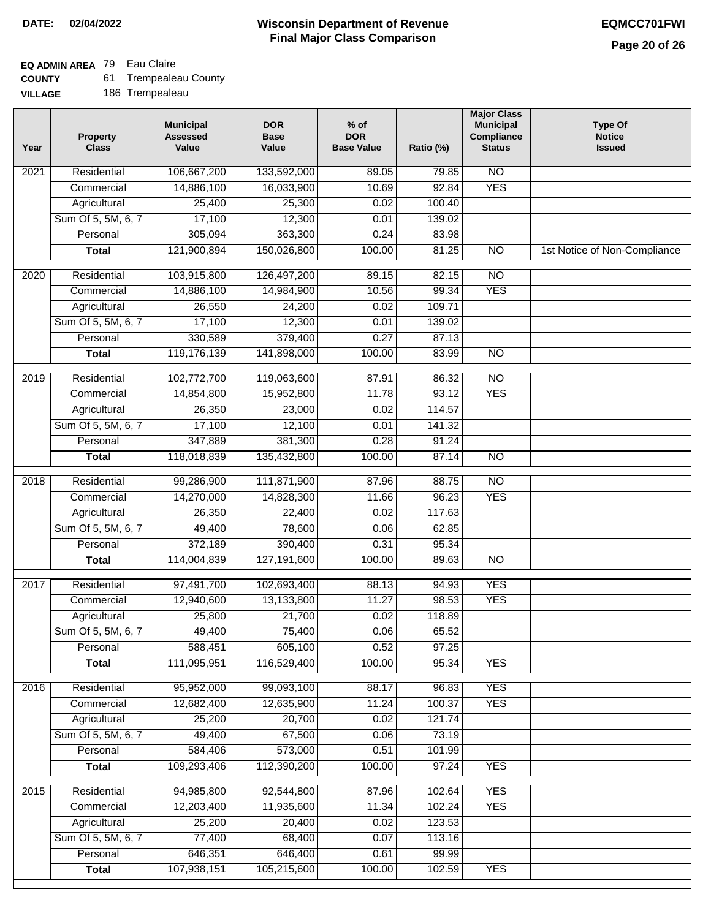## **EQ ADMIN AREA** 79 Eau Claire

| <b>COUNTY</b>  | <b>Trempealeau County</b> |
|----------------|---------------------------|
| <b>VILLAGE</b> | 186 Trempealeau           |

| Year             | <b>Property</b><br><b>Class</b> | <b>Municipal</b><br><b>Assessed</b><br>Value | <b>DOR</b><br><b>Base</b><br>Value | $%$ of<br><b>DOR</b><br><b>Base Value</b> | Ratio (%)       | <b>Major Class</b><br><b>Municipal</b><br>Compliance<br><b>Status</b> | <b>Type Of</b><br><b>Notice</b><br><b>Issued</b> |
|------------------|---------------------------------|----------------------------------------------|------------------------------------|-------------------------------------------|-----------------|-----------------------------------------------------------------------|--------------------------------------------------|
| 2021             | Residential                     | 106,667,200                                  | 133,592,000                        | 89.05                                     | 79.85           | $\overline{NO}$                                                       |                                                  |
|                  | Commercial                      | 14,886,100                                   | 16,033,900                         | 10.69                                     | 92.84           | <b>YES</b>                                                            |                                                  |
|                  | Agricultural                    | 25,400                                       | 25,300                             | 0.02                                      | 100.40          |                                                                       |                                                  |
|                  | Sum Of 5, 5M, 6, 7              | 17,100                                       | 12,300                             | 0.01                                      | 139.02          |                                                                       |                                                  |
|                  | Personal                        | 305,094                                      | 363,300                            | 0.24                                      | 83.98           |                                                                       |                                                  |
|                  | <b>Total</b>                    | 121,900,894                                  | 150,026,800                        | 100.00                                    | 81.25           | $\overline{NO}$                                                       | 1st Notice of Non-Compliance                     |
| 2020             | Residential                     | 103,915,800                                  | 126,497,200                        | 89.15                                     | 82.15           | $\overline{NO}$                                                       |                                                  |
|                  | Commercial                      | 14,886,100                                   | 14,984,900                         | 10.56                                     | 99.34           | <b>YES</b>                                                            |                                                  |
|                  | Agricultural                    | 26,550                                       | 24,200                             | 0.02                                      | 109.71          |                                                                       |                                                  |
|                  | Sum Of 5, 5M, 6, 7              | 17,100                                       | 12,300                             | 0.01                                      | 139.02          |                                                                       |                                                  |
|                  | Personal                        | 330,589                                      | 379,400                            | 0.27                                      | 87.13           |                                                                       |                                                  |
|                  | <b>Total</b>                    | 119,176,139                                  | 141,898,000                        | 100.00                                    | 83.99           | $\overline{NO}$                                                       |                                                  |
|                  |                                 |                                              |                                    |                                           |                 |                                                                       |                                                  |
| $\frac{1}{2019}$ | Residential                     | 102,772,700                                  | 119,063,600                        | 87.91                                     | 86.32           | $\overline{NO}$                                                       |                                                  |
|                  | Commercial                      | 14,854,800                                   | 15,952,800                         | 11.78                                     | 93.12           | <b>YES</b>                                                            |                                                  |
|                  | Agricultural                    | 26,350                                       | 23,000                             | 0.02                                      | 114.57          |                                                                       |                                                  |
|                  | Sum Of 5, 5M, 6, 7              | 17,100                                       | 12,100                             | 0.01                                      | 141.32          |                                                                       |                                                  |
|                  | Personal                        | 347,889                                      | 381,300                            | 0.28                                      | 91.24           |                                                                       |                                                  |
|                  | <b>Total</b>                    | 118,018,839                                  | 135,432,800                        | 100.00                                    | 87.14           | $\overline{N}$                                                        |                                                  |
| 2018             | Residential                     | 99,286,900                                   | 111,871,900                        | 87.96                                     | 88.75           | $\overline{NO}$                                                       |                                                  |
|                  | Commercial                      | 14,270,000                                   | 14,828,300                         | 11.66                                     | 96.23           | <b>YES</b>                                                            |                                                  |
|                  | Agricultural                    | 26,350                                       | 22,400                             | 0.02                                      | 117.63          |                                                                       |                                                  |
|                  | Sum Of 5, 5M, 6, 7              | 49,400                                       | 78,600                             | 0.06                                      | 62.85           |                                                                       |                                                  |
|                  | Personal                        | 372,189                                      | 390,400                            | 0.31                                      | 95.34           |                                                                       |                                                  |
|                  | <b>Total</b>                    | 114,004,839                                  | 127,191,600                        | 100.00                                    | 89.63           | <b>NO</b>                                                             |                                                  |
| 2017             | Residential                     | 97,491,700                                   | 102,693,400                        | 88.13                                     | 94.93           | <b>YES</b>                                                            |                                                  |
|                  | Commercial                      | 12,940,600                                   | 13,133,800                         | 11.27                                     | 98.53           | <b>YES</b>                                                            |                                                  |
|                  | Agricultural                    | 25,800                                       | 21,700                             | 0.02                                      | 118.89          |                                                                       |                                                  |
|                  | Sum Of 5, 5M, 6, 7              | 49,400                                       | 75,400                             | 0.06                                      | 65.52           |                                                                       |                                                  |
|                  | Personal                        | 588,451                                      | 605,100                            | 0.52                                      | 97.25           |                                                                       |                                                  |
|                  | <b>Total</b>                    | 111,095,951                                  | 116,529,400                        | 100.00                                    | 95.34           | <b>YES</b>                                                            |                                                  |
| 2016             | Residential                     | 95,952,000                                   | 99,093,100                         | 88.17                                     | 96.83           | <b>YES</b>                                                            |                                                  |
|                  | Commercial                      | 12,682,400                                   | 12,635,900                         | 11.24                                     | 100.37          | <b>YES</b>                                                            |                                                  |
|                  | Agricultural                    | 25,200                                       | 20,700                             | 0.02                                      | 121.74          |                                                                       |                                                  |
|                  | Sum Of 5, 5M, 6, 7              | 49,400                                       | 67,500                             | 0.06                                      | 73.19           |                                                                       |                                                  |
|                  | Personal                        | 584,406                                      | 573,000                            | 0.51                                      | 101.99          |                                                                       |                                                  |
|                  | <b>Total</b>                    | 109,293,406                                  | 112,390,200                        | 100.00                                    | 97.24           | <b>YES</b>                                                            |                                                  |
|                  |                                 |                                              |                                    |                                           |                 |                                                                       |                                                  |
| 2015             | Residential                     | 94,985,800                                   | 92,544,800                         | 87.96                                     | 102.64          | <b>YES</b>                                                            |                                                  |
|                  | Commercial                      | 12,203,400                                   | 11,935,600                         | 11.34                                     | 102.24          | <b>YES</b>                                                            |                                                  |
|                  | Agricultural                    | 25,200                                       | 20,400                             | 0.02                                      | 123.53          |                                                                       |                                                  |
|                  | Sum Of 5, 5M, 6, 7              | 77,400<br>646,351                            | 68,400<br>646,400                  | 0.07<br>0.61                              | 113.16<br>99.99 |                                                                       |                                                  |
|                  | Personal<br><b>Total</b>        | 107,938,151                                  | 105,215,600                        | 100.00                                    | 102.59          | <b>YES</b>                                                            |                                                  |
|                  |                                 |                                              |                                    |                                           |                 |                                                                       |                                                  |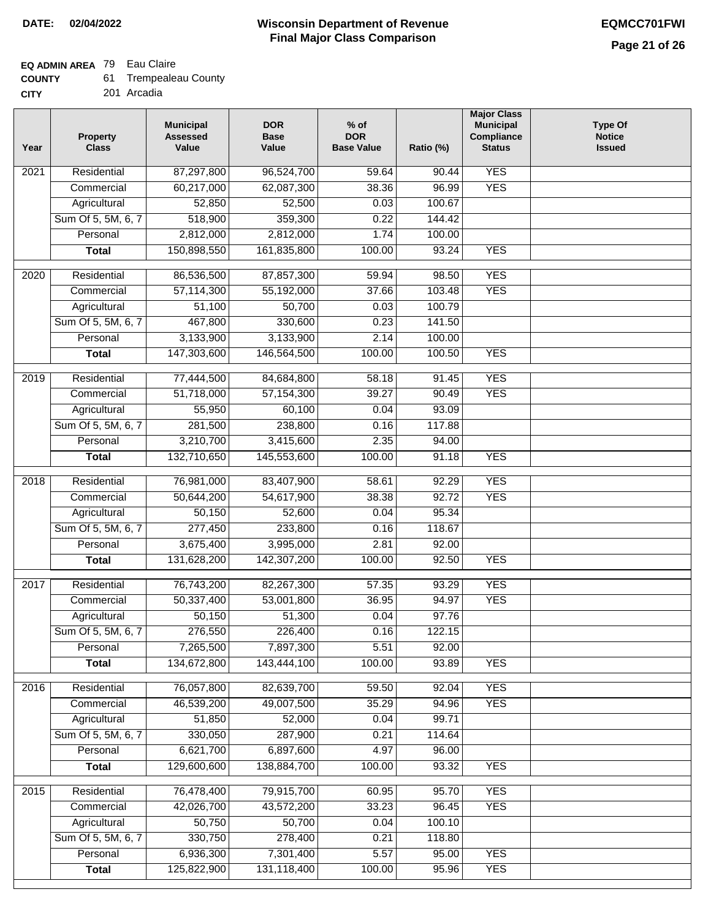# **EQ ADMIN AREA** 79 Eau Claire

| 61<br><b>COUNTY</b> | <b>Trempealeau County</b> |
|---------------------|---------------------------|
|---------------------|---------------------------|

**CITY** 201 Arcadia

| Year              | <b>Property</b><br><b>Class</b> | <b>Municipal</b><br><b>Assessed</b><br>Value | <b>DOR</b><br><b>Base</b><br>Value | % of<br><b>DOR</b><br><b>Base Value</b> | Ratio (%) | <b>Major Class</b><br><b>Municipal</b><br>Compliance<br><b>Status</b> | <b>Type Of</b><br><b>Notice</b><br><b>Issued</b> |
|-------------------|---------------------------------|----------------------------------------------|------------------------------------|-----------------------------------------|-----------|-----------------------------------------------------------------------|--------------------------------------------------|
| $\overline{202}1$ | Residential                     | 87,297,800                                   | 96,524,700                         | 59.64                                   | 90.44     | <b>YES</b>                                                            |                                                  |
|                   | Commercial                      | 60,217,000                                   | 62,087,300                         | 38.36                                   | 96.99     | <b>YES</b>                                                            |                                                  |
|                   | Agricultural                    | 52,850                                       | 52,500                             | 0.03                                    | 100.67    |                                                                       |                                                  |
|                   | Sum Of 5, 5M, 6, 7              | 518,900                                      | 359,300                            | 0.22                                    | 144.42    |                                                                       |                                                  |
|                   | Personal                        | 2,812,000                                    | 2,812,000                          | 1.74                                    | 100.00    |                                                                       |                                                  |
|                   | <b>Total</b>                    | 150,898,550                                  | 161,835,800                        | 100.00                                  | 93.24     | <b>YES</b>                                                            |                                                  |
| $\overline{2020}$ | Residential                     | 86,536,500                                   | 87,857,300                         | 59.94                                   | 98.50     | <b>YES</b>                                                            |                                                  |
|                   | Commercial                      | 57,114,300                                   | 55,192,000                         | 37.66                                   | 103.48    | <b>YES</b>                                                            |                                                  |
|                   | Agricultural                    | 51,100                                       | 50,700                             | 0.03                                    | 100.79    |                                                                       |                                                  |
|                   | Sum Of 5, 5M, 6, 7              | 467,800                                      | 330,600                            | 0.23                                    | 141.50    |                                                                       |                                                  |
|                   | Personal                        | 3,133,900                                    | 3,133,900                          | 2.14                                    | 100.00    |                                                                       |                                                  |
|                   | <b>Total</b>                    | 147,303,600                                  | 146,564,500                        | 100.00                                  | 100.50    | <b>YES</b>                                                            |                                                  |
| 2019              | Residential                     | 77,444,500                                   | 84,684,800                         | 58.18                                   | 91.45     | <b>YES</b>                                                            |                                                  |
|                   | Commercial                      | 51,718,000                                   | 57, 154, 300                       | 39.27                                   | 90.49     | <b>YES</b>                                                            |                                                  |
|                   | Agricultural                    | 55,950                                       | 60,100                             | 0.04                                    | 93.09     |                                                                       |                                                  |
|                   | Sum Of 5, 5M, 6, 7              | 281,500                                      | 238,800                            | 0.16                                    | 117.88    |                                                                       |                                                  |
|                   | Personal                        | 3,210,700                                    | 3,415,600                          | 2.35                                    | 94.00     |                                                                       |                                                  |
|                   | <b>Total</b>                    | 132,710,650                                  | 145,553,600                        | 100.00                                  | 91.18     | <b>YES</b>                                                            |                                                  |
|                   |                                 |                                              |                                    |                                         |           |                                                                       |                                                  |
| 2018              | Residential                     | 76,981,000                                   | 83,407,900                         | 58.61                                   | 92.29     | <b>YES</b>                                                            |                                                  |
|                   | Commercial                      | 50,644,200                                   | 54,617,900                         | 38.38                                   | 92.72     | <b>YES</b>                                                            |                                                  |
|                   | Agricultural                    | 50,150                                       | 52,600                             | 0.04                                    | 95.34     |                                                                       |                                                  |
|                   | Sum Of 5, 5M, 6, 7              | 277,450                                      | 233,800                            | 0.16                                    | 118.67    |                                                                       |                                                  |
|                   | Personal                        | 3,675,400                                    | 3,995,000                          | 2.81                                    | 92.00     |                                                                       |                                                  |
|                   | <b>Total</b>                    | 131,628,200                                  | 142,307,200                        | 100.00                                  | 92.50     | <b>YES</b>                                                            |                                                  |
| 2017              | Residential                     | 76,743,200                                   | 82,267,300                         | 57.35                                   | 93.29     | <b>YES</b>                                                            |                                                  |
|                   | Commercial                      | 50,337,400                                   | 53,001,800                         | 36.95                                   | 94.97     | <b>YES</b>                                                            |                                                  |
|                   | Agricultural                    | 50,150                                       | 51,300                             | 0.04                                    | 97.76     |                                                                       |                                                  |
|                   | Sum Of 5, 5M, 6, 7              | 276,550                                      | 226,400                            | 0.16                                    | 122.15    |                                                                       |                                                  |
|                   | Personal                        | 7,265,500                                    | 7,897,300                          | 5.51                                    | 92.00     |                                                                       |                                                  |
|                   | <b>Total</b>                    | 134,672,800                                  | 143,444,100                        | 100.00                                  | 93.89     | <b>YES</b>                                                            |                                                  |
| 2016              | Residential                     | 76,057,800                                   | 82,639,700                         | 59.50                                   | 92.04     | <b>YES</b>                                                            |                                                  |
|                   | Commercial                      | 46,539,200                                   | 49,007,500                         | 35.29                                   | 94.96     | <b>YES</b>                                                            |                                                  |
|                   | Agricultural                    | 51,850                                       | 52,000                             | 0.04                                    | 99.71     |                                                                       |                                                  |
|                   | Sum Of 5, 5M, 6, 7              | 330,050                                      | 287,900                            | 0.21                                    | 114.64    |                                                                       |                                                  |
|                   | Personal                        | 6,621,700                                    | 6,897,600                          | 4.97                                    | 96.00     |                                                                       |                                                  |
|                   | <b>Total</b>                    | 129,600,600                                  | 138,884,700                        | 100.00                                  | 93.32     | <b>YES</b>                                                            |                                                  |
| 2015              | Residential                     | 76,478,400                                   | 79,915,700                         | 60.95                                   | 95.70     | <b>YES</b>                                                            |                                                  |
|                   | Commercial                      | 42,026,700                                   | 43,572,200                         | 33.23                                   | 96.45     | <b>YES</b>                                                            |                                                  |
|                   | Agricultural                    | 50,750                                       | 50,700                             | 0.04                                    | 100.10    |                                                                       |                                                  |
|                   | Sum Of 5, 5M, 6, 7              | 330,750                                      | 278,400                            | 0.21                                    | 118.80    |                                                                       |                                                  |
|                   | Personal                        | 6,936,300                                    | 7,301,400                          | 5.57                                    | 95.00     | <b>YES</b>                                                            |                                                  |
|                   | <b>Total</b>                    | 125,822,900                                  | 131,118,400                        | 100.00                                  | 95.96     | <b>YES</b>                                                            |                                                  |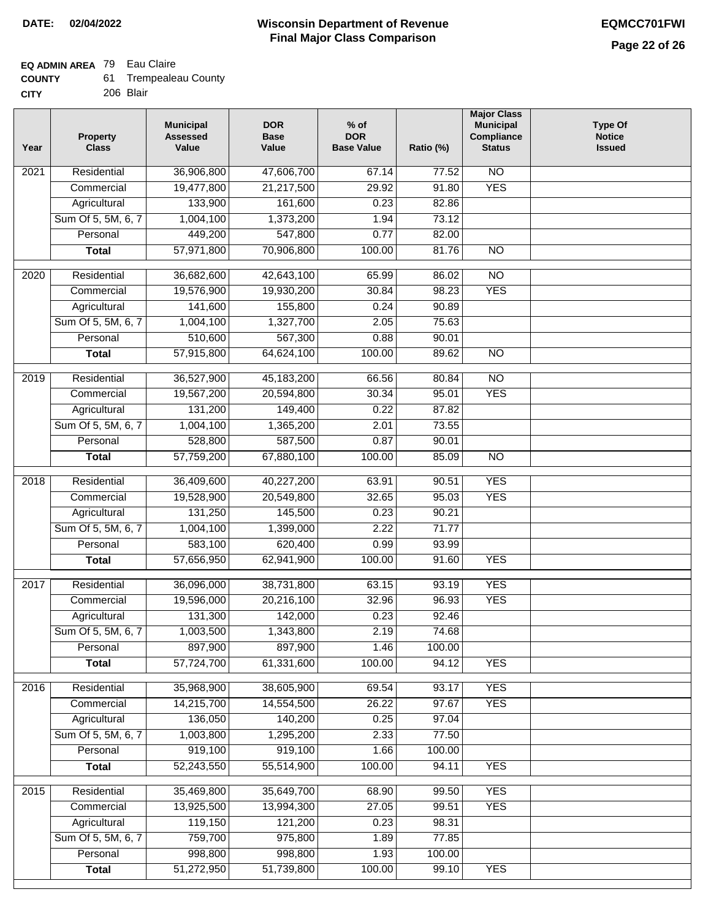### **EQ ADMIN AREA** 79 Eau Claire

| <b>COUNTY</b> |  | <b>Trempealeau County</b> |
|---------------|--|---------------------------|
|---------------|--|---------------------------|

**CITY** 206 Blair

| Year | <b>Property</b><br><b>Class</b> | <b>Municipal</b><br><b>Assessed</b><br>Value | <b>DOR</b><br><b>Base</b><br>Value | $%$ of<br><b>DOR</b><br><b>Base Value</b> | Ratio (%) | <b>Major Class</b><br><b>Municipal</b><br>Compliance<br><b>Status</b> | <b>Type Of</b><br><b>Notice</b><br><b>Issued</b> |
|------|---------------------------------|----------------------------------------------|------------------------------------|-------------------------------------------|-----------|-----------------------------------------------------------------------|--------------------------------------------------|
| 2021 | Residential                     | 36,906,800                                   | 47,606,700                         | 67.14                                     | 77.52     | N <sub>O</sub>                                                        |                                                  |
|      | Commercial                      | 19,477,800                                   | 21,217,500                         | 29.92                                     | 91.80     | <b>YES</b>                                                            |                                                  |
|      | Agricultural                    | 133,900                                      | 161,600                            | 0.23                                      | 82.86     |                                                                       |                                                  |
|      | Sum Of 5, 5M, 6, 7              | 1,004,100                                    | 1,373,200                          | 1.94                                      | 73.12     |                                                                       |                                                  |
|      | Personal                        | 449,200                                      | 547,800                            | 0.77                                      | 82.00     |                                                                       |                                                  |
|      | <b>Total</b>                    | 57,971,800                                   | 70,906,800                         | 100.00                                    | 81.76     | $\overline{NO}$                                                       |                                                  |
| 2020 | Residential                     | 36,682,600                                   | 42,643,100                         | 65.99                                     | 86.02     | $\overline{NO}$                                                       |                                                  |
|      | Commercial                      | 19,576,900                                   | 19,930,200                         | 30.84                                     | 98.23     | <b>YES</b>                                                            |                                                  |
|      | Agricultural                    | 141,600                                      | 155,800                            | 0.24                                      | 90.89     |                                                                       |                                                  |
|      | Sum Of 5, 5M, 6, 7              | 1,004,100                                    | 1,327,700                          | 2.05                                      | 75.63     |                                                                       |                                                  |
|      | Personal                        | 510,600                                      | 567,300                            | 0.88                                      | 90.01     |                                                                       |                                                  |
|      | <b>Total</b>                    | 57,915,800                                   | 64,624,100                         | 100.00                                    | 89.62     | $\overline{NO}$                                                       |                                                  |
| 2019 | Residential                     | 36,527,900                                   | 45,183,200                         | 66.56                                     | 80.84     | $\overline{3}$                                                        |                                                  |
|      | Commercial                      | 19,567,200                                   | 20,594,800                         | 30.34                                     | 95.01     | <b>YES</b>                                                            |                                                  |
|      | Agricultural                    | 131,200                                      | 149,400                            | 0.22                                      | 87.82     |                                                                       |                                                  |
|      | Sum Of 5, 5M, 6, 7              | 1,004,100                                    | 1,365,200                          | 2.01                                      | 73.55     |                                                                       |                                                  |
|      | Personal                        | 528,800                                      | 587,500                            | 0.87                                      | 90.01     |                                                                       |                                                  |
|      | <b>Total</b>                    | 57,759,200                                   | 67,880,100                         | 100.00                                    | 85.09     | $\overline{NO}$                                                       |                                                  |
|      |                                 |                                              |                                    |                                           |           |                                                                       |                                                  |
| 2018 | Residential                     | 36,409,600                                   | 40,227,200                         | 63.91                                     | 90.51     | <b>YES</b>                                                            |                                                  |
|      | Commercial                      | 19,528,900                                   | 20,549,800                         | 32.65                                     | 95.03     | <b>YES</b>                                                            |                                                  |
|      | Agricultural                    | 131,250                                      | 145,500                            | 0.23                                      | 90.21     |                                                                       |                                                  |
|      | Sum Of 5, 5M, 6, 7              | 1,004,100                                    | 1,399,000                          | 2.22                                      | 71.77     |                                                                       |                                                  |
|      | Personal                        | 583,100                                      | 620,400                            | 0.99                                      | 93.99     |                                                                       |                                                  |
|      | <b>Total</b>                    | 57,656,950                                   | 62,941,900                         | 100.00                                    | 91.60     | <b>YES</b>                                                            |                                                  |
| 2017 | Residential                     | 36,096,000                                   | 38,731,800                         | 63.15                                     | 93.19     | <b>YES</b>                                                            |                                                  |
|      | Commercial                      | 19,596,000                                   | 20,216,100                         | 32.96                                     | 96.93     | <b>YES</b>                                                            |                                                  |
|      | Agricultural                    | 131,300                                      | 142,000                            | 0.23                                      | 92.46     |                                                                       |                                                  |
|      | Sum Of 5, 5M, 6, 7              | 1,003,500                                    | 1,343,800                          | 2.19                                      | 74.68     |                                                                       |                                                  |
|      | Personal                        | 897,900                                      | 897,900                            | 1.46                                      | 100.00    |                                                                       |                                                  |
|      | <b>Total</b>                    | 57,724,700                                   | 61,331,600                         | 100.00                                    | 94.12     | <b>YES</b>                                                            |                                                  |
| 2016 | Residential                     | 35,968,900                                   | 38,605,900                         | 69.54                                     | 93.17     | <b>YES</b>                                                            |                                                  |
|      | Commercial                      | 14,215,700                                   | 14,554,500                         | 26.22                                     | 97.67     | <b>YES</b>                                                            |                                                  |
|      | Agricultural                    | 136,050                                      | 140,200                            | 0.25                                      | 97.04     |                                                                       |                                                  |
|      | Sum Of 5, 5M, 6, 7              | 1,003,800                                    | 1,295,200                          | 2.33                                      | 77.50     |                                                                       |                                                  |
|      | Personal                        | 919,100                                      | 919,100                            | 1.66                                      | 100.00    |                                                                       |                                                  |
|      | <b>Total</b>                    | 52,243,550                                   | 55,514,900                         | 100.00                                    | 94.11     | <b>YES</b>                                                            |                                                  |
| 2015 | Residential                     | 35,469,800                                   | 35,649,700                         | 68.90                                     | 99.50     | <b>YES</b>                                                            |                                                  |
|      | Commercial                      | 13,925,500                                   | 13,994,300                         | 27.05                                     | 99.51     | <b>YES</b>                                                            |                                                  |
|      | Agricultural                    | 119,150                                      | 121,200                            | 0.23                                      | 98.31     |                                                                       |                                                  |
|      | Sum Of 5, 5M, 6, 7              | 759,700                                      | 975,800                            | 1.89                                      | 77.85     |                                                                       |                                                  |
|      | Personal                        | 998,800                                      | 998,800                            | 1.93                                      | 100.00    |                                                                       |                                                  |
|      | <b>Total</b>                    | 51,272,950                                   | 51,739,800                         | 100.00                                    | 99.10     | <b>YES</b>                                                            |                                                  |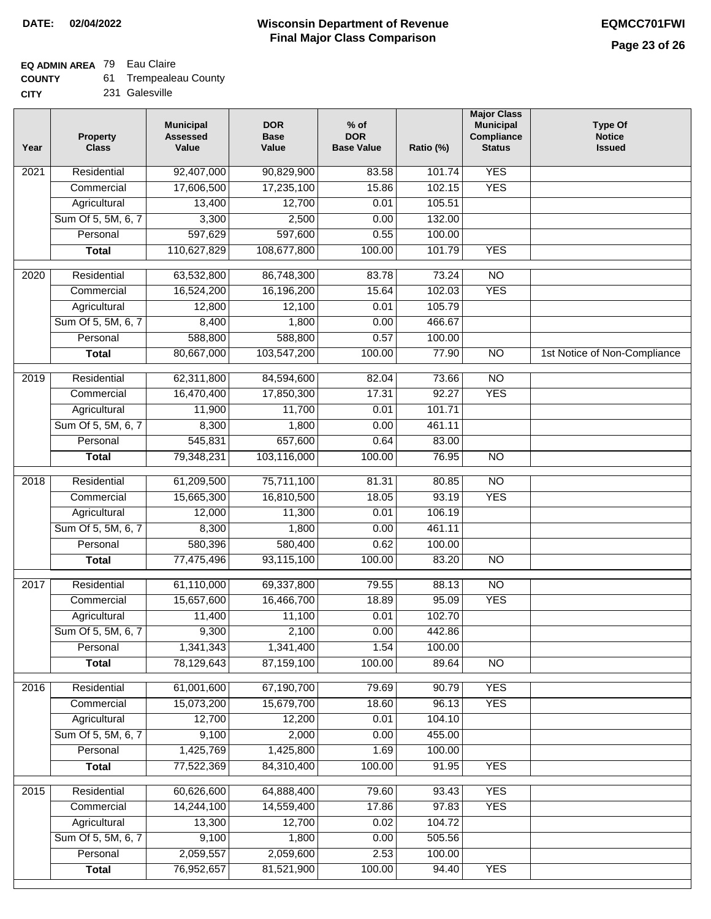## **EQ ADMIN AREA** 79 Eau Claire

| <b>COUNTY</b> | 61 | <b>Trempealeau County</b> |
|---------------|----|---------------------------|
| CITY          |    | 231 Galesville            |

| CITY | 231 |
|------|-----|
|------|-----|

| Year | <b>Property</b><br><b>Class</b>    | <b>Municipal</b><br><b>Assessed</b><br>Value | <b>DOR</b><br><b>Base</b><br>Value | $%$ of<br><b>DOR</b><br><b>Base Value</b> | Ratio (%)       | <b>Major Class</b><br><b>Municipal</b><br>Compliance<br><b>Status</b> | <b>Type Of</b><br><b>Notice</b><br><b>Issued</b> |
|------|------------------------------------|----------------------------------------------|------------------------------------|-------------------------------------------|-----------------|-----------------------------------------------------------------------|--------------------------------------------------|
| 2021 | Residential                        | 92,407,000                                   | 90,829,900                         | 83.58                                     | 101.74          | <b>YES</b>                                                            |                                                  |
|      | Commercial                         | 17,606,500                                   | 17,235,100                         | 15.86                                     | 102.15          | <b>YES</b>                                                            |                                                  |
|      | Agricultural                       | 13,400                                       | 12,700                             | 0.01                                      | 105.51          |                                                                       |                                                  |
|      | Sum Of 5, 5M, 6, 7                 | 3,300                                        | 2,500                              | 0.00                                      | 132.00          |                                                                       |                                                  |
|      | Personal                           | 597,629                                      | 597,600                            | 0.55                                      | 100.00          |                                                                       |                                                  |
|      | <b>Total</b>                       | 110,627,829                                  | 108,677,800                        | 100.00                                    | 101.79          | <b>YES</b>                                                            |                                                  |
| 2020 | Residential                        | 63,532,800                                   | 86,748,300                         | 83.78                                     | 73.24           | $\overline{NO}$                                                       |                                                  |
|      | Commercial                         | 16,524,200                                   | 16,196,200                         | 15.64                                     | 102.03          | <b>YES</b>                                                            |                                                  |
|      | Agricultural                       | 12,800                                       | 12,100                             | 0.01                                      | 105.79          |                                                                       |                                                  |
|      | Sum Of 5, 5M, 6, 7                 | 8,400                                        | 1,800                              | 0.00                                      | 466.67          |                                                                       |                                                  |
|      | Personal                           | 588,800                                      | 588,800                            | 0.57                                      | 100.00          |                                                                       |                                                  |
|      | <b>Total</b>                       | 80,667,000                                   | 103,547,200                        | 100.00                                    | 77.90           | $\overline{NO}$                                                       | 1st Notice of Non-Compliance                     |
| 2019 | Residential                        | 62,311,800                                   | 84,594,600                         | 82.04                                     | 73.66           | $\overline{NO}$                                                       |                                                  |
|      | Commercial                         | 16,470,400                                   | 17,850,300                         | 17.31                                     | 92.27           | <b>YES</b>                                                            |                                                  |
|      | Agricultural                       | 11,900                                       | 11,700                             | 0.01                                      | 101.71          |                                                                       |                                                  |
|      | Sum Of 5, 5M, 6, 7                 | 8,300                                        | 1,800                              | 0.00                                      | 461.11          |                                                                       |                                                  |
|      | Personal                           | 545,831                                      | 657,600                            | 0.64                                      | 83.00           |                                                                       |                                                  |
|      | <b>Total</b>                       | 79,348,231                                   | 103,116,000                        | 100.00                                    | 76.95           | $\overline{NO}$                                                       |                                                  |
|      |                                    |                                              |                                    |                                           |                 |                                                                       |                                                  |
| 2018 | Residential                        | 61,209,500                                   | 75,711,100                         | 81.31                                     | 80.85           | $\overline{NO}$<br><b>YES</b>                                         |                                                  |
|      | Commercial                         | 15,665,300<br>12,000                         | 16,810,500<br>11,300               | 18.05<br>0.01                             | 93.19<br>106.19 |                                                                       |                                                  |
|      | Agricultural<br>Sum Of 5, 5M, 6, 7 | 8,300                                        | 1,800                              | 0.00                                      | 461.11          |                                                                       |                                                  |
|      | Personal                           | 580,396                                      | 580,400                            | 0.62                                      | 100.00          |                                                                       |                                                  |
|      | <b>Total</b>                       | 77,475,496                                   | 93,115,100                         | 100.00                                    | 83.20           | $\overline{NO}$                                                       |                                                  |
|      |                                    |                                              |                                    |                                           |                 |                                                                       |                                                  |
| 2017 | Residential                        | 61,110,000                                   | 69,337,800                         | 79.55                                     | 88.13           | $\overline{NO}$                                                       |                                                  |
|      | Commercial                         | 15,657,600                                   | 16,466,700                         | 18.89                                     | 95.09           | <b>YES</b>                                                            |                                                  |
|      | Agricultural                       | 11,400                                       | 11,100                             | 0.01                                      | 102.70          |                                                                       |                                                  |
|      | Sum Of 5, 5M, 6, 7                 | 9,300                                        | 2,100                              | 0.00                                      | 442.86          |                                                                       |                                                  |
|      | Personal                           | 1,341,343                                    | 1,341,400                          | 1.54                                      | 100.00          |                                                                       |                                                  |
|      | <b>Total</b>                       | 78,129,643                                   | 87,159,100                         | 100.00                                    | 89.64           | <b>NO</b>                                                             |                                                  |
| 2016 | Residential                        | 61,001,600                                   | 67,190,700                         | 79.69                                     | 90.79           | <b>YES</b>                                                            |                                                  |
|      | Commercial                         | 15,073,200                                   | 15,679,700                         | 18.60                                     | 96.13           | <b>YES</b>                                                            |                                                  |
|      | Agricultural                       | 12,700                                       | 12,200                             | 0.01                                      | 104.10          |                                                                       |                                                  |
|      | Sum Of 5, 5M, 6, 7                 | 9,100                                        | 2,000                              | 0.00                                      | 455.00          |                                                                       |                                                  |
|      | Personal                           | 1,425,769                                    | 1,425,800                          | 1.69                                      | 100.00          |                                                                       |                                                  |
|      | <b>Total</b>                       | 77,522,369                                   | 84,310,400                         | 100.00                                    | 91.95           | <b>YES</b>                                                            |                                                  |
| 2015 | Residential                        | 60,626,600                                   | 64,888,400                         | 79.60                                     | 93.43           | <b>YES</b>                                                            |                                                  |
|      | Commercial                         | 14,244,100                                   | 14,559,400                         | 17.86                                     | 97.83           | <b>YES</b>                                                            |                                                  |
|      | Agricultural                       | 13,300                                       | 12,700                             | 0.02                                      | 104.72          |                                                                       |                                                  |
|      | Sum Of 5, 5M, 6, 7                 | 9,100                                        | 1,800                              | 0.00                                      | 505.56          |                                                                       |                                                  |
|      | Personal                           | 2,059,557                                    | 2,059,600                          | 2.53                                      | 100.00          |                                                                       |                                                  |
|      | <b>Total</b>                       | 76,952,657                                   | 81,521,900                         | 100.00                                    | 94.40           | <b>YES</b>                                                            |                                                  |
|      |                                    |                                              |                                    |                                           |                 |                                                                       |                                                  |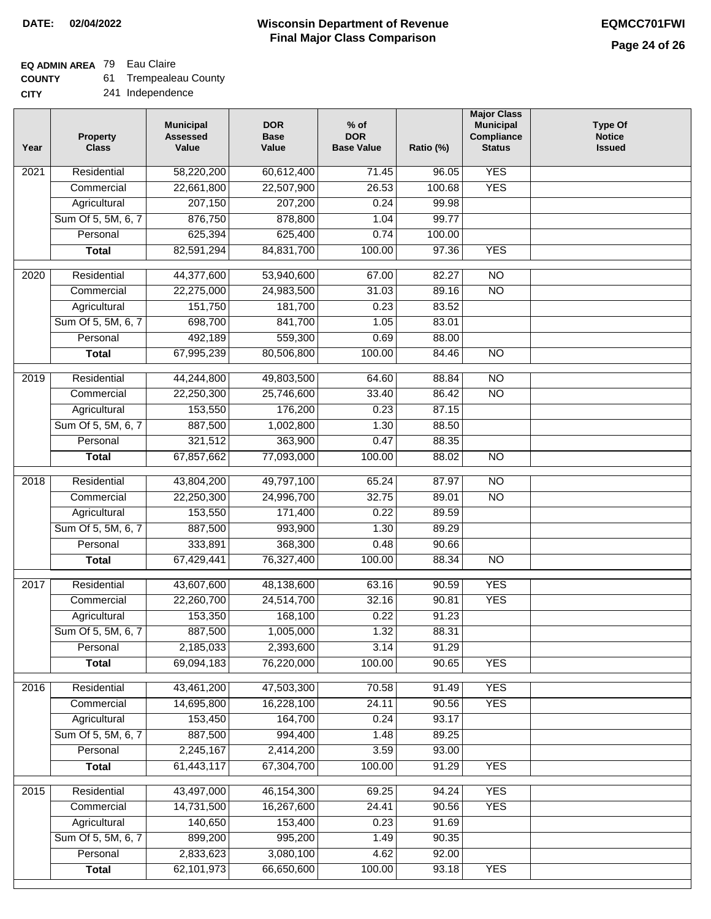### **EQ ADMIN AREA** 79 Eau Claire

| <b>COUNTY</b> | <b>Trempealeau County</b> |
|---------------|---------------------------|
|---------------|---------------------------|

Independence

| <b>CITY</b> | 241 |
|-------------|-----|
|-------------|-----|

| Year              | <b>Property</b><br><b>Class</b> | <b>Municipal</b><br><b>Assessed</b><br>Value | <b>DOR</b><br><b>Base</b><br>Value | $%$ of<br><b>DOR</b><br><b>Base Value</b> | Ratio (%) | <b>Major Class</b><br><b>Municipal</b><br>Compliance<br><b>Status</b> | <b>Type Of</b><br><b>Notice</b><br><b>Issued</b> |
|-------------------|---------------------------------|----------------------------------------------|------------------------------------|-------------------------------------------|-----------|-----------------------------------------------------------------------|--------------------------------------------------|
| $\overline{202}1$ | Residential                     | 58,220,200                                   | 60,612,400                         | 71.45                                     | 96.05     | <b>YES</b>                                                            |                                                  |
|                   | Commercial                      | 22,661,800                                   | 22,507,900                         | 26.53                                     | 100.68    | <b>YES</b>                                                            |                                                  |
|                   | Agricultural                    | 207,150                                      | 207,200                            | 0.24                                      | 99.98     |                                                                       |                                                  |
|                   | Sum Of 5, 5M, 6, 7              | 876,750                                      | 878,800                            | 1.04                                      | 99.77     |                                                                       |                                                  |
|                   | Personal                        | 625,394                                      | 625,400                            | 0.74                                      | 100.00    |                                                                       |                                                  |
|                   | <b>Total</b>                    | 82,591,294                                   | 84,831,700                         | 100.00                                    | 97.36     | <b>YES</b>                                                            |                                                  |
| 2020              | Residential                     | 44,377,600                                   | 53,940,600                         | 67.00                                     | 82.27     | $\overline{NO}$                                                       |                                                  |
|                   | Commercial                      | 22,275,000                                   | 24,983,500                         | 31.03                                     | 89.16     | $\overline{NO}$                                                       |                                                  |
|                   | Agricultural                    | 151,750                                      | 181,700                            | 0.23                                      | 83.52     |                                                                       |                                                  |
|                   | Sum Of 5, 5M, 6, 7              | 698,700                                      | 841,700                            | 1.05                                      | 83.01     |                                                                       |                                                  |
|                   | Personal                        | 492,189                                      | 559,300                            | 0.69                                      | 88.00     |                                                                       |                                                  |
|                   | <b>Total</b>                    | 67,995,239                                   | 80,506,800                         | 100.00                                    | 84.46     | $\overline{NO}$                                                       |                                                  |
| 2019              | Residential                     | 44,244,800                                   | 49,803,500                         | 64.60                                     | 88.84     | $\overline{NO}$                                                       |                                                  |
|                   | Commercial                      | 22,250,300                                   | 25,746,600                         | 33.40                                     | 86.42     | $\overline{NO}$                                                       |                                                  |
|                   | Agricultural                    | 153,550                                      | 176,200                            | 0.23                                      | 87.15     |                                                                       |                                                  |
|                   | Sum Of 5, 5M, 6, 7              | 887,500                                      | 1,002,800                          | 1.30                                      | 88.50     |                                                                       |                                                  |
|                   | Personal                        | 321,512                                      | 363,900                            | 0.47                                      | 88.35     |                                                                       |                                                  |
|                   | <b>Total</b>                    | 67,857,662                                   | 77,093,000                         | 100.00                                    | 88.02     | $\overline{NO}$                                                       |                                                  |
|                   |                                 |                                              |                                    |                                           |           |                                                                       |                                                  |
| 2018              | Residential                     | 43,804,200                                   | 49,797,100                         | 65.24                                     | 87.97     | $\overline{NO}$                                                       |                                                  |
|                   | Commercial                      | 22,250,300                                   | 24,996,700                         | 32.75                                     | 89.01     | $\overline{NO}$                                                       |                                                  |
|                   | Agricultural                    | 153,550                                      | 171,400                            | 0.22                                      | 89.59     |                                                                       |                                                  |
|                   | Sum Of 5, 5M, 6, 7              | 887,500                                      | 993,900                            | 1.30                                      | 89.29     |                                                                       |                                                  |
|                   | Personal                        | 333,891                                      | 368,300                            | 0.48                                      | 90.66     |                                                                       |                                                  |
|                   | <b>Total</b>                    | 67,429,441                                   | 76,327,400                         | 100.00                                    | 88.34     | $\overline{NO}$                                                       |                                                  |
| 2017              | Residential                     | 43,607,600                                   | 48,138,600                         | 63.16                                     | 90.59     | <b>YES</b>                                                            |                                                  |
|                   | Commercial                      | 22,260,700                                   | 24,514,700                         | 32.16                                     | 90.81     | <b>YES</b>                                                            |                                                  |
|                   | Agricultural                    | 153,350                                      | 168,100                            | 0.22                                      | 91.23     |                                                                       |                                                  |
|                   | Sum Of 5, 5M, 6, 7              | 887,500                                      | 1,005,000                          | 1.32                                      | 88.31     |                                                                       |                                                  |
|                   | Personal                        | 2,185,033                                    | 2,393,600                          | 3.14                                      | 91.29     |                                                                       |                                                  |
|                   | <b>Total</b>                    | 69,094,183                                   | 76,220,000                         | 100.00                                    | 90.65     | <b>YES</b>                                                            |                                                  |
| 2016              | Residential                     | 43,461,200                                   | 47,503,300                         | 70.58                                     | 91.49     | <b>YES</b>                                                            |                                                  |
|                   | Commercial                      | 14,695,800                                   | 16,228,100                         | 24.11                                     | 90.56     | <b>YES</b>                                                            |                                                  |
|                   | Agricultural                    | 153,450                                      | 164,700                            | 0.24                                      | 93.17     |                                                                       |                                                  |
|                   | Sum Of 5, 5M, 6, 7              | 887,500                                      | 994,400                            | 1.48                                      | 89.25     |                                                                       |                                                  |
|                   | Personal                        | 2,245,167                                    | 2,414,200                          | 3.59                                      | 93.00     |                                                                       |                                                  |
|                   | <b>Total</b>                    | 61,443,117                                   | 67,304,700                         | 100.00                                    | 91.29     | <b>YES</b>                                                            |                                                  |
| 2015              | Residential                     | 43,497,000                                   | 46, 154, 300                       | 69.25                                     | 94.24     | <b>YES</b>                                                            |                                                  |
|                   | Commercial                      | 14,731,500                                   | 16,267,600                         | 24.41                                     | 90.56     | <b>YES</b>                                                            |                                                  |
|                   | Agricultural                    | 140,650                                      | 153,400                            | 0.23                                      | 91.69     |                                                                       |                                                  |
|                   | Sum Of 5, 5M, 6, 7              | 899,200                                      | 995,200                            | 1.49                                      | 90.35     |                                                                       |                                                  |
|                   | Personal                        | 2,833,623                                    | 3,080,100                          | 4.62                                      | 92.00     |                                                                       |                                                  |
|                   | <b>Total</b>                    | 62,101,973                                   | 66,650,600                         | 100.00                                    | 93.18     | <b>YES</b>                                                            |                                                  |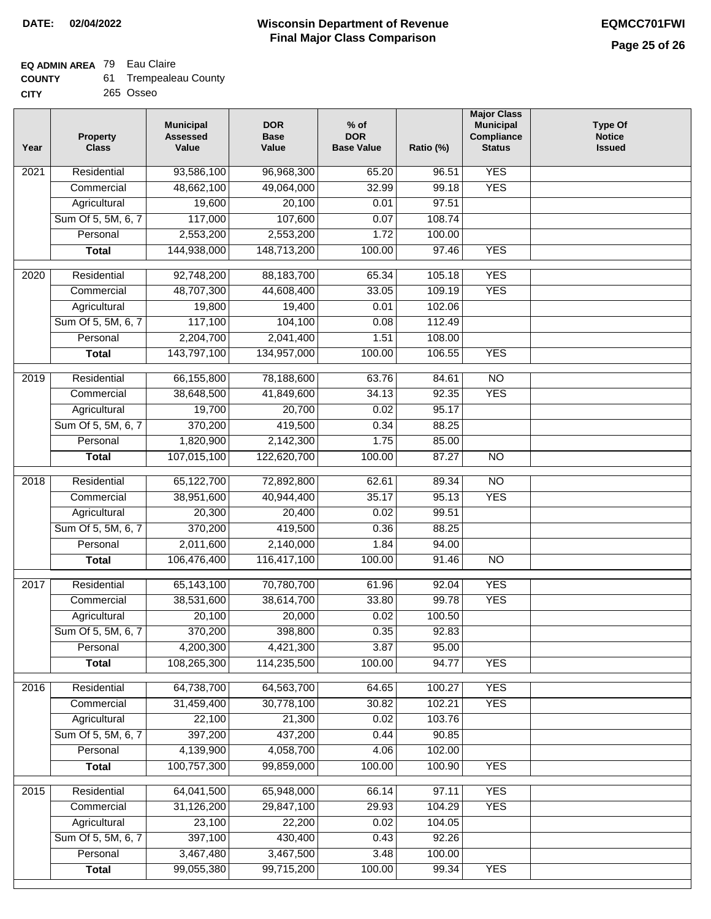# **EQ ADMIN AREA** 79 Eau Claire

| <b>COUNTY</b> | <b>Trempealeau County</b> |
|---------------|---------------------------|
|---------------|---------------------------|

**CITY** 265 Osseo

| <b>YES</b><br>Residential<br>93,586,100<br>96,968,300<br>65.20<br>96.51<br>2021<br><b>YES</b><br>48,662,100<br>49,064,000<br>32.99<br>99.18<br>Commercial<br>Agricultural<br>19,600<br>20,100<br>0.01<br>97.51<br>Sum Of 5, 5M, 6, 7<br>107,600<br>108.74<br>117,000<br>0.07<br>2,553,200<br>2,553,200<br>Personal<br>1.72<br>100.00<br>144,938,000<br>148,713,200<br>100.00<br>97.46<br><b>YES</b><br><b>Total</b><br><b>YES</b><br>Residential<br>92,748,200<br>88,183,700<br>65.34<br>105.18<br>2020<br><b>YES</b><br>Commercial<br>48,707,300<br>44,608,400<br>33.05<br>109.19<br>19,800<br>19,400<br>0.01<br>102.06<br>Agricultural<br>Sum Of 5, 5M, 6, 7<br>117,100<br>104,100<br>0.08<br>112.49<br>2,204,700<br>2,041,400<br>1.51<br>Personal<br>108.00<br><b>YES</b><br>143,797,100<br>134,957,000<br>100.00<br>106.55<br><b>Total</b><br>66,155,800<br>78,188,600<br>2019<br>Residential<br>63.76<br>84.61<br>$\overline{10}$<br><b>YES</b><br>41,849,600<br>34.13<br>92.35<br>Commercial<br>38,648,500<br>20,700<br>95.17<br>19,700<br>0.02<br>Agricultural<br>370,200<br>419,500<br>Sum Of 5, 5M, 6, 7<br>0.34<br>88.25<br>Personal<br>1,820,900<br>2,142,300<br>1.75<br>85.00<br>107,015,100<br>122,620,700<br>100.00<br>87.27<br>$\overline{NO}$<br><b>Total</b><br>Residential<br>65,122,700<br>72,892,800<br>62.61<br>89.34<br>$\overline{10}$<br>2018<br><b>YES</b><br>Commercial<br>38,951,600<br>40,944,400<br>35.17<br>95.13<br>99.51<br>Agricultural<br>20,300<br>20,400<br>0.02<br>Sum Of 5, 5M, 6, 7<br>370,200<br>419,500<br>0.36<br>88.25<br>Personal<br>2,011,600<br>2,140,000<br>1.84<br>94.00<br>106,476,400<br>116,417,100<br>100.00<br>$\overline{NO}$<br><b>Total</b><br>91.46<br><b>YES</b><br>Residential<br>65,143,100<br>70,780,700<br>92.04<br>2017<br>61.96<br><b>YES</b><br>Commercial<br>38,531,600<br>38,614,700<br>33.80<br>99.78<br>Agricultural<br>20,100<br>20,000<br>0.02<br>100.50<br>370,200<br>92.83<br>Sum Of 5, 5M, 6, 7<br>398,800<br>0.35<br>3.87<br>Personal<br>4,200,300<br>4,421,300<br>95.00<br>108,265,300<br>114,235,500<br>100.00<br>94.77<br><b>YES</b><br><b>Total</b><br><b>YES</b><br>2016<br>Residential<br>64,738,700<br>64,563,700<br>64.65<br>100.27<br>31,459,400<br>30,778,100<br>30.82<br>102.21<br><b>YES</b><br>Commercial<br>22,100<br>21,300<br>103.76<br>Agricultural<br>0.02<br>Sum Of 5, 5M, 6, 7<br>397,200<br>437,200<br>0.44<br>90.85<br>4,139,900<br>4,058,700<br>102.00<br>Personal<br>4.06<br>100,757,300<br><b>YES</b><br>99,859,000<br>100.00<br>100.90<br><b>Total</b><br>64,041,500<br><b>YES</b><br>Residential<br>65,948,000<br>66.14<br>97.11<br>2015<br>29,847,100<br>31,126,200<br>29.93<br>104.29<br><b>YES</b><br>Commercial<br>Agricultural<br>23,100<br>22,200<br>0.02<br>104.05<br>Sum Of 5, 5M, 6, 7<br>397,100<br>430,400<br>92.26<br>0.43<br>3,467,480<br>3,467,500<br>Personal<br>3.48<br>100.00<br>99,055,380<br>99,715,200<br>100.00<br><b>YES</b><br><b>Total</b><br>99.34 | Year | <b>Property</b><br><b>Class</b> | <b>Municipal</b><br><b>Assessed</b><br>Value | <b>DOR</b><br><b>Base</b><br>Value | $%$ of<br><b>DOR</b><br><b>Base Value</b> | Ratio (%) | <b>Major Class</b><br><b>Municipal</b><br>Compliance<br><b>Status</b> | <b>Type Of</b><br><b>Notice</b><br><b>Issued</b> |
|-----------------------------------------------------------------------------------------------------------------------------------------------------------------------------------------------------------------------------------------------------------------------------------------------------------------------------------------------------------------------------------------------------------------------------------------------------------------------------------------------------------------------------------------------------------------------------------------------------------------------------------------------------------------------------------------------------------------------------------------------------------------------------------------------------------------------------------------------------------------------------------------------------------------------------------------------------------------------------------------------------------------------------------------------------------------------------------------------------------------------------------------------------------------------------------------------------------------------------------------------------------------------------------------------------------------------------------------------------------------------------------------------------------------------------------------------------------------------------------------------------------------------------------------------------------------------------------------------------------------------------------------------------------------------------------------------------------------------------------------------------------------------------------------------------------------------------------------------------------------------------------------------------------------------------------------------------------------------------------------------------------------------------------------------------------------------------------------------------------------------------------------------------------------------------------------------------------------------------------------------------------------------------------------------------------------------------------------------------------------------------------------------------------------------------------------------------------------------------------------------------------------------------------------------------------------------------------------------------------------------------------------------------------------------------------------------------------------------------------------------------------------------------------------------------------------------------------------------------------------------------------------------------------------------------------------------------------------------------------|------|---------------------------------|----------------------------------------------|------------------------------------|-------------------------------------------|-----------|-----------------------------------------------------------------------|--------------------------------------------------|
|                                                                                                                                                                                                                                                                                                                                                                                                                                                                                                                                                                                                                                                                                                                                                                                                                                                                                                                                                                                                                                                                                                                                                                                                                                                                                                                                                                                                                                                                                                                                                                                                                                                                                                                                                                                                                                                                                                                                                                                                                                                                                                                                                                                                                                                                                                                                                                                                                                                                                                                                                                                                                                                                                                                                                                                                                                                                                                                                                                                   |      |                                 |                                              |                                    |                                           |           |                                                                       |                                                  |
|                                                                                                                                                                                                                                                                                                                                                                                                                                                                                                                                                                                                                                                                                                                                                                                                                                                                                                                                                                                                                                                                                                                                                                                                                                                                                                                                                                                                                                                                                                                                                                                                                                                                                                                                                                                                                                                                                                                                                                                                                                                                                                                                                                                                                                                                                                                                                                                                                                                                                                                                                                                                                                                                                                                                                                                                                                                                                                                                                                                   |      |                                 |                                              |                                    |                                           |           |                                                                       |                                                  |
|                                                                                                                                                                                                                                                                                                                                                                                                                                                                                                                                                                                                                                                                                                                                                                                                                                                                                                                                                                                                                                                                                                                                                                                                                                                                                                                                                                                                                                                                                                                                                                                                                                                                                                                                                                                                                                                                                                                                                                                                                                                                                                                                                                                                                                                                                                                                                                                                                                                                                                                                                                                                                                                                                                                                                                                                                                                                                                                                                                                   |      |                                 |                                              |                                    |                                           |           |                                                                       |                                                  |
|                                                                                                                                                                                                                                                                                                                                                                                                                                                                                                                                                                                                                                                                                                                                                                                                                                                                                                                                                                                                                                                                                                                                                                                                                                                                                                                                                                                                                                                                                                                                                                                                                                                                                                                                                                                                                                                                                                                                                                                                                                                                                                                                                                                                                                                                                                                                                                                                                                                                                                                                                                                                                                                                                                                                                                                                                                                                                                                                                                                   |      |                                 |                                              |                                    |                                           |           |                                                                       |                                                  |
|                                                                                                                                                                                                                                                                                                                                                                                                                                                                                                                                                                                                                                                                                                                                                                                                                                                                                                                                                                                                                                                                                                                                                                                                                                                                                                                                                                                                                                                                                                                                                                                                                                                                                                                                                                                                                                                                                                                                                                                                                                                                                                                                                                                                                                                                                                                                                                                                                                                                                                                                                                                                                                                                                                                                                                                                                                                                                                                                                                                   |      |                                 |                                              |                                    |                                           |           |                                                                       |                                                  |
|                                                                                                                                                                                                                                                                                                                                                                                                                                                                                                                                                                                                                                                                                                                                                                                                                                                                                                                                                                                                                                                                                                                                                                                                                                                                                                                                                                                                                                                                                                                                                                                                                                                                                                                                                                                                                                                                                                                                                                                                                                                                                                                                                                                                                                                                                                                                                                                                                                                                                                                                                                                                                                                                                                                                                                                                                                                                                                                                                                                   |      |                                 |                                              |                                    |                                           |           |                                                                       |                                                  |
|                                                                                                                                                                                                                                                                                                                                                                                                                                                                                                                                                                                                                                                                                                                                                                                                                                                                                                                                                                                                                                                                                                                                                                                                                                                                                                                                                                                                                                                                                                                                                                                                                                                                                                                                                                                                                                                                                                                                                                                                                                                                                                                                                                                                                                                                                                                                                                                                                                                                                                                                                                                                                                                                                                                                                                                                                                                                                                                                                                                   |      |                                 |                                              |                                    |                                           |           |                                                                       |                                                  |
|                                                                                                                                                                                                                                                                                                                                                                                                                                                                                                                                                                                                                                                                                                                                                                                                                                                                                                                                                                                                                                                                                                                                                                                                                                                                                                                                                                                                                                                                                                                                                                                                                                                                                                                                                                                                                                                                                                                                                                                                                                                                                                                                                                                                                                                                                                                                                                                                                                                                                                                                                                                                                                                                                                                                                                                                                                                                                                                                                                                   |      |                                 |                                              |                                    |                                           |           |                                                                       |                                                  |
|                                                                                                                                                                                                                                                                                                                                                                                                                                                                                                                                                                                                                                                                                                                                                                                                                                                                                                                                                                                                                                                                                                                                                                                                                                                                                                                                                                                                                                                                                                                                                                                                                                                                                                                                                                                                                                                                                                                                                                                                                                                                                                                                                                                                                                                                                                                                                                                                                                                                                                                                                                                                                                                                                                                                                                                                                                                                                                                                                                                   |      |                                 |                                              |                                    |                                           |           |                                                                       |                                                  |
|                                                                                                                                                                                                                                                                                                                                                                                                                                                                                                                                                                                                                                                                                                                                                                                                                                                                                                                                                                                                                                                                                                                                                                                                                                                                                                                                                                                                                                                                                                                                                                                                                                                                                                                                                                                                                                                                                                                                                                                                                                                                                                                                                                                                                                                                                                                                                                                                                                                                                                                                                                                                                                                                                                                                                                                                                                                                                                                                                                                   |      |                                 |                                              |                                    |                                           |           |                                                                       |                                                  |
|                                                                                                                                                                                                                                                                                                                                                                                                                                                                                                                                                                                                                                                                                                                                                                                                                                                                                                                                                                                                                                                                                                                                                                                                                                                                                                                                                                                                                                                                                                                                                                                                                                                                                                                                                                                                                                                                                                                                                                                                                                                                                                                                                                                                                                                                                                                                                                                                                                                                                                                                                                                                                                                                                                                                                                                                                                                                                                                                                                                   |      |                                 |                                              |                                    |                                           |           |                                                                       |                                                  |
|                                                                                                                                                                                                                                                                                                                                                                                                                                                                                                                                                                                                                                                                                                                                                                                                                                                                                                                                                                                                                                                                                                                                                                                                                                                                                                                                                                                                                                                                                                                                                                                                                                                                                                                                                                                                                                                                                                                                                                                                                                                                                                                                                                                                                                                                                                                                                                                                                                                                                                                                                                                                                                                                                                                                                                                                                                                                                                                                                                                   |      |                                 |                                              |                                    |                                           |           |                                                                       |                                                  |
|                                                                                                                                                                                                                                                                                                                                                                                                                                                                                                                                                                                                                                                                                                                                                                                                                                                                                                                                                                                                                                                                                                                                                                                                                                                                                                                                                                                                                                                                                                                                                                                                                                                                                                                                                                                                                                                                                                                                                                                                                                                                                                                                                                                                                                                                                                                                                                                                                                                                                                                                                                                                                                                                                                                                                                                                                                                                                                                                                                                   |      |                                 |                                              |                                    |                                           |           |                                                                       |                                                  |
|                                                                                                                                                                                                                                                                                                                                                                                                                                                                                                                                                                                                                                                                                                                                                                                                                                                                                                                                                                                                                                                                                                                                                                                                                                                                                                                                                                                                                                                                                                                                                                                                                                                                                                                                                                                                                                                                                                                                                                                                                                                                                                                                                                                                                                                                                                                                                                                                                                                                                                                                                                                                                                                                                                                                                                                                                                                                                                                                                                                   |      |                                 |                                              |                                    |                                           |           |                                                                       |                                                  |
|                                                                                                                                                                                                                                                                                                                                                                                                                                                                                                                                                                                                                                                                                                                                                                                                                                                                                                                                                                                                                                                                                                                                                                                                                                                                                                                                                                                                                                                                                                                                                                                                                                                                                                                                                                                                                                                                                                                                                                                                                                                                                                                                                                                                                                                                                                                                                                                                                                                                                                                                                                                                                                                                                                                                                                                                                                                                                                                                                                                   |      |                                 |                                              |                                    |                                           |           |                                                                       |                                                  |
|                                                                                                                                                                                                                                                                                                                                                                                                                                                                                                                                                                                                                                                                                                                                                                                                                                                                                                                                                                                                                                                                                                                                                                                                                                                                                                                                                                                                                                                                                                                                                                                                                                                                                                                                                                                                                                                                                                                                                                                                                                                                                                                                                                                                                                                                                                                                                                                                                                                                                                                                                                                                                                                                                                                                                                                                                                                                                                                                                                                   |      |                                 |                                              |                                    |                                           |           |                                                                       |                                                  |
|                                                                                                                                                                                                                                                                                                                                                                                                                                                                                                                                                                                                                                                                                                                                                                                                                                                                                                                                                                                                                                                                                                                                                                                                                                                                                                                                                                                                                                                                                                                                                                                                                                                                                                                                                                                                                                                                                                                                                                                                                                                                                                                                                                                                                                                                                                                                                                                                                                                                                                                                                                                                                                                                                                                                                                                                                                                                                                                                                                                   |      |                                 |                                              |                                    |                                           |           |                                                                       |                                                  |
|                                                                                                                                                                                                                                                                                                                                                                                                                                                                                                                                                                                                                                                                                                                                                                                                                                                                                                                                                                                                                                                                                                                                                                                                                                                                                                                                                                                                                                                                                                                                                                                                                                                                                                                                                                                                                                                                                                                                                                                                                                                                                                                                                                                                                                                                                                                                                                                                                                                                                                                                                                                                                                                                                                                                                                                                                                                                                                                                                                                   |      |                                 |                                              |                                    |                                           |           |                                                                       |                                                  |
|                                                                                                                                                                                                                                                                                                                                                                                                                                                                                                                                                                                                                                                                                                                                                                                                                                                                                                                                                                                                                                                                                                                                                                                                                                                                                                                                                                                                                                                                                                                                                                                                                                                                                                                                                                                                                                                                                                                                                                                                                                                                                                                                                                                                                                                                                                                                                                                                                                                                                                                                                                                                                                                                                                                                                                                                                                                                                                                                                                                   |      |                                 |                                              |                                    |                                           |           |                                                                       |                                                  |
|                                                                                                                                                                                                                                                                                                                                                                                                                                                                                                                                                                                                                                                                                                                                                                                                                                                                                                                                                                                                                                                                                                                                                                                                                                                                                                                                                                                                                                                                                                                                                                                                                                                                                                                                                                                                                                                                                                                                                                                                                                                                                                                                                                                                                                                                                                                                                                                                                                                                                                                                                                                                                                                                                                                                                                                                                                                                                                                                                                                   |      |                                 |                                              |                                    |                                           |           |                                                                       |                                                  |
|                                                                                                                                                                                                                                                                                                                                                                                                                                                                                                                                                                                                                                                                                                                                                                                                                                                                                                                                                                                                                                                                                                                                                                                                                                                                                                                                                                                                                                                                                                                                                                                                                                                                                                                                                                                                                                                                                                                                                                                                                                                                                                                                                                                                                                                                                                                                                                                                                                                                                                                                                                                                                                                                                                                                                                                                                                                                                                                                                                                   |      |                                 |                                              |                                    |                                           |           |                                                                       |                                                  |
|                                                                                                                                                                                                                                                                                                                                                                                                                                                                                                                                                                                                                                                                                                                                                                                                                                                                                                                                                                                                                                                                                                                                                                                                                                                                                                                                                                                                                                                                                                                                                                                                                                                                                                                                                                                                                                                                                                                                                                                                                                                                                                                                                                                                                                                                                                                                                                                                                                                                                                                                                                                                                                                                                                                                                                                                                                                                                                                                                                                   |      |                                 |                                              |                                    |                                           |           |                                                                       |                                                  |
|                                                                                                                                                                                                                                                                                                                                                                                                                                                                                                                                                                                                                                                                                                                                                                                                                                                                                                                                                                                                                                                                                                                                                                                                                                                                                                                                                                                                                                                                                                                                                                                                                                                                                                                                                                                                                                                                                                                                                                                                                                                                                                                                                                                                                                                                                                                                                                                                                                                                                                                                                                                                                                                                                                                                                                                                                                                                                                                                                                                   |      |                                 |                                              |                                    |                                           |           |                                                                       |                                                  |
|                                                                                                                                                                                                                                                                                                                                                                                                                                                                                                                                                                                                                                                                                                                                                                                                                                                                                                                                                                                                                                                                                                                                                                                                                                                                                                                                                                                                                                                                                                                                                                                                                                                                                                                                                                                                                                                                                                                                                                                                                                                                                                                                                                                                                                                                                                                                                                                                                                                                                                                                                                                                                                                                                                                                                                                                                                                                                                                                                                                   |      |                                 |                                              |                                    |                                           |           |                                                                       |                                                  |
|                                                                                                                                                                                                                                                                                                                                                                                                                                                                                                                                                                                                                                                                                                                                                                                                                                                                                                                                                                                                                                                                                                                                                                                                                                                                                                                                                                                                                                                                                                                                                                                                                                                                                                                                                                                                                                                                                                                                                                                                                                                                                                                                                                                                                                                                                                                                                                                                                                                                                                                                                                                                                                                                                                                                                                                                                                                                                                                                                                                   |      |                                 |                                              |                                    |                                           |           |                                                                       |                                                  |
|                                                                                                                                                                                                                                                                                                                                                                                                                                                                                                                                                                                                                                                                                                                                                                                                                                                                                                                                                                                                                                                                                                                                                                                                                                                                                                                                                                                                                                                                                                                                                                                                                                                                                                                                                                                                                                                                                                                                                                                                                                                                                                                                                                                                                                                                                                                                                                                                                                                                                                                                                                                                                                                                                                                                                                                                                                                                                                                                                                                   |      |                                 |                                              |                                    |                                           |           |                                                                       |                                                  |
|                                                                                                                                                                                                                                                                                                                                                                                                                                                                                                                                                                                                                                                                                                                                                                                                                                                                                                                                                                                                                                                                                                                                                                                                                                                                                                                                                                                                                                                                                                                                                                                                                                                                                                                                                                                                                                                                                                                                                                                                                                                                                                                                                                                                                                                                                                                                                                                                                                                                                                                                                                                                                                                                                                                                                                                                                                                                                                                                                                                   |      |                                 |                                              |                                    |                                           |           |                                                                       |                                                  |
|                                                                                                                                                                                                                                                                                                                                                                                                                                                                                                                                                                                                                                                                                                                                                                                                                                                                                                                                                                                                                                                                                                                                                                                                                                                                                                                                                                                                                                                                                                                                                                                                                                                                                                                                                                                                                                                                                                                                                                                                                                                                                                                                                                                                                                                                                                                                                                                                                                                                                                                                                                                                                                                                                                                                                                                                                                                                                                                                                                                   |      |                                 |                                              |                                    |                                           |           |                                                                       |                                                  |
|                                                                                                                                                                                                                                                                                                                                                                                                                                                                                                                                                                                                                                                                                                                                                                                                                                                                                                                                                                                                                                                                                                                                                                                                                                                                                                                                                                                                                                                                                                                                                                                                                                                                                                                                                                                                                                                                                                                                                                                                                                                                                                                                                                                                                                                                                                                                                                                                                                                                                                                                                                                                                                                                                                                                                                                                                                                                                                                                                                                   |      |                                 |                                              |                                    |                                           |           |                                                                       |                                                  |
|                                                                                                                                                                                                                                                                                                                                                                                                                                                                                                                                                                                                                                                                                                                                                                                                                                                                                                                                                                                                                                                                                                                                                                                                                                                                                                                                                                                                                                                                                                                                                                                                                                                                                                                                                                                                                                                                                                                                                                                                                                                                                                                                                                                                                                                                                                                                                                                                                                                                                                                                                                                                                                                                                                                                                                                                                                                                                                                                                                                   |      |                                 |                                              |                                    |                                           |           |                                                                       |                                                  |
|                                                                                                                                                                                                                                                                                                                                                                                                                                                                                                                                                                                                                                                                                                                                                                                                                                                                                                                                                                                                                                                                                                                                                                                                                                                                                                                                                                                                                                                                                                                                                                                                                                                                                                                                                                                                                                                                                                                                                                                                                                                                                                                                                                                                                                                                                                                                                                                                                                                                                                                                                                                                                                                                                                                                                                                                                                                                                                                                                                                   |      |                                 |                                              |                                    |                                           |           |                                                                       |                                                  |
|                                                                                                                                                                                                                                                                                                                                                                                                                                                                                                                                                                                                                                                                                                                                                                                                                                                                                                                                                                                                                                                                                                                                                                                                                                                                                                                                                                                                                                                                                                                                                                                                                                                                                                                                                                                                                                                                                                                                                                                                                                                                                                                                                                                                                                                                                                                                                                                                                                                                                                                                                                                                                                                                                                                                                                                                                                                                                                                                                                                   |      |                                 |                                              |                                    |                                           |           |                                                                       |                                                  |
|                                                                                                                                                                                                                                                                                                                                                                                                                                                                                                                                                                                                                                                                                                                                                                                                                                                                                                                                                                                                                                                                                                                                                                                                                                                                                                                                                                                                                                                                                                                                                                                                                                                                                                                                                                                                                                                                                                                                                                                                                                                                                                                                                                                                                                                                                                                                                                                                                                                                                                                                                                                                                                                                                                                                                                                                                                                                                                                                                                                   |      |                                 |                                              |                                    |                                           |           |                                                                       |                                                  |
|                                                                                                                                                                                                                                                                                                                                                                                                                                                                                                                                                                                                                                                                                                                                                                                                                                                                                                                                                                                                                                                                                                                                                                                                                                                                                                                                                                                                                                                                                                                                                                                                                                                                                                                                                                                                                                                                                                                                                                                                                                                                                                                                                                                                                                                                                                                                                                                                                                                                                                                                                                                                                                                                                                                                                                                                                                                                                                                                                                                   |      |                                 |                                              |                                    |                                           |           |                                                                       |                                                  |
|                                                                                                                                                                                                                                                                                                                                                                                                                                                                                                                                                                                                                                                                                                                                                                                                                                                                                                                                                                                                                                                                                                                                                                                                                                                                                                                                                                                                                                                                                                                                                                                                                                                                                                                                                                                                                                                                                                                                                                                                                                                                                                                                                                                                                                                                                                                                                                                                                                                                                                                                                                                                                                                                                                                                                                                                                                                                                                                                                                                   |      |                                 |                                              |                                    |                                           |           |                                                                       |                                                  |
|                                                                                                                                                                                                                                                                                                                                                                                                                                                                                                                                                                                                                                                                                                                                                                                                                                                                                                                                                                                                                                                                                                                                                                                                                                                                                                                                                                                                                                                                                                                                                                                                                                                                                                                                                                                                                                                                                                                                                                                                                                                                                                                                                                                                                                                                                                                                                                                                                                                                                                                                                                                                                                                                                                                                                                                                                                                                                                                                                                                   |      |                                 |                                              |                                    |                                           |           |                                                                       |                                                  |
|                                                                                                                                                                                                                                                                                                                                                                                                                                                                                                                                                                                                                                                                                                                                                                                                                                                                                                                                                                                                                                                                                                                                                                                                                                                                                                                                                                                                                                                                                                                                                                                                                                                                                                                                                                                                                                                                                                                                                                                                                                                                                                                                                                                                                                                                                                                                                                                                                                                                                                                                                                                                                                                                                                                                                                                                                                                                                                                                                                                   |      |                                 |                                              |                                    |                                           |           |                                                                       |                                                  |
|                                                                                                                                                                                                                                                                                                                                                                                                                                                                                                                                                                                                                                                                                                                                                                                                                                                                                                                                                                                                                                                                                                                                                                                                                                                                                                                                                                                                                                                                                                                                                                                                                                                                                                                                                                                                                                                                                                                                                                                                                                                                                                                                                                                                                                                                                                                                                                                                                                                                                                                                                                                                                                                                                                                                                                                                                                                                                                                                                                                   |      |                                 |                                              |                                    |                                           |           |                                                                       |                                                  |
|                                                                                                                                                                                                                                                                                                                                                                                                                                                                                                                                                                                                                                                                                                                                                                                                                                                                                                                                                                                                                                                                                                                                                                                                                                                                                                                                                                                                                                                                                                                                                                                                                                                                                                                                                                                                                                                                                                                                                                                                                                                                                                                                                                                                                                                                                                                                                                                                                                                                                                                                                                                                                                                                                                                                                                                                                                                                                                                                                                                   |      |                                 |                                              |                                    |                                           |           |                                                                       |                                                  |
|                                                                                                                                                                                                                                                                                                                                                                                                                                                                                                                                                                                                                                                                                                                                                                                                                                                                                                                                                                                                                                                                                                                                                                                                                                                                                                                                                                                                                                                                                                                                                                                                                                                                                                                                                                                                                                                                                                                                                                                                                                                                                                                                                                                                                                                                                                                                                                                                                                                                                                                                                                                                                                                                                                                                                                                                                                                                                                                                                                                   |      |                                 |                                              |                                    |                                           |           |                                                                       |                                                  |
|                                                                                                                                                                                                                                                                                                                                                                                                                                                                                                                                                                                                                                                                                                                                                                                                                                                                                                                                                                                                                                                                                                                                                                                                                                                                                                                                                                                                                                                                                                                                                                                                                                                                                                                                                                                                                                                                                                                                                                                                                                                                                                                                                                                                                                                                                                                                                                                                                                                                                                                                                                                                                                                                                                                                                                                                                                                                                                                                                                                   |      |                                 |                                              |                                    |                                           |           |                                                                       |                                                  |
|                                                                                                                                                                                                                                                                                                                                                                                                                                                                                                                                                                                                                                                                                                                                                                                                                                                                                                                                                                                                                                                                                                                                                                                                                                                                                                                                                                                                                                                                                                                                                                                                                                                                                                                                                                                                                                                                                                                                                                                                                                                                                                                                                                                                                                                                                                                                                                                                                                                                                                                                                                                                                                                                                                                                                                                                                                                                                                                                                                                   |      |                                 |                                              |                                    |                                           |           |                                                                       |                                                  |
|                                                                                                                                                                                                                                                                                                                                                                                                                                                                                                                                                                                                                                                                                                                                                                                                                                                                                                                                                                                                                                                                                                                                                                                                                                                                                                                                                                                                                                                                                                                                                                                                                                                                                                                                                                                                                                                                                                                                                                                                                                                                                                                                                                                                                                                                                                                                                                                                                                                                                                                                                                                                                                                                                                                                                                                                                                                                                                                                                                                   |      |                                 |                                              |                                    |                                           |           |                                                                       |                                                  |